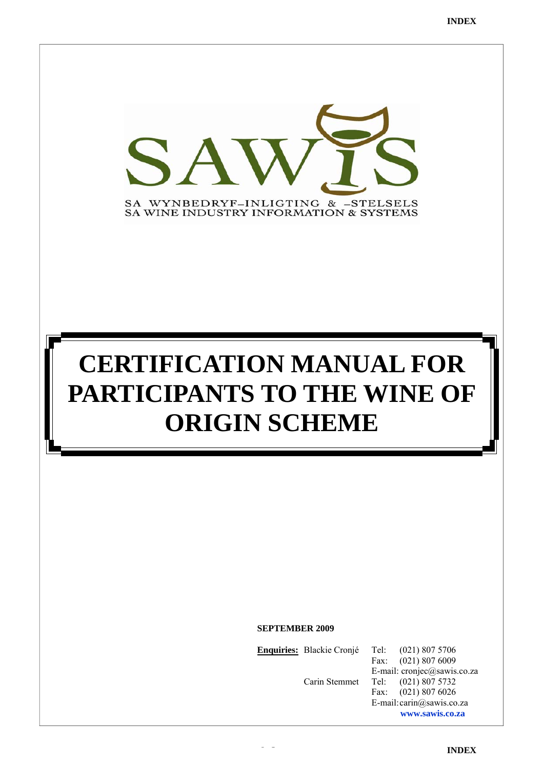

# **CERTIFICATION MANUAL FOR PARTICIPANTS TO THE WINE OF ORIGIN SCHEME**

**SEPTEMBER 2009** 

**Enquiries:** Blackie Cronjé Tel: (021) 807 5706

Fax: (021) 807 6009 E-mail: cronjec@sawis.co.za Carin Stemmet Tel: (021) 807 5732 Fax: (021) 807 6026 E-mail: carin@sawis.co.za **www.sawis.co.za**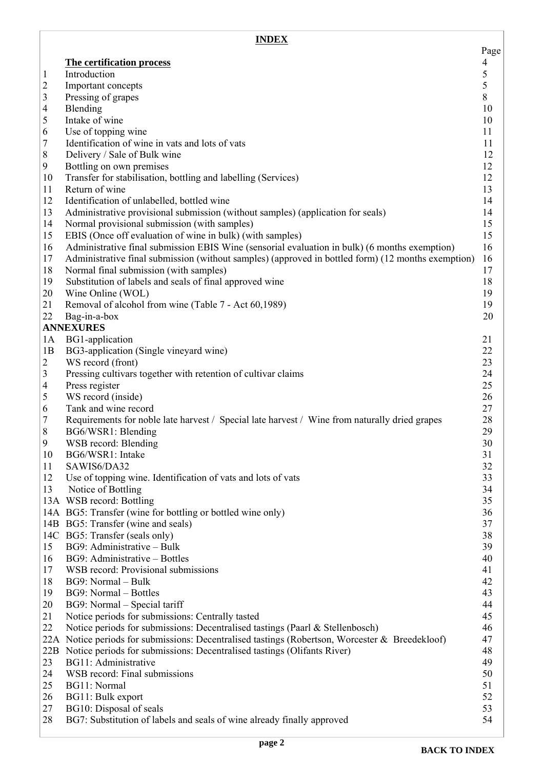<span id="page-1-0"></span>

|                         | <b>INDEX</b>                                                                                                        |                |
|-------------------------|---------------------------------------------------------------------------------------------------------------------|----------------|
|                         |                                                                                                                     | Page           |
|                         | The certification process                                                                                           | $\overline{4}$ |
| $\mathbf{1}$            | Introduction                                                                                                        | 5              |
| $\overline{\mathbf{c}}$ | Important concepts                                                                                                  | 5<br>8         |
| 3<br>$\overline{4}$     | Pressing of grapes<br>Blending                                                                                      | 10             |
| 5                       | Intake of wine                                                                                                      | 10             |
| 6                       | Use of topping wine                                                                                                 | 11             |
| $\overline{7}$          | Identification of wine in vats and lots of vats                                                                     | 11             |
| $\,8\,$                 | Delivery / Sale of Bulk wine                                                                                        | 12             |
| 9                       | Bottling on own premises                                                                                            | 12             |
| 10                      | Transfer for stabilisation, bottling and labelling (Services)                                                       | 12             |
| 11                      | Return of wine                                                                                                      | 13             |
| 12                      | Identification of unlabelled, bottled wine                                                                          | 14             |
| 13                      | Administrative provisional submission (without samples) (application for seals)                                     | 14             |
| 14                      | Normal provisional submission (with samples)                                                                        | 15             |
| 15                      | EBIS (Once off evaluation of wine in bulk) (with samples)                                                           | 15             |
| 16                      | Administrative final submission EBIS Wine (sensorial evaluation in bulk) (6 months exemption)                       | 16             |
| 17                      | Administrative final submission (without samples) (approved in bottled form) (12 months exemption)                  | 16             |
| 18                      | Normal final submission (with samples)                                                                              | 17             |
| 19                      | Substitution of labels and seals of final approved wine                                                             | 18             |
| 20                      | Wine Online (WOL)                                                                                                   | 19             |
| 21                      | Removal of alcohol from wine (Table 7 - Act 60,1989)                                                                | 19             |
| 22                      | Bag-in-a-box                                                                                                        | 20             |
|                         | <b>ANNEXURES</b>                                                                                                    |                |
| 1A                      | BG1-application                                                                                                     | 21             |
| 1B                      | BG3-application (Single vineyard wine)                                                                              | 22             |
| $\overline{2}$          | WS record (front)                                                                                                   | 23             |
| 3                       | Pressing cultivars together with retention of cultivar claims                                                       | 24             |
| $\overline{4}$          | Press register                                                                                                      | 25             |
| 5                       | WS record (inside)                                                                                                  | 26             |
| 6                       | Tank and wine record                                                                                                | 27             |
| $\overline{7}$<br>8     | Requirements for noble late harvest / Special late harvest / Wine from naturally dried grapes<br>BG6/WSR1: Blending | 28<br>29       |
| 9                       | WSB record: Blending                                                                                                | 30             |
| 10                      | BG6/WSR1: Intake                                                                                                    | 31             |
| 11                      | SAWIS6/DA32                                                                                                         | 32             |
| 12                      | Use of topping wine. Identification of vats and lots of vats                                                        | 33             |
| 13                      | Notice of Bottling                                                                                                  | 34             |
|                         | 13A WSB record: Bottling                                                                                            | 35             |
|                         | 14A BG5: Transfer (wine for bottling or bottled wine only)                                                          | 36             |
|                         | 14B BG5: Transfer (wine and seals)                                                                                  | 37             |
|                         | 14C BG5: Transfer (seals only)                                                                                      | 38             |
| 15                      | BG9: Administrative - Bulk                                                                                          | 39             |
| 16                      | BG9: Administrative – Bottles                                                                                       | 40             |
| 17                      | WSB record: Provisional submissions                                                                                 | 41             |
| 18                      | BG9: Normal - Bulk                                                                                                  | 42             |
| 19                      | BG9: Normal - Bottles                                                                                               | 43             |
| 20                      | BG9: Normal - Special tariff                                                                                        | 44             |
| 21                      | Notice periods for submissions: Centrally tasted                                                                    | 45             |
| 22                      | Notice periods for submissions: Decentralised tastings (Paarl & Stellenbosch)                                       | 46             |
|                         | 22A Notice periods for submissions: Decentralised tastings (Robertson, Worcester & Breedekloof)                     | 47             |
| 22B                     | Notice periods for submissions: Decentralised tastings (Olifants River)                                             | 48             |
| 23                      | BG11: Administrative                                                                                                | 49             |
| 24                      | WSB record: Final submissions                                                                                       | 50             |
| 25                      | BG11: Normal                                                                                                        | 51             |
| 26                      | BG11: Bulk export                                                                                                   | 52             |
| 27                      | BG10: Disposal of seals                                                                                             | 53             |
| 28                      | BG7: Substitution of labels and seals of wine already finally approved                                              | 54             |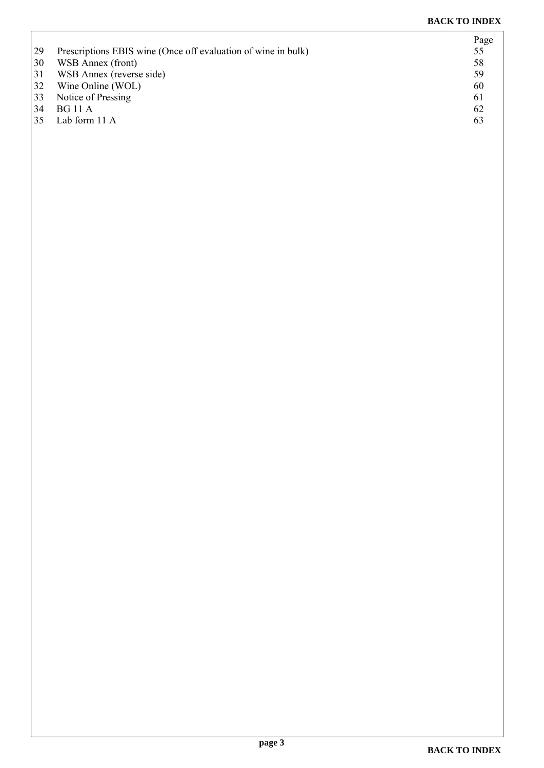|    |                                                               | Page |
|----|---------------------------------------------------------------|------|
| 29 | Prescriptions EBIS wine (Once off evaluation of wine in bulk) | 55   |
| 30 | WSB Annex (front)                                             | 58   |
| 31 | WSB Annex (reverse side)                                      | 59   |
| 32 | Wine Online (WOL)                                             | 60   |
| 33 | Notice of Pressing                                            | 61   |
| 34 | <b>BG</b> 11 A                                                | 62   |
| 35 | Lab form 11 A                                                 | 63   |
|    |                                                               |      |

 $\sqrt{ }$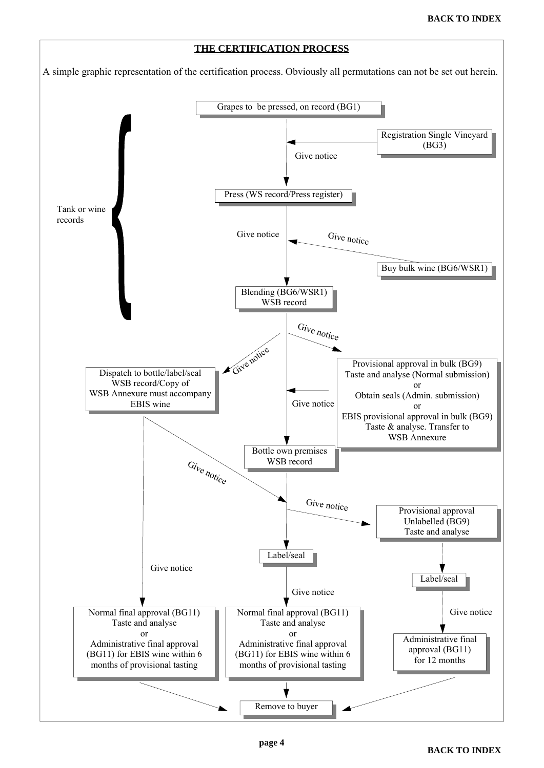<span id="page-3-0"></span>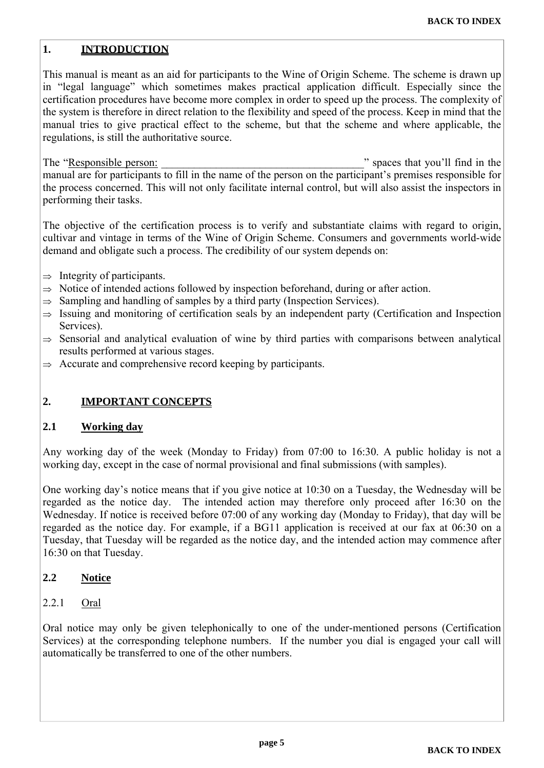#### <span id="page-4-0"></span>**1. INTRODUCTION**

This manual is meant as an aid for participants to the Wine of Origin Scheme. The scheme is drawn up in "legal language" which sometimes makes practical application difficult. Especially since the certification procedures have become more complex in order to speed up the process. The complexity of the system is therefore in direct relation to the flexibility and speed of the process. Keep in mind that the manual tries to give practical effect to the scheme, but that the scheme and where applicable, the regulations, is still the authoritative source.

The "Responsible person: The "Responsible person: " spaces that you'll find in the manual are for participants to fill in the name of the person on the participant's premises responsible for the process concerned. This will not only facilitate internal control, but will also assist the inspectors in performing their tasks.

The objective of the certification process is to verify and substantiate claims with regard to origin, cultivar and vintage in terms of the Wine of Origin Scheme. Consumers and governments world-wide demand and obligate such a process. The credibility of our system depends on:

- $\Rightarrow$  Integrity of participants.
- $\Rightarrow$  Notice of intended actions followed by inspection beforehand, during or after action.
- $\Rightarrow$  Sampling and handling of samples by a third party (Inspection Services).
- $\Rightarrow$  Issuing and monitoring of certification seals by an independent party (Certification and Inspection Services).
- $\Rightarrow$  Sensorial and analytical evaluation of wine by third parties with comparisons between analytical results performed at various stages.
- $\Rightarrow$  Accurate and comprehensive record keeping by participants.

#### **2. IMPORTANT CONCEPTS**

#### **2.1 Working day**

Any working day of the week (Monday to Friday) from 07:00 to 16:30. A public holiday is not a working day, except in the case of normal provisional and final submissions (with samples).

One working day's notice means that if you give notice at 10:30 on a Tuesday, the Wednesday will be regarded as the notice day. The intended action may therefore only proceed after 16:30 on the Wednesday. If notice is received before 07:00 of any working day (Monday to Friday), that day will be regarded as the notice day. For example, if a BG11 application is received at our fax at 06:30 on a Tuesday, that Tuesday will be regarded as the notice day, and the intended action may commence after 16:30 on that Tuesday.

#### **2.2 Notice**

#### 2.2.1 Oral

Oral notice may only be given telephonically to one of the under-mentioned persons (Certification Services) at the corresponding telephone numbers. If the number you dial is engaged your call will automatically be transferred to one of the other numbers.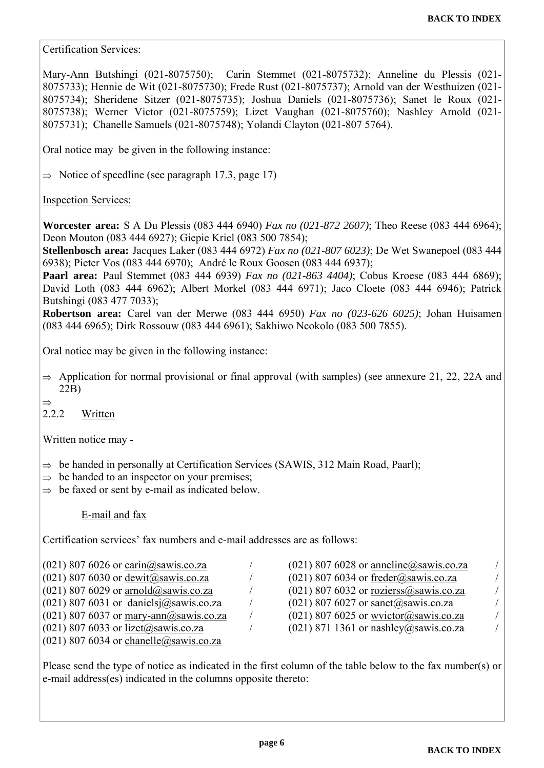Certification Services:

Mary-Ann Butshingi (021-8075750); Carin Stemmet (021-8075732); Anneline du Plessis (021- 8075733); Hennie de Wit (021-8075730); Frede Rust (021-8075737); Arnold van der Westhuizen (021- 8075734); Sheridene Sitzer (021-8075735); Joshua Daniels (021-8075736); Sanet le Roux (021- 8075738); Werner Victor (021-8075759); Lizet Vaughan (021-8075760); Nashley Arnold (021- 8075731); Chanelle Samuels (021-8075748); Yolandi Clayton (021-807 5764).

Oral notice may be given in the following instance:

 $\Rightarrow$  Notice of speedline (see paragraph 17.3, page 17)

#### Inspection Services:

**Worcester area:** S A Du Plessis (083 444 6940) *Fax no (021-872 2607)*; Theo Reese (083 444 6964); Deon Mouton (083 444 6927); Giepie Kriel (083 500 7854);

**Stellenbosch area:** Jacques Laker (083 444 6972) *Fax no (021-807 6023)*; De Wet Swanepoel (083 444 6938); Pieter Vos (083 444 6970); André le Roux Goosen (083 444 6937);

**Paarl area:** Paul Stemmet (083 444 6939) *Fax no (021-863 4404)*; Cobus Kroese (083 444 6869); David Loth (083 444 6962); Albert Morkel (083 444 6971); Jaco Cloete (083 444 6946); Patrick Butshingi (083 477 7033);

**Robertson area:** Carel van der Merwe (083 444 6950) *Fax no (023-626 6025)*; Johan Huisamen (083 444 6965); Dirk Rossouw (083 444 6961); Sakhiwo Ncokolo (083 500 7855).

Oral notice may be given in the following instance:

 $\Rightarrow$  Application for normal provisional or final approval (with samples) (see annexure 21, 22, 22A and 22B)

 $\rightarrow$ 

### 2.2.2 Written

Written notice may -

- $\Rightarrow$  be handed in personally at Certification Services (SAWIS, 312 Main Road, Paarl);
- $\Rightarrow$  be handed to an inspector on your premises;
- $\Rightarrow$  be faxed or sent by e-mail as indicated below.

#### E-mail and fax

Certification services' fax numbers and e-mail addresses are as follows:

| $(021)$ 807 6026 or carin@sawis.co.za                                   |
|-------------------------------------------------------------------------|
| $(021)$ 807 6030 or dewit@sawis.co.za                                   |
| $(021)$ 807 6029 or arnold@sawis.co.za                                  |
| $(021)$ 807 6031 or danielsj $@saw$ is.co.za                            |
| (021) 807 6037 or $\frac{\text{mary-ann}(\hat{Q})}{\text{sawis.co.za}}$ |
| $(021)$ 807 6033 or lizet@sawis.co.za                                   |
| $(021)$ 807 6034 or chanelle@sawis.co.za                                |

 $(021)$  807 6032 or rozierss $\omega$ sawis.co.za /  $(021)$  807 6027 or sanet@sawis.co.za /  $(021)$  807 6025 or wvictor@sawis.co.za /  $(021)$  871 1361 or nashley@sawis.co.za /

 $\frac{(021) 807 6028 \text{ or anneline}(\text{a})\text{ sawis.co.za}$  $(021)$  807 6034 or freder@sawis.co.za /

Please send the type of notice as indicated in the first column of the table below to the fax number(s) or e-mail address(es) indicated in the columns opposite thereto: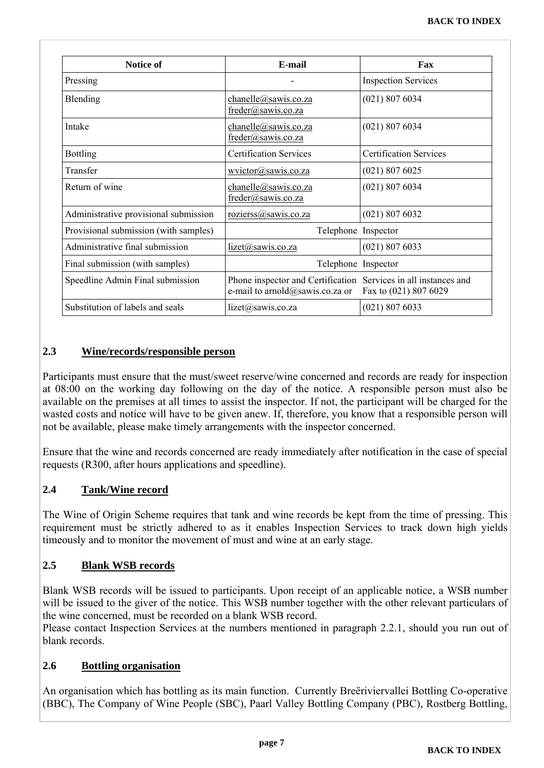| <b>Notice of</b>                      | E-mail                                                                                             | Fax                           |
|---------------------------------------|----------------------------------------------------------------------------------------------------|-------------------------------|
| Pressing                              |                                                                                                    | <b>Inspection Services</b>    |
| Blending                              | channelle@sawis.co.za<br>freder@sawis.co.za                                                        | $(021)$ 807 6034              |
| Intake                                | chanelle@sawis.co.za<br>freder@sawis.co.za                                                         | $(021)$ 807 6034              |
| <b>Bottling</b>                       | <b>Certification Services</b>                                                                      | <b>Certification Services</b> |
| Transfer                              | wvictor@sawis.co.za                                                                                | $(021)$ 807 6025              |
| Return of wine                        | chanelle@sawis.co.za<br>freder@sawis.co.za                                                         | $(021)$ 807 6034              |
| Administrative provisional submission | rozierss@sawis.co.za                                                                               | (021) 807 6032                |
| Provisional submission (with samples) | Telephone Inspector                                                                                |                               |
| Administrative final submission       | lizet@sawis.co.za                                                                                  | $(021)$ 807 6033              |
| Final submission (with samples)       | Telephone Inspector                                                                                |                               |
| Speedline Admin Final submission      | Phone inspector and Certification Services in all instances and<br>e-mail to arnold@sawis.co.za or | Fax to (021) 807 6029         |
| Substitution of labels and seals      | $lized(a)$ sawis.co.za                                                                             | $(021)$ 807 6033              |

#### **2.3 Wine/records/responsible person**

Participants must ensure that the must/sweet reserve/wine concerned and records are ready for inspection at 08:00 on the working day following on the day of the notice. A responsible person must also be available on the premises at all times to assist the inspector. If not, the participant will be charged for the wasted costs and notice will have to be given anew. If, therefore, you know that a responsible person will not be available, please make timely arrangements with the inspector concerned.

Ensure that the wine and records concerned are ready immediately after notification in the case of special requests (R300, after hours applications and speedline).

#### **2.4 Tank/Wine record**

The Wine of Origin Scheme requires that tank and wine records be kept from the time of pressing. This requirement must be strictly adhered to as it enables Inspection Services to track down high yields timeously and to monitor the movement of must and wine at an early stage.

#### **2.5 Blank WSB records**

Blank WSB records will be issued to participants. Upon receipt of an applicable notice, a WSB number will be issued to the giver of the notice. This WSB number together with the other relevant particulars of the wine concerned, must be recorded on a blank WSB record.

Please contact Inspection Services at the numbers mentioned in paragraph 2.2.1, should you run out of blank records.

#### **2.6 Bottling organisation**

An organisation which has bottling as its main function. Currently Breëriviervallei Bottling Co-operative (BBC), The Company of Wine People (SBC), Paarl Valley Bottling Company (PBC), Rostberg Bottling,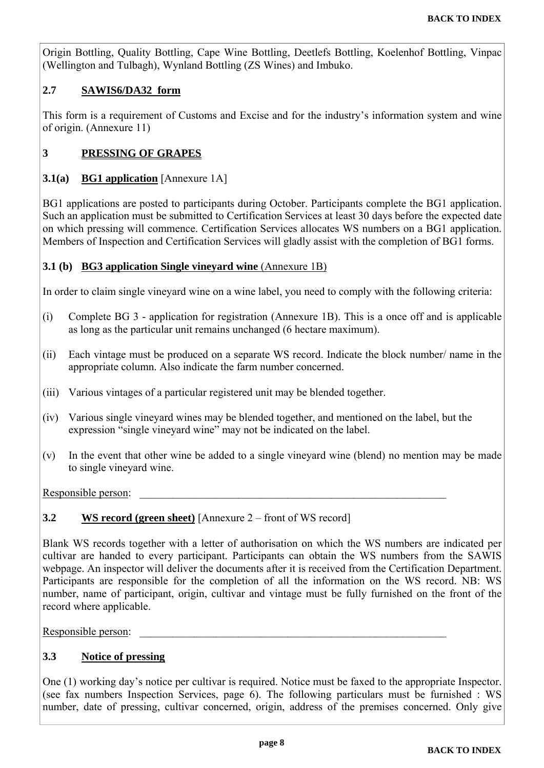<span id="page-7-0"></span>Origin Bottling, Quality Bottling, Cape Wine Bottling, Deetlefs Bottling, Koelenhof Bottling, Vinpac (Wellington and Tulbagh), Wynland Bottling (ZS Wines) and Imbuko.

#### **2.7 SAWIS6/DA32 form**

This form is a requirement of Customs and Excise and for the industry's information system and wine of origin. (Annexure 11)

#### **3 PRESSING OF GRAPES**

#### **3.1(a) BG1 application** [Annexure 1A]

BG1 applications are posted to participants during October. Participants complete the BG1 application. Such an application must be submitted to Certification Services at least 30 days before the expected date on which pressing will commence. Certification Services allocates WS numbers on a BG1 application. Members of Inspection and Certification Services will gladly assist with the completion of BG1 forms.

#### **3.1 (b) BG3 application Single vineyard wine (Annexure 1B)**

In order to claim single vineyard wine on a wine label, you need to comply with the following criteria:

- (i) Complete BG 3 application for registration (Annexure 1B). This is a once off and is applicable as long as the particular unit remains unchanged (6 hectare maximum).
- (ii) Each vintage must be produced on a separate WS record. Indicate the block number/ name in the appropriate column. Also indicate the farm number concerned.
- (iii) Various vintages of a particular registered unit may be blended together.
- (iv) Various single vineyard wines may be blended together, and mentioned on the label, but the expression "single vineyard wine" may not be indicated on the label.
- (v) In the event that other wine be added to a single vineyard wine (blend) no mention may be made to single vineyard wine.

Responsible person:

#### **3.2 WS record (green sheet)** [Annexure 2 – front of WS record]

Blank WS records together with a letter of authorisation on which the WS numbers are indicated per cultivar are handed to every participant. Participants can obtain the WS numbers from the SAWIS webpage. An inspector will deliver the documents after it is received from the Certification Department. Participants are responsible for the completion of all the information on the WS record. NB: WS number, name of participant, origin, cultivar and vintage must be fully furnished on the front of the record where applicable.

Responsible person:

#### **3.3 Notice of pressing**

One (1) working day's notice per cultivar is required. Notice must be faxed to the appropriate Inspector. (see fax numbers Inspection Services, page 6). The following particulars must be furnished : WS number, date of pressing, cultivar concerned, origin, address of the premises concerned. Only give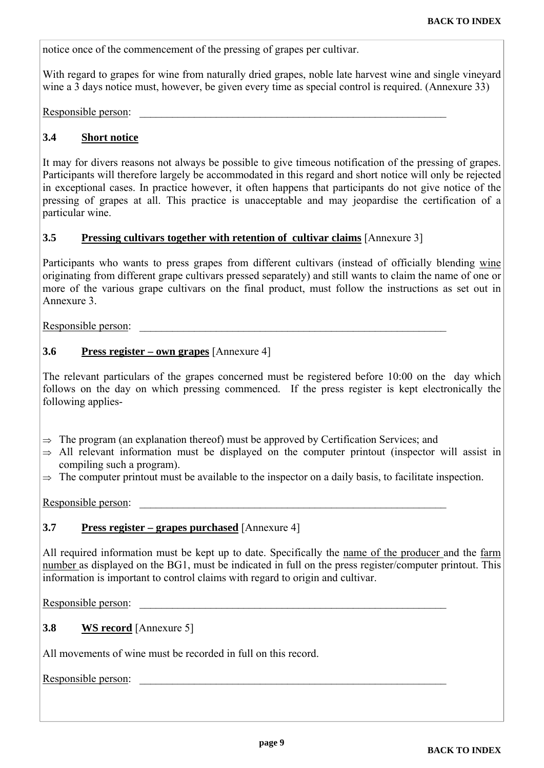notice once of the commencement of the pressing of grapes per cultivar.

With regard to grapes for wine from naturally dried grapes, noble late harvest wine and single vineyard wine a 3 days notice must, however, be given every time as special control is required. (Annexure 33)

Responsible person:

#### **3.4 Short notice**

It may for divers reasons not always be possible to give timeous notification of the pressing of grapes. Participants will therefore largely be accommodated in this regard and short notice will only be rejected in exceptional cases. In practice however, it often happens that participants do not give notice of the pressing of grapes at all. This practice is unacceptable and may jeopardise the certification of a particular wine.

#### **3.5 Pressing cultivars together with retention of cultivar claims** [Annexure 3]

Participants who wants to press grapes from different cultivars (instead of officially blending wine originating from different grape cultivars pressed separately) and still wants to claim the name of one or more of the various grape cultivars on the final product, must follow the instructions as set out in Annexure 3.

Responsible person:

#### **3.6 Press register – own grapes** [Annexure 4]

The relevant particulars of the grapes concerned must be registered before 10:00 on the day which follows on the day on which pressing commenced. If the press register is kept electronically the following applies-

- $\Rightarrow$  The program (an explanation thereof) must be approved by Certification Services; and
- $\Rightarrow$  All relevant information must be displayed on the computer printout (inspector will assist in compiling such a program).
- $\Rightarrow$  The computer printout must be available to the inspector on a daily basis, to facilitate inspection.

Responsible person:

#### **3.7 Press register – grapes purchased** [Annexure 4]

All required information must be kept up to date. Specifically the name of the producer and the farm number as displayed on the BG1, must be indicated in full on the press register/computer printout. This information is important to control claims with regard to origin and cultivar.

Responsible person:

#### **3.8 WS record** [Annexure 5]

All movements of wine must be recorded in full on this record.

Responsible person: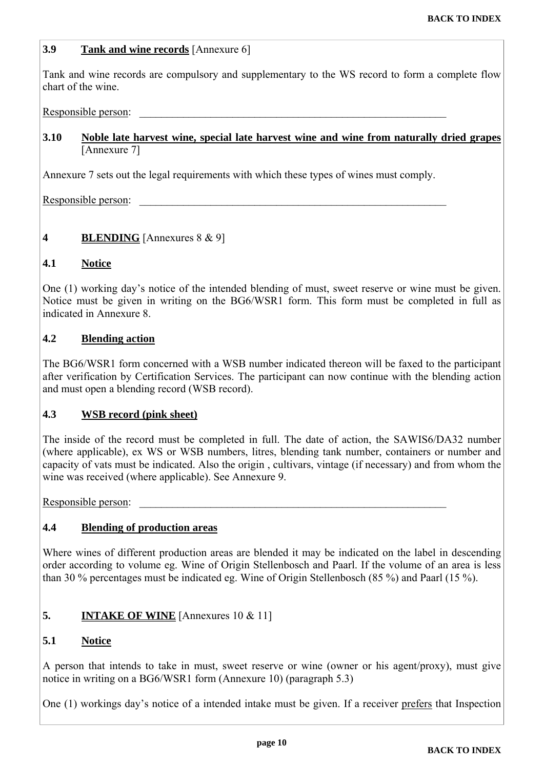#### <span id="page-9-0"></span>**3.9 Tank and wine records** [Annexure 6]

Tank and wine records are compulsory and supplementary to the WS record to form a complete flow chart of the wine.

#### Responsible person:

#### **3.10 Noble late harvest wine, special late harvest wine and wine from naturally dried grapes** [Annexure 7]

Annexure 7 sets out the legal requirements with which these types of wines must comply.

Responsible person:

#### **4 BLENDING** [Annexures 8 & 9]

#### **4.1 Notice**

One (1) working day's notice of the intended blending of must, sweet reserve or wine must be given. Notice must be given in writing on the BG6/WSR1 form. This form must be completed in full as indicated in Annexure 8.

#### **4.2 Blending action**

The BG6/WSR1 form concerned with a WSB number indicated thereon will be faxed to the participant after verification by Certification Services. The participant can now continue with the blending action and must open a blending record (WSB record).

#### **4.3 WSB record (pink sheet)**

The inside of the record must be completed in full. The date of action, the SAWIS6/DA32 number (where applicable), ex WS or WSB numbers, litres, blending tank number, containers or number and capacity of vats must be indicated. Also the origin , cultivars, vintage (if necessary) and from whom the wine was received (where applicable). See Annexure 9.

Responsible person:

#### **4.4 Blending of production areas**

Where wines of different production areas are blended it may be indicated on the label in descending order according to volume eg. Wine of Origin Stellenbosch and Paarl. If the volume of an area is less than 30 % percentages must be indicated eg. Wine of Origin Stellenbosch (85 %) and Paarl (15 %).

#### **5. INTAKE OF WINE** [Annexures 10 & 11]

#### **5.1 Notice**

A person that intends to take in must, sweet reserve or wine (owner or his agent/proxy), must give notice in writing on a BG6/WSR1 form (Annexure 10) (paragraph 5.3)

One (1) workings day's notice of a intended intake must be given. If a receiver prefers that Inspection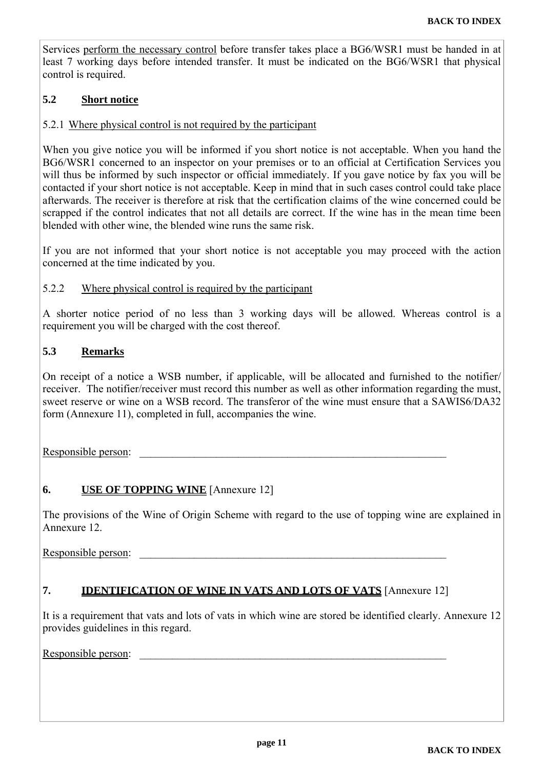<span id="page-10-0"></span>Services perform the necessary control before transfer takes place a BG6/WSR1 must be handed in at least 7 working days before intended transfer. It must be indicated on the BG6/WSR1 that physical control is required.

#### **5.2 Short notice**

#### 5.2.1 Where physical control is not required by the participant

When you give notice you will be informed if you short notice is not acceptable. When you hand the BG6/WSR1 concerned to an inspector on your premises or to an official at Certification Services you will thus be informed by such inspector or official immediately. If you gave notice by fax you will be contacted if your short notice is not acceptable. Keep in mind that in such cases control could take place afterwards. The receiver is therefore at risk that the certification claims of the wine concerned could be scrapped if the control indicates that not all details are correct. If the wine has in the mean time been blended with other wine, the blended wine runs the same risk.

If you are not informed that your short notice is not acceptable you may proceed with the action concerned at the time indicated by you.

#### 5.2.2 Where physical control is required by the participant

A shorter notice period of no less than 3 working days will be allowed. Whereas control is a requirement you will be charged with the cost thereof.

#### **5.3 Remarks**

On receipt of a notice a WSB number, if applicable, will be allocated and furnished to the notifier/ receiver. The notifier/receiver must record this number as well as other information regarding the must, sweet reserve or wine on a WSB record. The transferor of the wine must ensure that a SAWIS6/DA32 form (Annexure 11), completed in full, accompanies the wine.

Responsible person:

#### **6. USE OF TOPPING WINE** [Annexure 12]

The provisions of the Wine of Origin Scheme with regard to the use of topping wine are explained in Annexure 12.

Responsible person:

#### **7. IDENTIFICATION OF WINE IN VATS AND LOTS OF VATS** [Annexure 12]

It is a requirement that vats and lots of vats in which wine are stored be identified clearly. Annexure 12 provides guidelines in this regard.

Responsible person: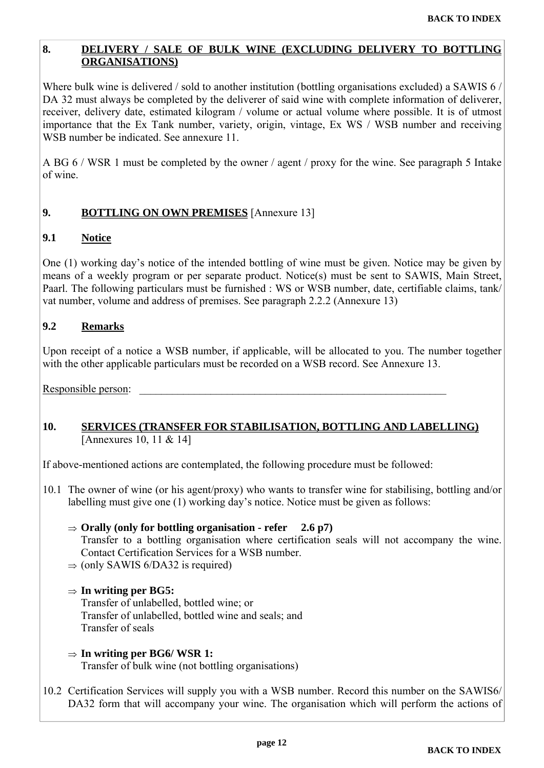#### <span id="page-11-0"></span>**8. DELIVERY / SALE OF BULK WINE (EXCLUDING DELIVERY TO BOTTLING ORGANISATIONS)**

Where bulk wine is delivered / sold to another institution (bottling organisations excluded) a SAWIS 6 / DA 32 must always be completed by the deliverer of said wine with complete information of deliverer, receiver, delivery date, estimated kilogram / volume or actual volume where possible. It is of utmost importance that the Ex Tank number, variety, origin, vintage, Ex WS / WSB number and receiving WSB number be indicated. See annexure 11.

A BG 6 / WSR 1 must be completed by the owner / agent / proxy for the wine. See paragraph 5 Intake of wine.

#### **9. BOTTLING ON OWN PREMISES** [Annexure 13]

#### **9.1 Notice**

One (1) working day's notice of the intended bottling of wine must be given. Notice may be given by means of a weekly program or per separate product. Notice(s) must be sent to SAWIS, Main Street, Paarl. The following particulars must be furnished : WS or WSB number, date, certifiable claims, tank/ vat number, volume and address of premises. See paragraph 2.2.2 (Annexure 13)

#### **9.2 Remarks**

Upon receipt of a notice a WSB number, if applicable, will be allocated to you. The number together with the other applicable particulars must be recorded on a WSB record. See Annexure 13.

Responsible person:

#### **10. SERVICES (TRANSFER FOR STABILISATION, BOTTLING AND LABELLING)**  [Annexures 10, 11 & 14]

If above-mentioned actions are contemplated, the following procedure must be followed:

- 10.1 The owner of wine (or his agent/proxy) who wants to transfer wine for stabilising, bottling and/or labelling must give one (1) working day's notice. Notice must be given as follows:
	- $\Rightarrow$  Orally (only for bottling organisation refer 2.6 p7) Transfer to a bottling organisation where certification seals will not accompany the wine. Contact Certification Services for a WSB number.
	- $\Rightarrow$  (only SAWIS 6/DA32 is required)

#### **In writing per BG5:**

 Transfer of unlabelled, bottled wine; or Transfer of unlabelled, bottled wine and seals; and Transfer of seals

- **In writing per BG6/ WSR 1:** Transfer of bulk wine (not bottling organisations)
- 10.2 Certification Services will supply you with a WSB number. Record this number on the SAWIS6/ DA32 form that will accompany your wine. The organisation which will perform the actions of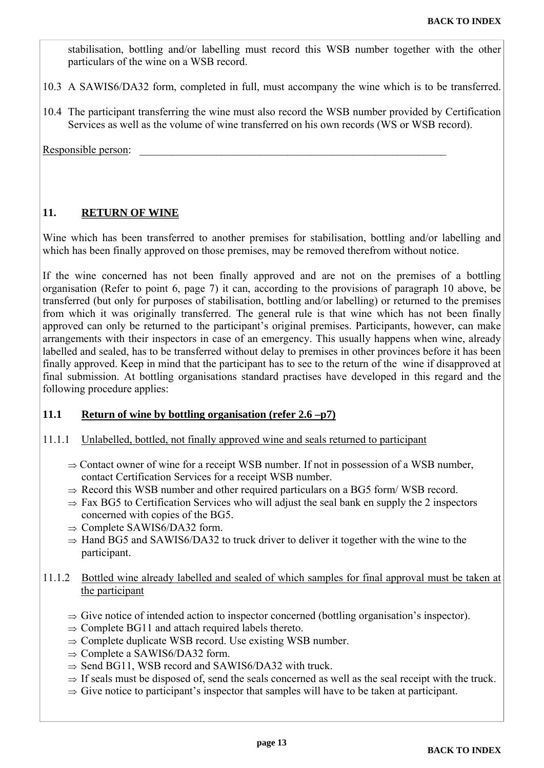<span id="page-12-0"></span>stabilisation, bottling and/or labelling must record this WSB number together with the other particulars of the wine on a WSB record.

- 10.3 A SAWIS6/DA32 form, completed in full, must accompany the wine which is to be transferred.
- 10.4 The participant transferring the wine must also record the WSB number provided by Certification Services as well as the volume of wine transferred on his own records (WS or WSB record).

Responsible person:

#### **11. RETURN OF WINE**

Wine which has been transferred to another premises for stabilisation, bottling and/or labelling and which has been finally approved on those premises, may be removed therefrom without notice.

If the wine concerned has not been finally approved and are not on the premises of a bottling organisation (Refer to point 6, page 7) it can, according to the provisions of paragraph 10 above, be transferred (but only for purposes of stabilisation, bottling and/or labelling) or returned to the premises from which it was originally transferred. The general rule is that wine which has not been finally approved can only be returned to the participant's original premises. Participants, however, can make arrangements with their inspectors in case of an emergency. This usually happens when wine, already labelled and sealed, has to be transferred without delay to premises in other provinces before it has been finally approved. Keep in mind that the participant has to see to the return of the wine if disapproved at final submission. At bottling organisations standard practises have developed in this regard and the following procedure applies:

#### **11.1 Return of wine by bottling organisation (refer 2.6 –p7)**

#### 11.1.1 Unlabelled, bottled, not finally approved wine and seals returned to participant

- $\Rightarrow$  Contact owner of wine for a receipt WSB number. If not in possession of a WSB number, contact Certification Services for a receipt WSB number.
- $\Rightarrow$  Record this WSB number and other required particulars on a BG5 form/WSB record.
- $\Rightarrow$  Fax BG5 to Certification Services who will adjust the seal bank en supply the 2 inspectors concerned with copies of the BG5.
- $\Rightarrow$  Complete SAWIS6/DA32 form.
- $\Rightarrow$  Hand BG5 and SAWIS6/DA32 to truck driver to deliver it together with the wine to the participant.

#### 11.1.2 Bottled wine already labelled and sealed of which samples for final approval must be taken at the participant

- $\Rightarrow$  Give notice of intended action to inspector concerned (bottling organisation's inspector).
- $\Rightarrow$  Complete BG11 and attach required labels thereto.
- $\Rightarrow$  Complete duplicate WSB record. Use existing WSB number.
- $\Rightarrow$  Complete a SAWIS6/DA32 form.
- $\Rightarrow$  Send BG11, WSB record and SAWIS6/DA32 with truck.
- $\Rightarrow$  If seals must be disposed of, send the seals concerned as well as the seal receipt with the truck.
- $\Rightarrow$  Give notice to participant's inspector that samples will have to be taken at participant.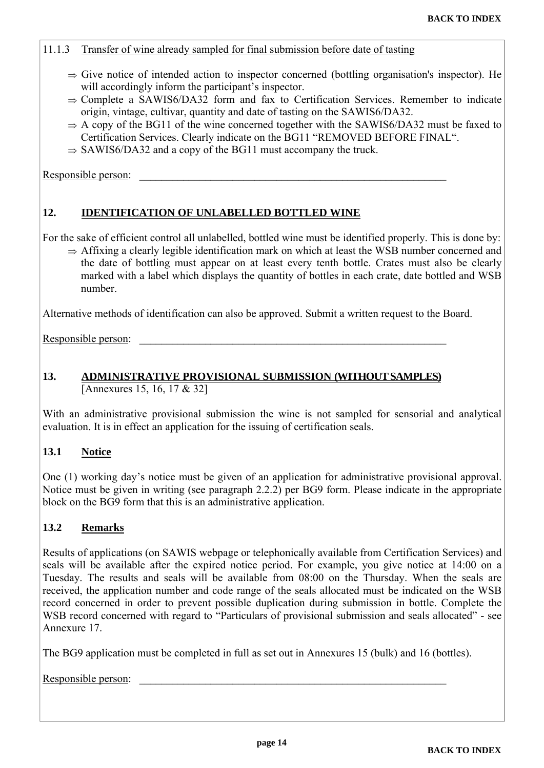#### <span id="page-13-0"></span>11.1.3 Transfer of wine already sampled for final submission before date of tasting

- $\Rightarrow$  Give notice of intended action to inspector concerned (bottling organisation's inspector). He will accordingly inform the participant's inspector.
- $\Rightarrow$  Complete a SAWIS6/DA32 form and fax to Certification Services. Remember to indicate origin, vintage, cultivar, quantity and date of tasting on the SAWIS6/DA32.
- $\Rightarrow$  A copy of the BG11 of the wine concerned together with the SAWIS6/DA32 must be faxed to Certification Services. Clearly indicate on the BG11 "REMOVED BEFORE FINAL".
- $\Rightarrow$  SAWIS6/DA32 and a copy of the BG11 must accompany the truck.

Responsible person:

#### **12. IDENTIFICATION OF UNLABELLED BOTTLED WINE**

For the sake of efficient control all unlabelled, bottled wine must be identified properly. This is done by:

 $\Rightarrow$  Affixing a clearly legible identification mark on which at least the WSB number concerned and the date of bottling must appear on at least every tenth bottle. Crates must also be clearly marked with a label which displays the quantity of bottles in each crate, date bottled and WSB number.

Alternative methods of identification can also be approved. Submit a written request to the Board.

Responsible person:

#### **13. ADMINISTRATIVE PROVISIONAL SUBMISSION (WITHOUT SAMPLES)**  [Annexures 15, 16, 17 & 32]

With an administrative provisional submission the wine is not sampled for sensorial and analytical evaluation. It is in effect an application for the issuing of certification seals.

#### **13.1 Notice**

One (1) working day's notice must be given of an application for administrative provisional approval. Notice must be given in writing (see paragraph 2.2.2) per BG9 form. Please indicate in the appropriate block on the BG9 form that this is an administrative application.

#### **13.2 Remarks**

Results of applications (on SAWIS webpage or telephonically available from Certification Services) and seals will be available after the expired notice period. For example, you give notice at 14:00 on a Tuesday. The results and seals will be available from 08:00 on the Thursday. When the seals are received, the application number and code range of the seals allocated must be indicated on the WSB record concerned in order to prevent possible duplication during submission in bottle. Complete the WSB record concerned with regard to "Particulars of provisional submission and seals allocated" - see Annexure 17.

The BG9 application must be completed in full as set out in Annexures 15 (bulk) and 16 (bottles).

Responsible person: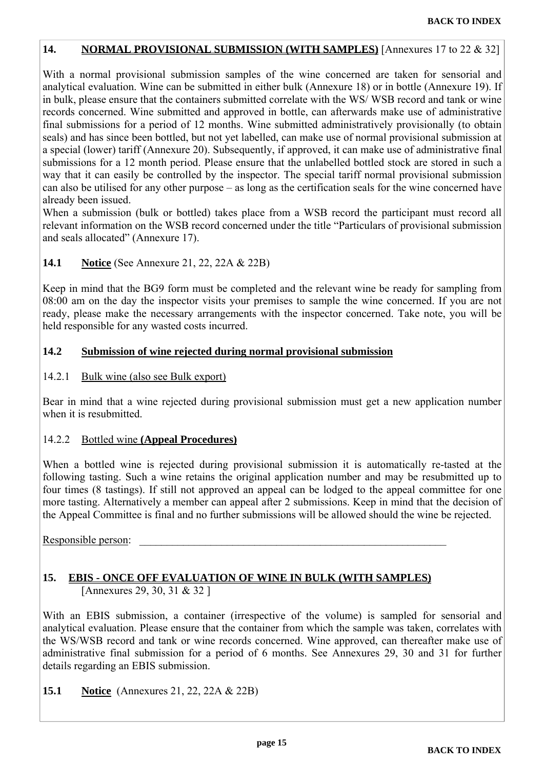#### <span id="page-14-0"></span>**14. NORMAL PROVISIONAL SUBMISSION (WITH SAMPLES)** [Annexures 17 to 22 & 32]

With a normal provisional submission samples of the wine concerned are taken for sensorial and analytical evaluation. Wine can be submitted in either bulk (Annexure 18) or in bottle (Annexure 19). If in bulk, please ensure that the containers submitted correlate with the WS/ WSB record and tank or wine records concerned. Wine submitted and approved in bottle, can afterwards make use of administrative final submissions for a period of 12 months. Wine submitted administratively provisionally (to obtain seals) and has since been bottled, but not yet labelled, can make use of normal provisional submission at a special (lower) tariff (Annexure 20). Subsequently, if approved, it can make use of administrative final submissions for a 12 month period. Please ensure that the unlabelled bottled stock are stored in such a way that it can easily be controlled by the inspector. The special tariff normal provisional submission can also be utilised for any other purpose – as long as the certification seals for the wine concerned have already been issued.

When a submission (bulk or bottled) takes place from a WSB record the participant must record all relevant information on the WSB record concerned under the title "Particulars of provisional submission and seals allocated" (Annexure 17).

#### **14.1 Notice** (See Annexure 21, 22, 22A & 22B)

Keep in mind that the BG9 form must be completed and the relevant wine be ready for sampling from 08:00 am on the day the inspector visits your premises to sample the wine concerned. If you are not ready, please make the necessary arrangements with the inspector concerned. Take note, you will be held responsible for any wasted costs incurred.

#### **14.2 Submission of wine rejected during normal provisional submission**

14.2.1 Bulk wine (also see Bulk export)

Bear in mind that a wine rejected during provisional submission must get a new application number when it is resubmitted.

#### 14.2.2 Bottled wine **(Appeal Procedures)**

When a bottled wine is rejected during provisional submission it is automatically re-tasted at the following tasting. Such a wine retains the original application number and may be resubmitted up to four times (8 tastings). If still not approved an appeal can be lodged to the appeal committee for one more tasting. Alternatively a member can appeal after 2 submissions. Keep in mind that the decision of the Appeal Committee is final and no further submissions will be allowed should the wine be rejected.

Responsible person:

#### **15. EBIS - ONCE OFF EVALUATION OF WINE IN BULK (WITH SAMPLES)**  [Annexures 29, 30, 31 & 32 ]

With an EBIS submission, a container (irrespective of the volume) is sampled for sensorial and analytical evaluation. Please ensure that the container from which the sample was taken, correlates with the WS/WSB record and tank or wine records concerned. Wine approved, can thereafter make use of administrative final submission for a period of 6 months. See Annexures 29, 30 and 31 for further details regarding an EBIS submission.

**15.1 Notice** (Annexures 21, 22, 22A & 22B)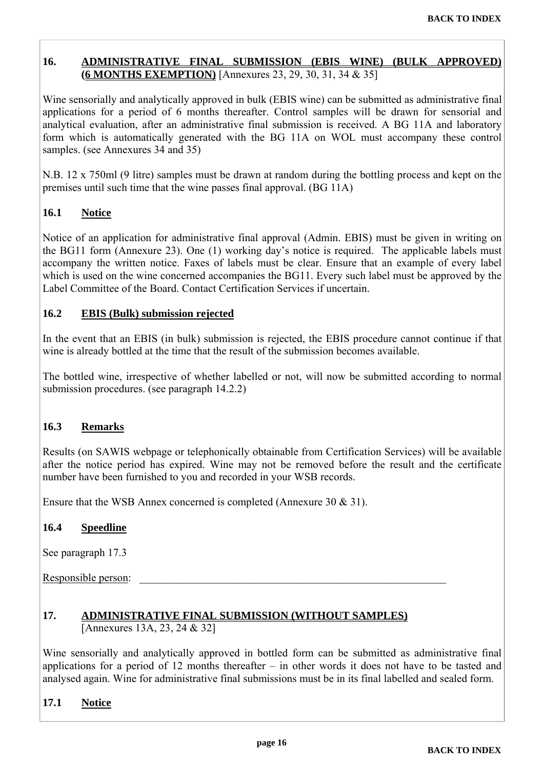#### <span id="page-15-0"></span>**16. ADMINISTRATIVE FINAL SUBMISSION (EBIS WINE) (BULK APPROVED) (6 MONTHS EXEMPTION)** [Annexures 23, 29, 30, 31, 34 & 35]

Wine sensorially and analytically approved in bulk (EBIS wine) can be submitted as administrative final applications for a period of 6 months thereafter. Control samples will be drawn for sensorial and analytical evaluation, after an administrative final submission is received. A BG 11A and laboratory form which is automatically generated with the BG 11A on WOL must accompany these control samples. (see Annexures 34 and 35)

N.B. 12 x 750ml (9 litre) samples must be drawn at random during the bottling process and kept on the premises until such time that the wine passes final approval. (BG 11A)

#### **16.1 Notice**

Notice of an application for administrative final approval (Admin. EBIS) must be given in writing on the BG11 form (Annexure 23). One (1) working day's notice is required. The applicable labels must accompany the written notice. Faxes of labels must be clear. Ensure that an example of every label which is used on the wine concerned accompanies the BG11. Every such label must be approved by the Label Committee of the Board. Contact Certification Services if uncertain.

#### **16.2 EBIS (Bulk) submission rejected**

In the event that an EBIS (in bulk) submission is rejected, the EBIS procedure cannot continue if that wine is already bottled at the time that the result of the submission becomes available.

The bottled wine, irrespective of whether labelled or not, will now be submitted according to normal submission procedures. (see paragraph 14.2.2)

#### **16.3 Remarks**

Results (on SAWIS webpage or telephonically obtainable from Certification Services) will be available after the notice period has expired. Wine may not be removed before the result and the certificate number have been furnished to you and recorded in your WSB records.

Ensure that the WSB Annex concerned is completed (Annexure 30 & 31).

#### **16.4 Speedline**

See paragraph 17.3

Responsible person:

#### **17. ADMINISTRATIVE FINAL SUBMISSION (WITHOUT SAMPLES)** [Annexures 13A, 23, 24 & 32]

Wine sensorially and analytically approved in bottled form can be submitted as administrative final applications for a period of 12 months thereafter – in other words it does not have to be tasted and analysed again. Wine for administrative final submissions must be in its final labelled and sealed form.

### **17.1 Notice**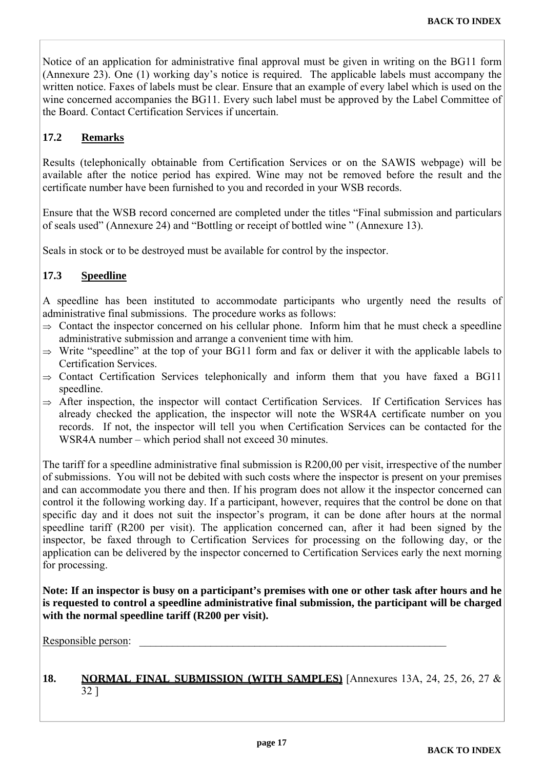Notice of an application for administrative final approval must be given in writing on the BG11 form (Annexure 23). One (1) working day's notice is required. The applicable labels must accompany the written notice. Faxes of labels must be clear. Ensure that an example of every label which is used on the wine concerned accompanies the BG11. Every such label must be approved by the Label Committee of the Board. Contact Certification Services if uncertain.

#### **17.2 Remarks**

Results (telephonically obtainable from Certification Services or on the SAWIS webpage) will be available after the notice period has expired. Wine may not be removed before the result and the certificate number have been furnished to you and recorded in your WSB records.

Ensure that the WSB record concerned are completed under the titles "Final submission and particulars of seals used" (Annexure 24) and "Bottling or receipt of bottled wine " (Annexure 13).

Seals in stock or to be destroyed must be available for control by the inspector.

#### **17.3 Speedline**

A speedline has been instituted to accommodate participants who urgently need the results of administrative final submissions. The procedure works as follows:

- $\Rightarrow$  Contact the inspector concerned on his cellular phone. Inform him that he must check a speedline administrative submission and arrange a convenient time with him.
- $\Rightarrow$  Write "speedline" at the top of your BG11 form and fax or deliver it with the applicable labels to Certification Services.
- $\Rightarrow$  Contact Certification Services telephonically and inform them that you have faxed a BG11 speedline.
- $\Rightarrow$  After inspection, the inspector will contact Certification Services. If Certification Services has already checked the application, the inspector will note the WSR4A certificate number on you records. If not, the inspector will tell you when Certification Services can be contacted for the WSR4A number – which period shall not exceed 30 minutes.

The tariff for a speedline administrative final submission is R200,00 per visit, irrespective of the number of submissions. You will not be debited with such costs where the inspector is present on your premises and can accommodate you there and then. If his program does not allow it the inspector concerned can control it the following working day. If a participant, however, requires that the control be done on that specific day and it does not suit the inspector's program, it can be done after hours at the normal speedline tariff (R200 per visit). The application concerned can, after it had been signed by the inspector, be faxed through to Certification Services for processing on the following day, or the application can be delivered by the inspector concerned to Certification Services early the next morning for processing.

**Note: If an inspector is busy on a participant's premises with one or other task after hours and he is requested to control a speedline administrative final submission, the participant will be charged with the normal speedline tariff (R200 per visit).** 

Responsible person:

#### **18. NORMAL FINAL SUBMISSION (WITH SAMPLES)** [Annexures 13A, 24, 25, 26, 27 & 32 ]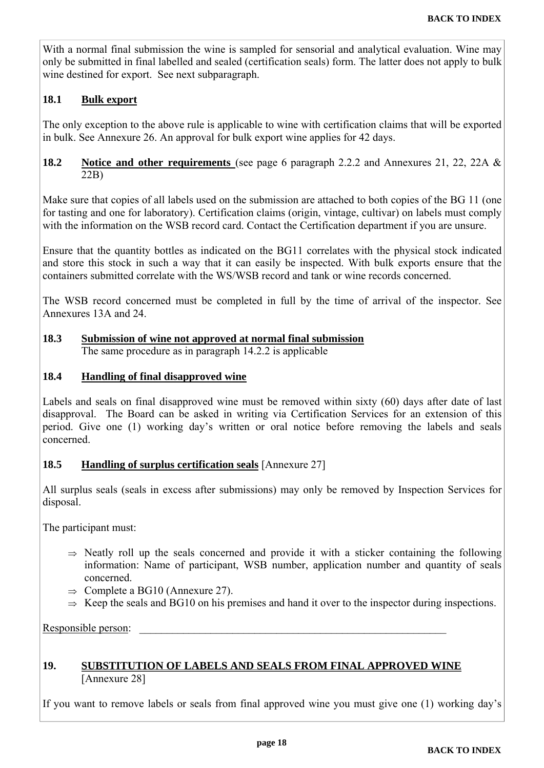<span id="page-17-0"></span>With a normal final submission the wine is sampled for sensorial and analytical evaluation. Wine may only be submitted in final labelled and sealed (certification seals) form. The latter does not apply to bulk wine destined for export. See next subparagraph.

#### **18.1 Bulk export**

The only exception to the above rule is applicable to wine with certification claims that will be exported in bulk. See Annexure 26. An approval for bulk export wine applies for 42 days.

#### **18.2 Notice and other requirements** (see page 6 paragraph 2.2.2 and Annexures 21, 22, 22A & 22B)

Make sure that copies of all labels used on the submission are attached to both copies of the BG 11 (one for tasting and one for laboratory). Certification claims (origin, vintage, cultivar) on labels must comply with the information on the WSB record card. Contact the Certification department if you are unsure.

Ensure that the quantity bottles as indicated on the BG11 correlates with the physical stock indicated and store this stock in such a way that it can easily be inspected. With bulk exports ensure that the containers submitted correlate with the WS/WSB record and tank or wine records concerned.

The WSB record concerned must be completed in full by the time of arrival of the inspector. See Annexures 13A and 24.

## **18.3 Submission of wine not approved at normal final submission**

The same procedure as in paragraph 14.2.2 is applicable

#### **18.4 Handling of final disapproved wine**

Labels and seals on final disapproved wine must be removed within sixty (60) days after date of last disapproval. The Board can be asked in writing via Certification Services for an extension of this period. Give one (1) working day's written or oral notice before removing the labels and seals concerned.

#### **18.5 Handling of surplus certification seals** [Annexure 27]

All surplus seals (seals in excess after submissions) may only be removed by Inspection Services for disposal.

The participant must:

- $\Rightarrow$  Neatly roll up the seals concerned and provide it with a sticker containing the following information: Name of participant, WSB number, application number and quantity of seals concerned.
- $\Rightarrow$  Complete a BG10 (Annexure 27).
- $\Rightarrow$  Keep the seals and BG10 on his premises and hand it over to the inspector during inspections.

Responsible person:

#### **19. SUBSTITUTION OF LABELS AND SEALS FROM FINAL APPROVED WINE** [Annexure 28]

If you want to remove labels or seals from final approved wine you must give one (1) working day's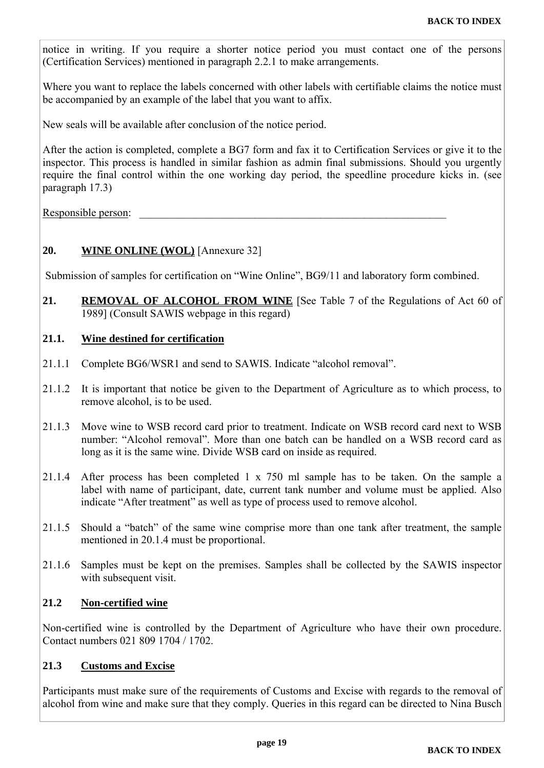<span id="page-18-0"></span>notice in writing. If you require a shorter notice period you must contact one of the persons (Certification Services) mentioned in paragraph 2.2.1 to make arrangements.

Where you want to replace the labels concerned with other labels with certifiable claims the notice must be accompanied by an example of the label that you want to affix.

New seals will be available after conclusion of the notice period.

After the action is completed, complete a BG7 form and fax it to Certification Services or give it to the inspector. This process is handled in similar fashion as admin final submissions. Should you urgently require the final control within the one working day period, the speedline procedure kicks in. (see paragraph 17.3)

Responsible person:

#### **20. WINE ONLINE (WOL)** [Annexure 32]

Submission of samples for certification on "Wine Online", BG9/11 and laboratory form combined.

21. REMOVAL OF ALCOHOL FROM WINE [See Table 7 of the Regulations of Act 60 of 1989] (Consult SAWIS webpage in this regard)

#### **21.1. Wine destined for certification**

- 21.1.1 Complete BG6/WSR1 and send to SAWIS. Indicate "alcohol removal".
- 21.1.2 It is important that notice be given to the Department of Agriculture as to which process, to remove alcohol, is to be used.
- 21.1.3 Move wine to WSB record card prior to treatment. Indicate on WSB record card next to WSB number: "Alcohol removal". More than one batch can be handled on a WSB record card as long as it is the same wine. Divide WSB card on inside as required.
- 21.1.4 After process has been completed 1 x 750 ml sample has to be taken. On the sample a label with name of participant, date, current tank number and volume must be applied. Also indicate "After treatment" as well as type of process used to remove alcohol.
- 21.1.5 Should a "batch" of the same wine comprise more than one tank after treatment, the sample mentioned in 20.1.4 must be proportional.
- 21.1.6 Samples must be kept on the premises. Samples shall be collected by the SAWIS inspector with subsequent visit.

#### **21.2 Non-certified wine**

Non-certified wine is controlled by the Department of Agriculture who have their own procedure. Contact numbers 021 809 1704 / 1702.

#### **21.3 Customs and Excise**

Participants must make sure of the requirements of Customs and Excise with regards to the removal of alcohol from wine and make sure that they comply. Queries in this regard can be directed to Nina Busch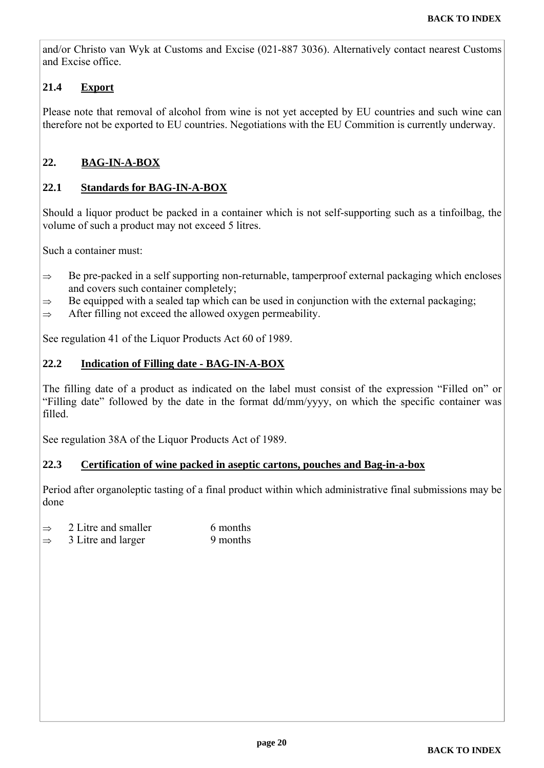<span id="page-19-0"></span>and/or Christo van Wyk at Customs and Excise (021-887 3036). Alternatively contact nearest Customs and Excise office.

### **21.4 Export**

Please note that removal of alcohol from wine is not yet accepted by EU countries and such wine can therefore not be exported to EU countries. Negotiations with the EU Commition is currently underway.

#### **22. BAG-IN-A-BOX**

#### **22.1 Standards for BAG-IN-A-BOX**

Should a liquor product be packed in a container which is not self-supporting such as a tinfoilbag, the volume of such a product may not exceed 5 litres.

Such a container must:

- $\Rightarrow$  Be pre-packed in a self supporting non-returnable, tamperproof external packaging which encloses and covers such container completely;
- $\Rightarrow$  Be equipped with a sealed tap which can be used in conjunction with the external packaging;
- $\Rightarrow$  After filling not exceed the allowed oxygen permeability.

See regulation 41 of the Liquor Products Act 60 of 1989.

#### **22.2 Indication of Filling date - BAG-IN-A-BOX**

The filling date of a product as indicated on the label must consist of the expression "Filled on" or "Filling date" followed by the date in the format dd/mm/yyyy, on which the specific container was filled.

See regulation 38A of the Liquor Products Act of 1989.

#### **22.3 Certification of wine packed in aseptic cartons, pouches and Bag-in-a-box**

Period after organoleptic tasting of a final product within which administrative final submissions may be done

- $\Rightarrow$  2 Litre and smaller 6 months
- $\Rightarrow$  3 Litre and larger 9 months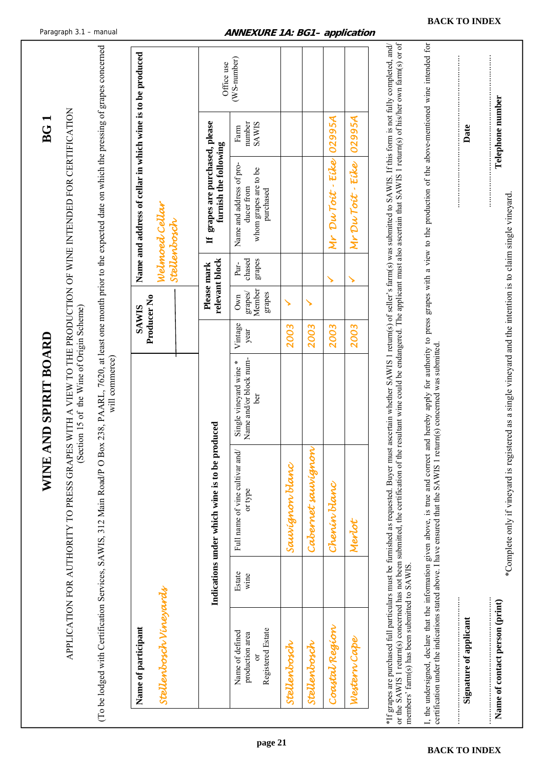<span id="page-20-0"></span>

|                                                                                                                                                                                                                                                                                                                                                        |                |                                                                                                             | WINE AND SPIRIT BOARD                                  |                             |                                           |                          |                                                                                                                           | BG1                            |             |
|--------------------------------------------------------------------------------------------------------------------------------------------------------------------------------------------------------------------------------------------------------------------------------------------------------------------------------------------------------|----------------|-------------------------------------------------------------------------------------------------------------|--------------------------------------------------------|-----------------------------|-------------------------------------------|--------------------------|---------------------------------------------------------------------------------------------------------------------------|--------------------------------|-------------|
|                                                                                                                                                                                                                                                                                                                                                        |                | APPLICATION FOR AUTHORITY TO PRESS GRAPES WITH A VIEW TO THE PRODUCTION OF WINE INTENDED FOR CERTIFICATION  | (Section 15 of the Wine of Origin Scheme)              |                             |                                           |                          |                                                                                                                           |                                |             |
| (To be lodged with Certification Services, SAWIS, 312 Main Road/P O Box 238, PAARL, 7620, at least one month prior to the expected date on which the pressing of grapes concerned                                                                                                                                                                      |                |                                                                                                             | will commerce)                                         |                             |                                           |                          |                                                                                                                           |                                |             |
| Name of participant                                                                                                                                                                                                                                                                                                                                    |                |                                                                                                             |                                                        | Producer No<br><b>SAWIS</b> |                                           |                          | Name and address of cellar in which wine is to be produced                                                                |                                |             |
| Stellenbosch Vineyards                                                                                                                                                                                                                                                                                                                                 |                |                                                                                                             |                                                        |                             |                                           |                          | Weinsed Ceitar<br>Stellenbosch                                                                                            |                                |             |
|                                                                                                                                                                                                                                                                                                                                                        |                | Indications under which wine is to be produced                                                              |                                                        |                             | relevant block<br>Please mark             |                          | grapes are purchased, please<br>furnish the following<br>H                                                                |                                | Office use  |
| Registered Estate<br>Name of defined<br>production area                                                                                                                                                                                                                                                                                                | Estate<br>wine | Full name of vine cultivar and/<br>or type                                                                  | Name and/or block num-<br>Single vineyard wine*<br>ber | Vintage<br>year             | Member<br>${\rm graphs}$<br>grapes<br>Own | chased<br>grapes<br>Pur- | Name and address of pro-<br>whom grapes are to be<br>ducer from<br>purchased                                              | <b>SAWIS</b><br>number<br>Farm | (WS-number) |
| Stellenbosch                                                                                                                                                                                                                                                                                                                                           |                | Sauvignon blanc                                                                                             |                                                        | 2003                        | ↘                                         |                          |                                                                                                                           |                                |             |
| stellenbosch                                                                                                                                                                                                                                                                                                                                           |                | Cabernet saurignon                                                                                          |                                                        | 2003                        | ↘                                         |                          |                                                                                                                           |                                |             |
| Coastal Region                                                                                                                                                                                                                                                                                                                                         |                | Chenin Hanc                                                                                                 |                                                        | 2003                        |                                           | ↘                        | Mr DuToit-Eike                                                                                                            | 02995A                         |             |
| Western Cape                                                                                                                                                                                                                                                                                                                                           |                | Merlot                                                                                                      |                                                        | 2003                        |                                           | ↘                        | Mr Du Toit - Eile                                                                                                         | 02995A                         |             |
| *If grapes are purchased full particulars must be furnished as requested. Buyer must ascertain whether SAWIS 1 return(s) of seller's farm(s) was submitted to SAWIS. If this form is not fully completed, and/<br>or the SAWIS 1 return(s) concerned has not been submitted, the certification of the<br>members' farm(s) has been submitted to SAWIS. |                |                                                                                                             |                                                        |                             |                                           |                          | resultant wine could be endangered. The applicant must also ascertain that SAWIS 1 return(s) of his/her own farm(s) or of |                                |             |
| I, the undersigned, declare that the information given above, is true and correct and hereby apply for authority to press grapes with a view to the production of the above-mentioned wine intended for<br>certification under the indications stated above. I have ensured that the SAWIS 1 return(s) concerned was submitted.                        |                |                                                                                                             |                                                        |                             |                                           |                          |                                                                                                                           |                                |             |
| Signature of applicant                                                                                                                                                                                                                                                                                                                                 |                |                                                                                                             |                                                        |                             |                                           |                          |                                                                                                                           | Date                           |             |
| Name of contact person (print)                                                                                                                                                                                                                                                                                                                         |                | Complete only if vineyard is registered as a single vineyard and the intention is to claim single vineyard* |                                                        |                             |                                           |                          |                                                                                                                           | Telephone number               |             |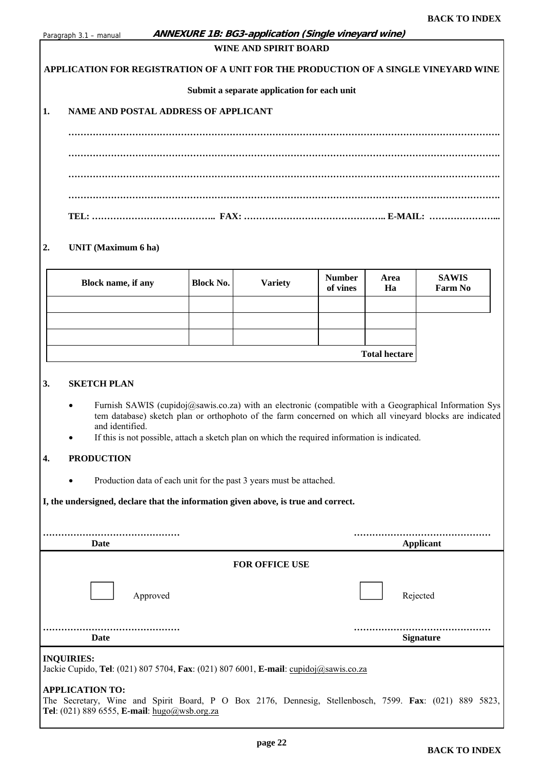<span id="page-21-0"></span>

| Paragraph 3.1 - manual |  |
|------------------------|--|
|                        |  |

#### **ANNEXURE 1B: BG3-application (Single vineyard wine)**

#### **WINE AND SPIRIT BOARD**

#### **APPLICATION FOR REGISTRATION OF A UNIT FOR THE PRODUCTION OF A SINGLE VINEYARD WINE**

#### **Submit a separate application for each unit**

#### **1. NAME AND POSTAL ADDRESS OF APPLICANT**

#### **2. UNIT (Maximum 6 ha)**

| Block name, if any | <b>Block No.</b> | <b>Variety</b> | <b>Number</b><br>of vines | Area<br>Ha           | <b>SAWIS</b><br>Farm No |
|--------------------|------------------|----------------|---------------------------|----------------------|-------------------------|
|                    |                  |                |                           |                      |                         |
|                    |                  |                |                           |                      |                         |
|                    |                  |                |                           |                      |                         |
|                    |                  |                |                           | <b>Total hectare</b> |                         |

#### **3. SKETCH PLAN**

- Furnish SAWIS (cupidoj@sawis.co.za) with an electronic (compatible with a Geographical Information Sys tem database) sketch plan or orthophoto of the farm concerned on which all vineyard blocks are indicated and identified.
- If this is not possible, attach a sketch plan on which the required information is indicated.

#### **4. PRODUCTION**

• Production data of each unit for the past 3 years must be attached.

**I, the undersigned, declare that the information given above, is true and correct.** 

| Date                                                                                                      | Applicant             |
|-----------------------------------------------------------------------------------------------------------|-----------------------|
|                                                                                                           | <b>FOR OFFICE USE</b> |
| Approved                                                                                                  | Rejected              |
| Date                                                                                                      | <b>Signature</b>      |
| <b>INQUIRIES:</b><br>Jackie Cupido, Tel: (021) 807 5704, Fax: (021) 807 6001, E-mail: cupidoj@sawis.co.za |                       |

#### **APPLICATION TO:**

The Secretary, Wine and Spirit Board, P O Box 2176, Dennesig, Stellenbosch, 7599. **Fax**: (021) 889 5823, **Tel**: (021) 889 6555, **E-mail**: hugo@wsb.org.za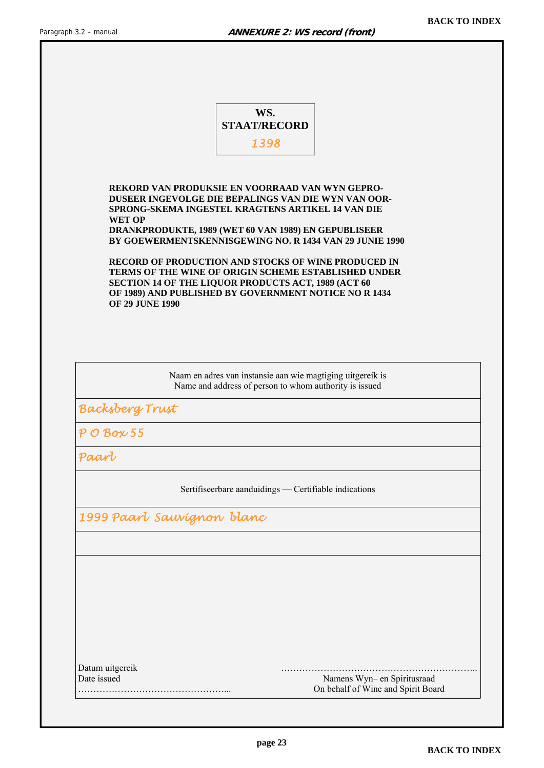<span id="page-22-0"></span>

|                                                                | WS.<br><b>STAAT/RECORD</b>                                                                                                                                                                                                                                                     |  |
|----------------------------------------------------------------|--------------------------------------------------------------------------------------------------------------------------------------------------------------------------------------------------------------------------------------------------------------------------------|--|
|                                                                | 1398                                                                                                                                                                                                                                                                           |  |
|                                                                |                                                                                                                                                                                                                                                                                |  |
| <b>WET OP</b>                                                  | REKORD VAN PRODUKSIE EN VOORRAAD VAN WYN GEPRO-<br>DUSEER INGEVOLGE DIE BEPALINGS VAN DIE WYN VAN OOR-<br>SPRONG-SKEMA INGESTEL KRAGTENS ARTIKEL 14 VAN DIE<br>DRANKPRODUKTE, 1989 (WET 60 VAN 1989) EN GEPUBLISEER<br>BY GOEWERMENTSKENNISGEWING NO. R 1434 VAN 29 JUNIE 1990 |  |
| <b>OF 29 JUNE 1990</b>                                         | <b>RECORD OF PRODUCTION AND STOCKS OF WINE PRODUCED IN</b><br>TERMS OF THE WINE OF ORIGIN SCHEME ESTABLISHED UNDER<br>SECTION 14 OF THE LIQUOR PRODUCTS ACT, 1989 (ACT 60<br>OF 1989) AND PUBLISHED BY GOVERNMENT NOTICE NO R 1434                                             |  |
|                                                                | Naam en adres van instansie aan wie magtiging uitgereik is<br>Name and address of person to whom authority is issued                                                                                                                                                           |  |
| Backsberg Trust                                                |                                                                                                                                                                                                                                                                                |  |
|                                                                |                                                                                                                                                                                                                                                                                |  |
|                                                                |                                                                                                                                                                                                                                                                                |  |
|                                                                |                                                                                                                                                                                                                                                                                |  |
|                                                                | Sertifiseerbare aanduidings - Certifiable indications                                                                                                                                                                                                                          |  |
| $\overline{P}$ O Box 55<br>Paarl<br>1999 Paart Sauvígnon blanc |                                                                                                                                                                                                                                                                                |  |
|                                                                |                                                                                                                                                                                                                                                                                |  |
|                                                                |                                                                                                                                                                                                                                                                                |  |
|                                                                |                                                                                                                                                                                                                                                                                |  |
|                                                                |                                                                                                                                                                                                                                                                                |  |
|                                                                |                                                                                                                                                                                                                                                                                |  |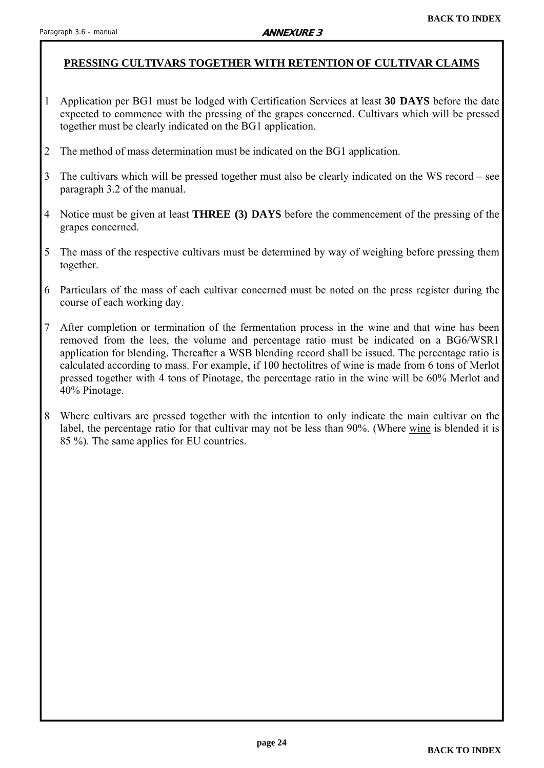#### <span id="page-23-0"></span>**PRESSING CULTIVARS TOGETHER WITH RETENTION OF CULTIVAR CLAIMS**

- 1 Application per BG1 must be lodged with Certification Services at least **30 DAYS** before the date expected to commence with the pressing of the grapes concerned. Cultivars which will be pressed together must be clearly indicated on the BG1 application.
- 2 The method of mass determination must be indicated on the BG1 application.
- 3 The cultivars which will be pressed together must also be clearly indicated on the WS record see paragraph 3.2 of the manual.
- 4 Notice must be given at least **THREE (3) DAYS** before the commencement of the pressing of the grapes concerned.
- 5 The mass of the respective cultivars must be determined by way of weighing before pressing them together.
- 6 Particulars of the mass of each cultivar concerned must be noted on the press register during the course of each working day.
- 7 After completion or termination of the fermentation process in the wine and that wine has been removed from the lees, the volume and percentage ratio must be indicated on a BG6/WSR1 application for blending. Thereafter a WSB blending record shall be issued. The percentage ratio is calculated according to mass. For example, if 100 hectolitres of wine is made from 6 tons of Merlot pressed together with 4 tons of Pinotage, the percentage ratio in the wine will be 60% Merlot and 40% Pinotage.
- 8 Where cultivars are pressed together with the intention to only indicate the main cultivar on the label, the percentage ratio for that cultivar may not be less than 90%. (Where wine is blended it is 85 %). The same applies for EU countries.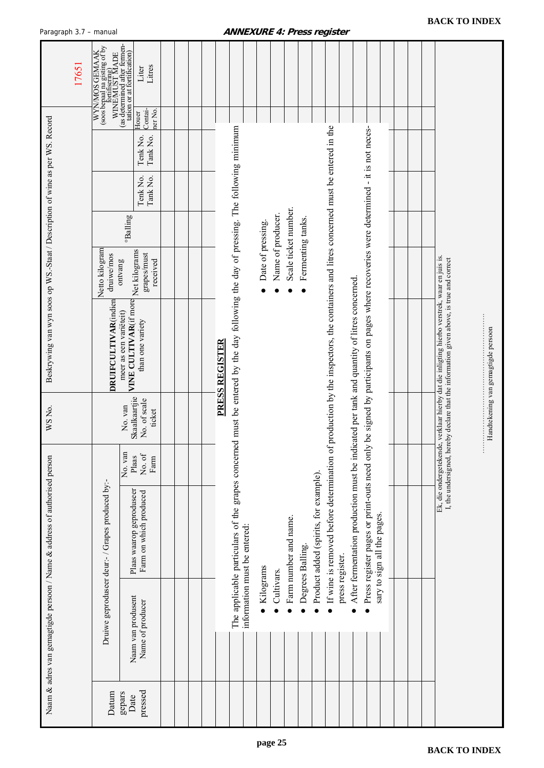| aragrapri                                                                      |                                                                                                                     |                                                    |                |                                                                                                                                                                    |                   |                   |                       |                   |                                        | ogiatoi                                                                                                                             |                                                                                            |                                                                                        |                             |  |                                                                                                                                                                 |                                     |
|--------------------------------------------------------------------------------|---------------------------------------------------------------------------------------------------------------------|----------------------------------------------------|----------------|--------------------------------------------------------------------------------------------------------------------------------------------------------------------|-------------------|-------------------|-----------------------|-------------------|----------------------------------------|-------------------------------------------------------------------------------------------------------------------------------------|--------------------------------------------------------------------------------------------|----------------------------------------------------------------------------------------|-----------------------------|--|-----------------------------------------------------------------------------------------------------------------------------------------------------------------|-------------------------------------|
| 17651                                                                          | (as determined after fermen-<br>WYN/MOS GEMAAK<br>(soos bepaal na gisting of by<br>fortifisering)<br>MINE/MUST MADE | tation or at fortification)<br>Litres<br>Liter     |                |                                                                                                                                                                    |                   |                   |                       |                   |                                        |                                                                                                                                     |                                                                                            |                                                                                        |                             |  |                                                                                                                                                                 |                                     |
|                                                                                |                                                                                                                     | Contai-<br>ner No.<br>Houer                        |                |                                                                                                                                                                    |                   |                   |                       |                   |                                        |                                                                                                                                     |                                                                                            |                                                                                        |                             |  |                                                                                                                                                                 |                                     |
|                                                                                |                                                                                                                     | Tenk No.<br>Tank No.                               |                |                                                                                                                                                                    |                   |                   |                       |                   |                                        |                                                                                                                                     |                                                                                            |                                                                                        |                             |  |                                                                                                                                                                 |                                     |
|                                                                                |                                                                                                                     | Tenk No.<br>Tank No.                               |                |                                                                                                                                                                    |                   |                   |                       |                   |                                        |                                                                                                                                     |                                                                                            |                                                                                        |                             |  |                                                                                                                                                                 |                                     |
|                                                                                |                                                                                                                     | <sup>o</sup> Balling                               |                |                                                                                                                                                                    |                   | Name of producer. | Scale ticket number.  |                   |                                        |                                                                                                                                     |                                                                                            |                                                                                        |                             |  |                                                                                                                                                                 |                                     |
|                                                                                | Netto kilogram<br>druiwe/mos<br>ontvang                                                                             | Net kilograms<br>grapes/must<br>received           |                |                                                                                                                                                                    | Date of pressing. |                   |                       | Fermenting tanks. |                                        |                                                                                                                                     |                                                                                            |                                                                                        |                             |  |                                                                                                                                                                 |                                     |
| Beskrywing van wyn soos op WS .- Staat / Description of wine as per WS. Record | DRUIFCULTIVAR(indien<br>meer as een variëteit)                                                                      | VINE CULTIVAR(if more<br>than one variety          | PRESS REGISTER |                                                                                                                                                                    |                   |                   |                       |                   |                                        |                                                                                                                                     |                                                                                            | be signed by participants on pages where recoveries were determined - it is not neces- |                             |  | verklaar hierby dat die inligting hierbo verstrek, waar en juis is.<br>I, the undersigned, hereby declare that the information given above, is true and correct | Handtekening van gemagtigde persoon |
| WS No.                                                                         |                                                                                                                     | Skaalkaartjie<br>No. of scale<br>No. van<br>ticket |                |                                                                                                                                                                    |                   |                   |                       |                   |                                        |                                                                                                                                     |                                                                                            |                                                                                        |                             |  |                                                                                                                                                                 |                                     |
|                                                                                |                                                                                                                     | No. van<br>No. of<br>Plaas<br>Farm                 |                |                                                                                                                                                                    |                   |                   |                       |                   |                                        |                                                                                                                                     |                                                                                            |                                                                                        |                             |  | Ek, die ondergetekende,                                                                                                                                         |                                     |
| Naam & adres van gemagtigde persoon / Name & address of authorised person      | Druiwe geproduseer deur:- / Grapes produced by:-                                                                    | Plaas waarop geproduseer<br>Farm on which produced |                | The applicable particulars of the grapes concerned must be entered by the day following the day of pressing. The following minimum<br>information must be entered: |                   |                   | Farm number and name. | Degrees Balling   | · Product added (spirits, for example) | If wine is removed before determination of production by the inspectors, the containers and litres concerned must be entered in the | After fermentation production must be indicated per tank and quantity of litres concerned. | Press register pages or print-outs need only                                           | sary to sign all the pages. |  |                                                                                                                                                                 |                                     |
|                                                                                |                                                                                                                     | Naam van produsent<br>Name of producer             |                |                                                                                                                                                                    | Kilograms         | Cultivars.        |                       | $\bullet$         |                                        | press register.<br>$\bullet$                                                                                                        |                                                                                            |                                                                                        |                             |  |                                                                                                                                                                 |                                     |
|                                                                                | Datum<br>gepars                                                                                                     | pressed<br>Date                                    |                |                                                                                                                                                                    |                   |                   |                       |                   |                                        |                                                                                                                                     |                                                                                            |                                                                                        |                             |  |                                                                                                                                                                 |                                     |

#### <span id="page-24-0"></span>Paragraph 3.7 – manual **ANNEXURE 4: Press register**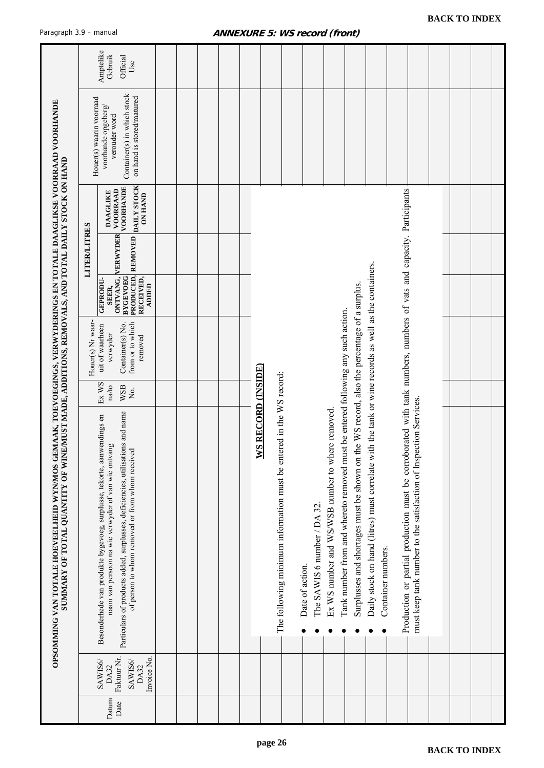<span id="page-25-0"></span>

|                                                                                                                                                                                                                     |                          | Amptelike<br>Gebruik<br>Official<br>Use                                                                                                                                                                                                                            |  |  |                           |                                                                     |                 |                             |                                                  |                                                                                                                                                                               |                                                                                                                            |                                                                                                                                                                                          |  |  |
|---------------------------------------------------------------------------------------------------------------------------------------------------------------------------------------------------------------------|--------------------------|--------------------------------------------------------------------------------------------------------------------------------------------------------------------------------------------------------------------------------------------------------------------|--|--|---------------------------|---------------------------------------------------------------------|-----------------|-----------------------------|--------------------------------------------------|-------------------------------------------------------------------------------------------------------------------------------------------------------------------------------|----------------------------------------------------------------------------------------------------------------------------|------------------------------------------------------------------------------------------------------------------------------------------------------------------------------------------|--|--|
|                                                                                                                                                                                                                     | Houer(s) waarin voorraad | Container(s) in which stock<br>on hand is stored/matured<br>voorhande opgeberg/<br>verouder word                                                                                                                                                                   |  |  |                           |                                                                     |                 |                             |                                                  |                                                                                                                                                                               |                                                                                                                            |                                                                                                                                                                                          |  |  |
|                                                                                                                                                                                                                     |                          | PRODUCED, REMOVED DAILY STOCK<br>VOORHANDE<br>VOORRAAD<br><b>DAAGLIKE</b><br><b>ON HAND</b>                                                                                                                                                                        |  |  |                           |                                                                     |                 |                             |                                                  |                                                                                                                                                                               |                                                                                                                            |                                                                                                                                                                                          |  |  |
|                                                                                                                                                                                                                     | <b>LITER/LITRES</b>      | ONTVANG, VERWYDER<br>BYGEVOEG                                                                                                                                                                                                                                      |  |  |                           |                                                                     |                 |                             |                                                  |                                                                                                                                                                               |                                                                                                                            |                                                                                                                                                                                          |  |  |
|                                                                                                                                                                                                                     |                          | RECEIVED,<br>GEPRODU-<br><b>ADDED</b><br>SEER.                                                                                                                                                                                                                     |  |  |                           |                                                                     |                 |                             |                                                  |                                                                                                                                                                               |                                                                                                                            |                                                                                                                                                                                          |  |  |
|                                                                                                                                                                                                                     | Houer(s) Nr waar-        | from or to which<br>Container(s) No.<br>uit of waarheen<br>verwyder<br>removed                                                                                                                                                                                     |  |  |                           |                                                                     |                 |                             |                                                  |                                                                                                                                                                               |                                                                                                                            |                                                                                                                                                                                          |  |  |
|                                                                                                                                                                                                                     |                          | Ex WS<br>WSB<br>na/to<br>$\rm \dot{M}$                                                                                                                                                                                                                             |  |  |                           |                                                                     |                 |                             |                                                  |                                                                                                                                                                               |                                                                                                                            |                                                                                                                                                                                          |  |  |
| OPSOMMING VAN TOTALE HOEVEELHEID WYNMOS GEMAAK, TOEVOEGINGS, VERWYDERINGS EN TOTALE DAAGLIKSE VOORRAAD VOORHANDE<br>SUMMARY OF TOTAL QUANTITY OF WINE/MUST MADE, ADDITIONS, REMOVALS, AND TOTAL DAILY STOCK ON HAND |                          | Particulars of products added, surplusses, deficiencies, utilisations and name<br>Besonderhede van produkte bygevoeg, surplusse, tekorte, aanwendings en<br>naam van persoon na wie verwyder of van wie ontvang<br>of person to whom removed or from whom received |  |  | <b>WS RECORD (INSIDE)</b> | The following minimum information must be entered in the WS record: | Date of action. | The SAWIS 6 number / DA 32. | Ex WS number and WS/WSB number to where removed. | Surplusses and shortages must be shown on the WS record, also the percentage of a surplus.<br>Tank number from and whereto removed must be entered following any such action. | Daily stock on hand (litres) must correlate with the tank or wine records as well as the containers.<br>Container numbers. | Production or partial production must be corroborated with tank numbers, numbers of vats and capacity. Participants<br>must keep tank number to the satisfaction of Inspection Services. |  |  |
|                                                                                                                                                                                                                     |                          | Faktuur Nr.<br>Invoice No.<br>SAWIS6/<br>SAWIS6/<br>DA32<br>DA32                                                                                                                                                                                                   |  |  |                           |                                                                     |                 |                             |                                                  |                                                                                                                                                                               |                                                                                                                            |                                                                                                                                                                                          |  |  |
|                                                                                                                                                                                                                     |                          | Datum<br>Date                                                                                                                                                                                                                                                      |  |  |                           |                                                                     |                 |                             |                                                  |                                                                                                                                                                               |                                                                                                                            |                                                                                                                                                                                          |  |  |

#### **ANNEXURE 5: WS record (front)**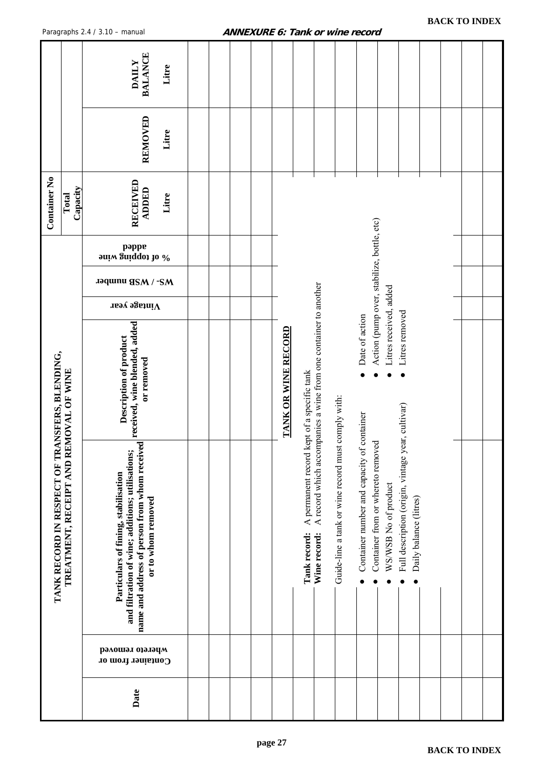<span id="page-26-0"></span>

|                             |                        | <b>BALANCE</b><br><b>DAILY</b><br>Litre                                                                                                                                                       |  |  |                            |                                                            |                                                                 |                                                    |                                                                                 |                                                                      |                                                                             |  |  |
|-----------------------------|------------------------|-----------------------------------------------------------------------------------------------------------------------------------------------------------------------------------------------|--|--|----------------------------|------------------------------------------------------------|-----------------------------------------------------------------|----------------------------------------------------|---------------------------------------------------------------------------------|----------------------------------------------------------------------|-----------------------------------------------------------------------------|--|--|
|                             |                        | REMOVED<br>Litre                                                                                                                                                                              |  |  |                            |                                                            |                                                                 |                                                    |                                                                                 |                                                                      |                                                                             |  |  |
| <b>Container No</b>         | Capacity<br>Total      | RECEIVED<br><b>ADDED</b><br>Litre                                                                                                                                                             |  |  |                            |                                                            |                                                                 |                                                    |                                                                                 |                                                                      |                                                                             |  |  |
|                             |                        | pappe<br>90 of topping wine                                                                                                                                                                   |  |  |                            |                                                            |                                                                 |                                                    |                                                                                 |                                                                      |                                                                             |  |  |
|                             |                        | <b>THAT ANSB number</b>                                                                                                                                                                       |  |  |                            |                                                            |                                                                 |                                                    |                                                                                 |                                                                      |                                                                             |  |  |
|                             |                        | $\Lambda$ intage year                                                                                                                                                                         |  |  |                            |                                                            |                                                                 |                                                    |                                                                                 |                                                                      |                                                                             |  |  |
| TRANSFERS, BLENDING,        | REMOVAL OF WINE        | Description of product                                                                                                                                                                        |  |  | <b>TANK OR WINE RECORD</b> |                                                            | A record which accompanies a wine from one container to another |                                                    | Date of action                                                                  | Action (pump over, stabilize, bottle, etc)<br>Litres received, added | Litres removed                                                              |  |  |
| TANK RECORD IN RESPECT OF 7 | TREATMENT, RECEIPT AND | name and address of person from whom received received, wine blended, added<br>and filtration of wine; additions; utilisations;<br>Particulars of fining, stabilisation<br>or to whom removed |  |  |                            | A permanent record kept of a specific tank<br>Tank record: | Wine record:                                                    | Guide-line a tank or wine record must comply with: | Container number and capacity of container<br>Container from or whereto removed | WS/WSB No of product                                                 | Full description (origin, vintage year, cultivar)<br>Daily balance (litres) |  |  |
|                             |                        | рэлошэл орэлэцм<br>Container from or                                                                                                                                                          |  |  |                            |                                                            |                                                                 |                                                    |                                                                                 |                                                                      |                                                                             |  |  |
|                             |                        | Date                                                                                                                                                                                          |  |  |                            |                                                            |                                                                 |                                                    |                                                                                 |                                                                      |                                                                             |  |  |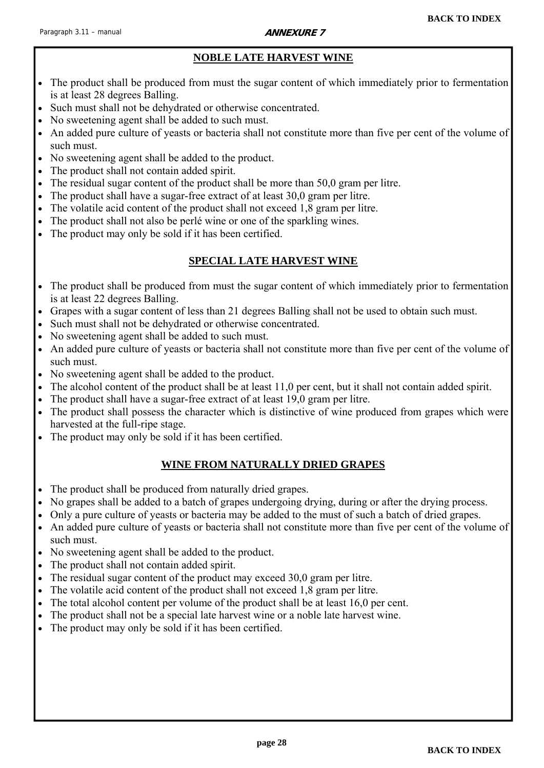#### **ANNEXURE 7**

### **NOBLE LATE HARVEST WINE**

- <span id="page-27-0"></span> The product shall be produced from must the sugar content of which immediately prior to fermentation is at least 28 degrees Balling.
- Such must shall not be dehydrated or otherwise concentrated.
- No sweetening agent shall be added to such must.
- An added pure culture of yeasts or bacteria shall not constitute more than five per cent of the volume of such must.
- No sweetening agent shall be added to the product.
- The product shall not contain added spirit.
- The residual sugar content of the product shall be more than 50,0 gram per litre.
- The product shall have a sugar-free extract of at least 30,0 gram per litre.
- The volatile acid content of the product shall not exceed 1,8 gram per litre.
- The product shall not also be perlé wine or one of the sparkling wines.
- The product may only be sold if it has been certified.

#### **SPECIAL LATE HARVEST WINE**

- The product shall be produced from must the sugar content of which immediately prior to fermentation is at least 22 degrees Balling.
- Grapes with a sugar content of less than 21 degrees Balling shall not be used to obtain such must.
- Such must shall not be dehydrated or otherwise concentrated.
- No sweetening agent shall be added to such must.
- An added pure culture of yeasts or bacteria shall not constitute more than five per cent of the volume of such must.
- No sweetening agent shall be added to the product.
- The alcohol content of the product shall be at least 11,0 per cent, but it shall not contain added spirit.
- The product shall have a sugar-free extract of at least 19,0 gram per litre.
- The product shall possess the character which is distinctive of wine produced from grapes which were harvested at the full-ripe stage.
- The product may only be sold if it has been certified.

#### **WINE FROM NATURALLY DRIED GRAPES**

- The product shall be produced from naturally dried grapes.
- No grapes shall be added to a batch of grapes undergoing drying, during or after the drying process.
- Only a pure culture of yeasts or bacteria may be added to the must of such a batch of dried grapes.
- An added pure culture of yeasts or bacteria shall not constitute more than five per cent of the volume of such must.
- No sweetening agent shall be added to the product.
- The product shall not contain added spirit.
- The residual sugar content of the product may exceed 30,0 gram per litre.
- The volatile acid content of the product shall not exceed 1,8 gram per litre.
- The total alcohol content per volume of the product shall be at least 16,0 per cent.
- The product shall not be a special late harvest wine or a noble late harvest wine.
- The product may only be sold if it has been certified.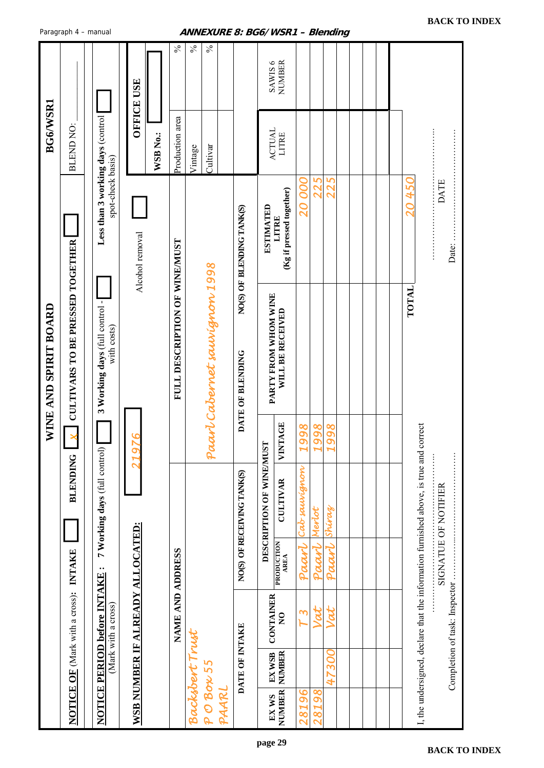<span id="page-28-0"></span>

|                       | Paragraph 4 - manual                         |                                                        |                                         |                               | ANNEXURE 8: BG6/WSR1 – Blending |                            |                          |                                                     |                        |                 |                        |  |                                                                                       |                               |
|-----------------------|----------------------------------------------|--------------------------------------------------------|-----------------------------------------|-------------------------------|---------------------------------|----------------------------|--------------------------|-----------------------------------------------------|------------------------|-----------------|------------------------|--|---------------------------------------------------------------------------------------|-------------------------------|
|                       |                                              |                                                        | <b>OFFICE USE</b>                       | $\%$                          | $\frac{5}{6}$<br>$\frac{5}{6}$  |                            | SAWIS <sub>6</sub>       | <b>NUMBER</b>                                       |                        |                 |                        |  |                                                                                       |                               |
| <b>BG6/WSR1</b>       | BLEND NO:                                    |                                                        | WSB No.:                                | Production area               | Cultivar<br>Vintage             |                            | <b>ACTUAL</b>            | LITRE                                               |                        |                 |                        |  |                                                                                       |                               |
|                       |                                              | Less than 3 working days (control<br>spot-check basis) | Alcohol removal                         |                               |                                 | NO(S) OF BLENDING TANK(S)  | <b>ESTIMATED</b>         | (Kg if pressed together)<br>LITRE                   | <b>20 000</b>          | 225             | 225                    |  | 450<br>$\overline{O}$                                                                 | <b>DATE</b><br>Date:          |
| WINE AND SPIRIT BOARD | <b>CULTIVARS TO BE PRESSED TOGETHER</b>      | 3 Working days (full control -<br>with costs)          |                                         | FULL DESCRIPTION OF WINE/MUST | Paart Cabernet saurignon 1998   | DATE OF BLENDING           | PARTY FROM WHOM WINE     | WILL BE RECEIVED                                    |                        |                 |                        |  | TOTAL                                                                                 |                               |
|                       |                                              |                                                        | 197                                     |                               |                                 |                            |                          | VINTAGE                                             | 1998                   | 98<br>Q         | 98<br>$\sigma$         |  |                                                                                       |                               |
|                       | <b>BLENDING</b>                              | 7 Working days (full control)                          |                                         |                               |                                 | NO(S) OF RECEIVING TANK(S) | DESCRIPTION OF WINE/MUST | <b>CULTIVAR</b><br><b>PRODUCTION</b><br><b>AREA</b> | Cab sauvignon<br>Paart | Merlot<br>Paarl | Shiraz<br>Paarl        |  | I, the undersigned, declare that the information furnished above, is true and correct | SIGNATUE OF NOTIFIER          |
|                       | <b>NOTICE OF (Mark with a cross): INTAKE</b> | NOTICE PERIOD before INTAKE:<br>(Mark with a cross)    | <b>WSB NUMBER IF ALREADY ALLOCATED:</b> | NAME AND ADDRESS              |                                 |                            | <b>CONTAINER</b>         | $\mathsf{S}$                                        | 3                      |                 | Vat                    |  |                                                                                       | Completion of task: Inspector |
|                       |                                              |                                                        |                                         |                               | Backsbert Trust                 | DATE OF INTAKE             | EX WSB                   | <b>NUMBER</b>                                       |                        |                 | 30 <sub>o</sub><br>47. |  |                                                                                       |                               |
|                       |                                              |                                                        |                                         |                               | POBON55<br>PAARL                |                            | EX WS                    | NUMBER                                              | 28196                  | 86<br>8         |                        |  |                                                                                       |                               |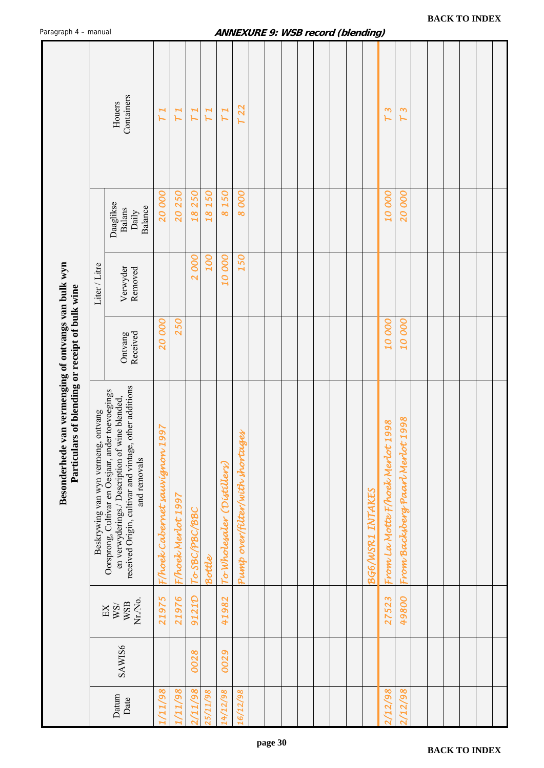<span id="page-29-0"></span>

| . ag.ap .                                                                                               |                                     |                                                                                                                                                                                  |                                    |                    |                |            |                           |                                 | שוטמ | $\mathbf{z}$ | <i>wou record (pienung)</i> |  |  |                  |                                     |                                  |  |  |  |
|---------------------------------------------------------------------------------------------------------|-------------------------------------|----------------------------------------------------------------------------------------------------------------------------------------------------------------------------------|------------------------------------|--------------------|----------------|------------|---------------------------|---------------------------------|------|--------------|-----------------------------|--|--|------------------|-------------------------------------|----------------------------------|--|--|--|
|                                                                                                         |                                     | Containers<br>Houers                                                                                                                                                             | I                                  | I                  | Ľ              | I<br>٣     | H<br>۳                    | 22<br>⊢                         |      |              |                             |  |  |                  | $\infty$                            | ო                                |  |  |  |
|                                                                                                         |                                     | Daaglikse<br>Balance<br><b>Balans</b><br>Daily                                                                                                                                   | 20000                              | 20 250             | 250<br>18      | 18150      | 150<br>$\infty$           | 000<br>$\infty$                 |      |              |                             |  |  |                  | 10000                               | <b>20000</b>                     |  |  |  |
|                                                                                                         | Liter / Litre                       | Verwyder<br>Removed                                                                                                                                                              |                                    |                    | 2000           | <b>OOT</b> | <b>000</b> 01             | 150                             |      |              |                             |  |  |                  |                                     |                                  |  |  |  |
|                                                                                                         |                                     | Received<br>Ontvang                                                                                                                                                              | 20000                              | 250                |                |            |                           |                                 |      |              |                             |  |  |                  | 10000                               | <b>20000</b>                     |  |  |  |
| Besonderhede van vermenging of ontvangs van bulk wyn<br>Particulars of blending or receipt of bulk wine | Beskrywing van wyn vermeng, ontvang | other additions<br>Oorsprong, Cultivar en Oesjaar, ander toevoegings<br>en verwyderings./ Description of wine blended,<br>received Origin, cultivar and vintage,<br>and removals | 997<br>F/hoek Cabernet saurignon 1 | F/hoek Merlot 1997 | To-SBC/PBC/BBC | Bottle     | ToWholesaler (Distillers) | Pump over/filter/with thortages |      |              |                             |  |  | BG6/WSR1 INTAKES | 1998<br>From La Motte F/hoek Merlot | From Backsberg Paarl Merlot 1998 |  |  |  |
|                                                                                                         |                                     | Nr.No.<br>WSB<br>WSV<br>$\mathop{\rm EX}\nolimits$                                                                                                                               | 21975                              | 21976              | 9121D          |            | 41982                     |                                 |      |              |                             |  |  |                  | 27523                               | 49800                            |  |  |  |
|                                                                                                         |                                     | SAWIS6                                                                                                                                                                           |                                    |                    | 0028           |            | 0029                      |                                 |      |              |                             |  |  |                  |                                     |                                  |  |  |  |
|                                                                                                         |                                     | Datum<br>Date                                                                                                                                                                    | 11/98                              | 86/17/             | /11/98         | 25/11/98   | 14/12/98                  | 16/12/98                        |      |              |                             |  |  |                  | /12/98                              | 2/12/98                          |  |  |  |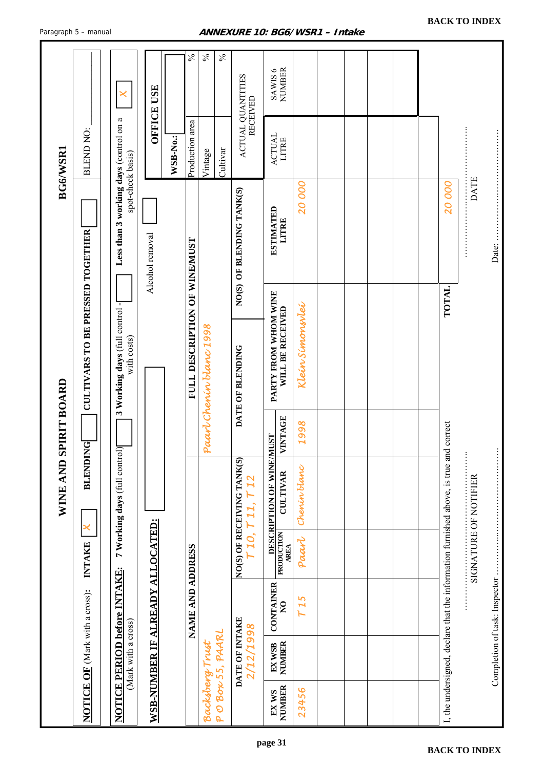|                                                                                       |                               |                                  |                            |               | WINE AND SPIRIT BOARD                    |                       |                                               |                 |                                        | BG6/WSR1               |                                     |
|---------------------------------------------------------------------------------------|-------------------------------|----------------------------------|----------------------------|---------------|------------------------------------------|-----------------------|-----------------------------------------------|-----------------|----------------------------------------|------------------------|-------------------------------------|
| <b>NOTICE OF</b> (Mark with a cross):                                                 |                               |                                  | <b>INTAKE</b>              | ×             | <b>BLENDING</b>                          |                       | <b>CULTIVARS TO BE PRESSED TOGETHER</b>       |                 |                                        | BLEND NO:              |                                     |
| <b>NOTICE PERIOD before INTAKE:</b>                                                   | (Mark with a cross)           |                                  |                            |               | 7 Working days (full control             |                       | 3 Working days (full control -<br>with costs) |                 | Less than 3 working days (control on a | spot-check basis)      | ×                                   |
| WSB-NUMBER IF ALREADY ALLOCATED:                                                      |                               |                                  |                            |               |                                          |                       |                                               | Alcohol removal |                                        |                        | <b>OFFICE USE</b>                   |
|                                                                                       |                               |                                  |                            |               |                                          |                       |                                               |                 |                                        | WSB-No.:               |                                     |
|                                                                                       |                               | <b>NAME AND ADDRESS</b>          |                            |               |                                          |                       | FULL DESCRIPTION OF WINE/MUST                 |                 |                                        | Production area        | $\frac{5}{6}$                       |
| POBON55, PAARL<br><b>Backsberg Trust</b>                                              |                               |                                  |                            |               |                                          |                       | Paart Chenin blanc 1998                       |                 |                                        | Cultivar<br>Vintage    | $\%$<br>$\%$                        |
|                                                                                       | DATE OF INTAKE<br>2/12/1998   |                                  | NO(S) OF RECEIVING TANK(S) | 710, 711, 712 |                                          |                       | DATE OF BLENDING                              |                 | NO(S) OF BLENDING TANK(S)              |                        | ACTUAL QUANTITES<br><b>RECEIVED</b> |
| NUMBER<br>EX WS                                                                       | <b>NUMBER</b><br>EX WSB       | <b>CONTAINER</b><br>$\mathbf{S}$ | PRODUCTION<br><b>AREA</b>  |               | DESCRIPTION OF WINE/M<br><b>CULTIVAR</b> | VINTAGE<br><b>LST</b> | PARTY FROM WHOM WINE<br>WILL BE RECEIVED      |                 | <b>ESTIMATED</b><br>LITRE              | <b>ACTUAL</b><br>LITRE | SAWIS 6<br>NUMBER                   |
| 23456                                                                                 |                               | T15                              | Paart                      |               | Chenin blanc                             | 1998                  | Klein Simonsvlei                              |                 | 20000                                  |                        |                                     |
|                                                                                       |                               |                                  |                            |               |                                          |                       |                                               |                 |                                        |                        |                                     |
|                                                                                       |                               |                                  |                            |               |                                          |                       |                                               |                 |                                        |                        |                                     |
|                                                                                       |                               |                                  |                            |               |                                          |                       |                                               |                 |                                        |                        |                                     |
|                                                                                       |                               |                                  |                            |               |                                          |                       |                                               |                 |                                        |                        |                                     |
|                                                                                       |                               |                                  |                            |               |                                          |                       |                                               |                 |                                        |                        |                                     |
| I, the undersigned, declare that the information furnished above, is true and correct |                               |                                  |                            |               |                                          |                       |                                               | TOTAL           | 20000                                  |                        |                                     |
|                                                                                       |                               |                                  | SIGNATURE OF NOTIFIER      |               |                                          |                       |                                               |                 | <b>DATE</b>                            |                        |                                     |
|                                                                                       | Completion of task: Inspector |                                  |                            |               |                                          |                       |                                               |                 | Date:                                  |                        |                                     |

<span id="page-30-0"></span>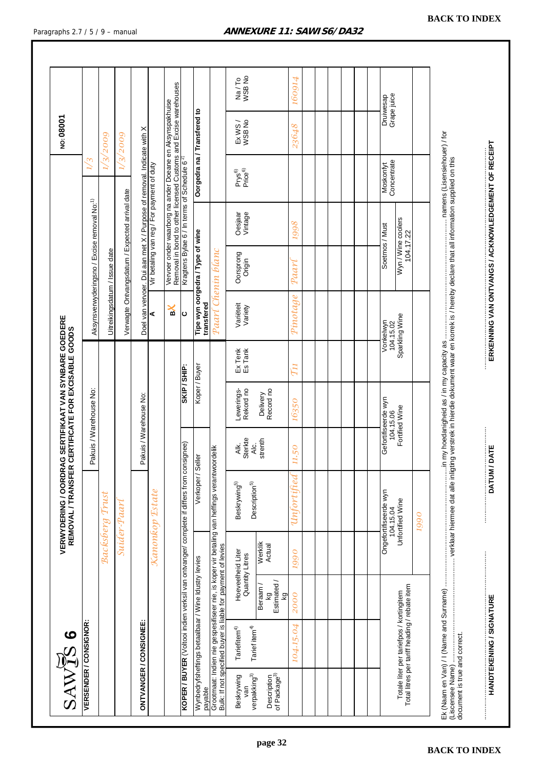| SAWTS 6                                                                                   |                                                                                                                                                             |                                      | VERWYDERING / OORDRA<br>REMOVAL / TRANSFER |                         | AG SER TIFIKAAT VAN SYNBARE GOEDERE<br>. CER TIFICATE FOR EXCISABLE GOODS |                    |                               |                                                         |                                            |                                                                                                                             | NO: 08001                   |                          |
|-------------------------------------------------------------------------------------------|-------------------------------------------------------------------------------------------------------------------------------------------------------------|--------------------------------------|--------------------------------------------|-------------------------|---------------------------------------------------------------------------|--------------------|-------------------------------|---------------------------------------------------------|--------------------------------------------|-----------------------------------------------------------------------------------------------------------------------------|-----------------------------|--------------------------|
| <b>VERSENDER / CONSIGNOR:</b>                                                             |                                                                                                                                                             |                                      |                                            |                         | Pakuis / Warehouse No:                                                    |                    |                               | Aksynsverwyderingsno / Excise removal No: <sup>1)</sup> |                                            | 1/3                                                                                                                         |                             |                          |
|                                                                                           |                                                                                                                                                             | Backsberg                            | Trust                                      |                         |                                                                           |                    | Uitreikingsdatum / Issue date |                                                         |                                            | $\approx$                                                                                                                   | 2009                        |                          |
|                                                                                           |                                                                                                                                                             |                                      | Suider-Paarl                               |                         |                                                                           |                    |                               | Verwagte Ontvangsdatum / Expected arrival date          |                                            |                                                                                                                             | 1/3/2009                    |                          |
| <b>ONTVANGER/CONSIGNEE:</b>                                                               |                                                                                                                                                             |                                      |                                            |                         | Pakuis / Warehouse No:                                                    |                    |                               |                                                         |                                            | Doel van vervoer. Dui aan met X / Purpose of removal. Indicate with X                                                       |                             |                          |
|                                                                                           |                                                                                                                                                             | Kanonkop                             | <b>Estate</b>                              |                         |                                                                           |                    | ⋖                             |                                                         | Vir betaling van reg / For payment of duty |                                                                                                                             |                             |                          |
|                                                                                           |                                                                                                                                                             |                                      |                                            |                         |                                                                           |                    | ℁                             |                                                         |                                            | Vervoer onder waarborg na ander Doeane en Aksynspakhuise<br>Removal in bond to other licensed Customs and Excise warehouses |                             |                          |
|                                                                                           | KOPER / BUYER (Voltooi indien verksil van ontvanger/ complete if differs from consignee)                                                                    |                                      |                                            |                         | SKIP / SHIP:                                                              |                    | ပ                             |                                                         |                                            | Kragtens Bylae 6 / In terms of Schedule 6 <sup>2)</sup>                                                                     |                             |                          |
| payable                                                                                   | wynbedrythetings betaalsed againtedrythedryw                                                                                                                |                                      | Verkoper / Seller                          |                         | Koper / Buyer                                                             |                    | transfered                    | Tipe wyn oorgedra/Type of wine                          |                                            |                                                                                                                             | Oorgedra na / Transfered to |                          |
|                                                                                           | Grootmaat: Indien nie gespesifiseer nie, is koper vir betaling van heffings verantwoordelik<br>Bulk: If not specified buyer is liable for payment of levies |                                      |                                            |                         |                                                                           |                    | Paarl Chenin blanc            |                                                         |                                            |                                                                                                                             |                             |                          |
| verpakking <sup>3)</sup><br>Beskrywing<br>yan                                             | Tarief item <sup>4)</sup><br>Tariefitem <sup>4)</sup>                                                                                                       | Hoeveelheid Liter<br>Quantity Litres | Beskrywing5)<br>Description <sup>5)</sup>  | Sterkte<br>Alc.<br>Аlk. | Rekord no<br>Lewerings-                                                   | Ex Tenk<br>Es Tank | Variëteit<br>Variety          | Oorsprong<br>Origin                                     | Oesjaar<br>Vintage                         | Prys <sup>6)</sup><br>Price <sup>6)</sup>                                                                                   | Ex WS/<br>WSB No            | Na/To<br>WSB No          |
| of Package <sup>3)</sup><br>Description                                                   | Estimated /<br>Beraam/<br>δY                                                                                                                                | Werklik<br>Actual                    |                                            | strenth                 | Record no<br>Delivery                                                     |                    |                               |                                                         |                                            |                                                                                                                             |                             |                          |
|                                                                                           | 2000<br>104.15.04                                                                                                                                           | 1990                                 | Unfortunatelyriited                        | 11.50                   | 16350                                                                     | $\mathcal{T}_{11}$ | Pinotage                      | $p_{\mathcal{A}\mathcal{A}\mathcal{V}}$                 | 8661                                       |                                                                                                                             | 23648                       | 160914                   |
|                                                                                           |                                                                                                                                                             |                                      |                                            |                         |                                                                           |                    |                               |                                                         |                                            |                                                                                                                             |                             |                          |
|                                                                                           |                                                                                                                                                             |                                      |                                            |                         |                                                                           |                    |                               |                                                         |                                            |                                                                                                                             |                             |                          |
|                                                                                           |                                                                                                                                                             |                                      |                                            |                         |                                                                           |                    |                               |                                                         |                                            |                                                                                                                             |                             |                          |
|                                                                                           |                                                                                                                                                             |                                      | Ongefortifiseerde wyn                      |                         | Gefortifiseerde wyn                                                       |                    | Vonkelwyn                     | Soetmos / Must                                          |                                            |                                                                                                                             |                             |                          |
| Total litres per tariff heading / rebate item<br>Totale liter per tariefpos / kortingitem |                                                                                                                                                             |                                      | Unfortified Wine<br>104.15.04              |                         | Fortified Wine<br>104.15.06                                               |                    | Sparkling Wine<br>104.15.02   | Wyn / Wine coolers<br>104.17.22                         |                                            | Moskonfyt<br>Concentrate                                                                                                    |                             | Druiwesap<br>Grape juice |
|                                                                                           |                                                                                                                                                             |                                      | 0661                                       |                         |                                                                           |                    |                               |                                                         |                                            |                                                                                                                             |                             |                          |
| (Liscensee Name)                                                                          |                                                                                                                                                             |                                      |                                            |                         |                                                                           |                    |                               |                                                         |                                            |                                                                                                                             |                             |                          |
| document is true and correct.                                                             |                                                                                                                                                             |                                      |                                            |                         |                                                                           |                    |                               |                                                         |                                            |                                                                                                                             |                             |                          |
| HANDTEKENING / SIGNATURE                                                                  |                                                                                                                                                             |                                      |                                            |                         |                                                                           |                    |                               |                                                         |                                            |                                                                                                                             |                             |                          |

#### <span id="page-31-0"></span>Paragraphs 2.7 / 5 / 9 - manual **ANNEXURE 11: SAWIS6/DA32**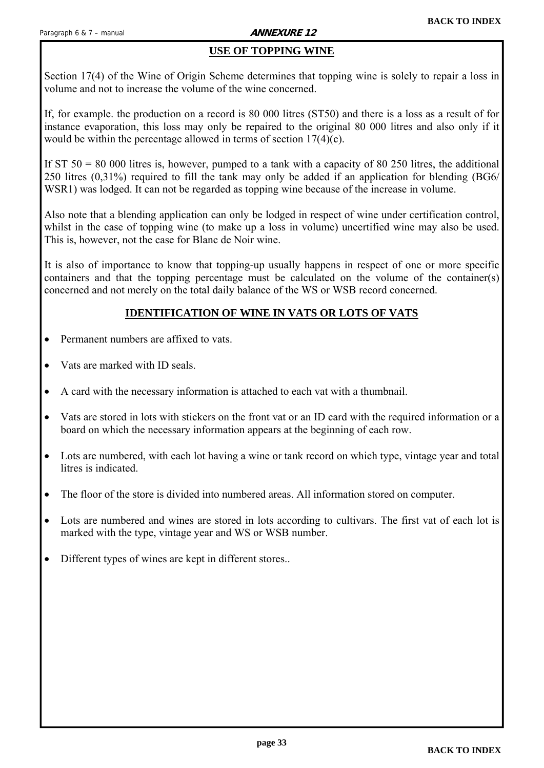### **USE OF TOPPING WINE**

<span id="page-32-0"></span>Section 17(4) of the Wine of Origin Scheme determines that topping wine is solely to repair a loss in volume and not to increase the volume of the wine concerned.

If, for example. the production on a record is 80 000 litres (ST50) and there is a loss as a result of for instance evaporation, this loss may only be repaired to the original 80 000 litres and also only if it would be within the percentage allowed in terms of section 17(4)(c).

If ST  $50 = 80,000$  litres is, however, pumped to a tank with a capacity of 80 250 litres, the additional 250 litres (0,31%) required to fill the tank may only be added if an application for blending (BG6/ WSR1) was lodged. It can not be regarded as topping wine because of the increase in volume.

Also note that a blending application can only be lodged in respect of wine under certification control, whilst in the case of topping wine (to make up a loss in volume) uncertified wine may also be used. This is, however, not the case for Blanc de Noir wine.

It is also of importance to know that topping-up usually happens in respect of one or more specific containers and that the topping percentage must be calculated on the volume of the container(s) concerned and not merely on the total daily balance of the WS or WSB record concerned.

#### **IDENTIFICATION OF WINE IN VATS OR LOTS OF VATS**

- Permanent numbers are affixed to vats.
- Vats are marked with ID seals.
- A card with the necessary information is attached to each vat with a thumbnail.
- Vats are stored in lots with stickers on the front vat or an ID card with the required information or a board on which the necessary information appears at the beginning of each row.
- Lots are numbered, with each lot having a wine or tank record on which type, vintage year and total litres is indicated.
- The floor of the store is divided into numbered areas. All information stored on computer.
- Lots are numbered and wines are stored in lots according to cultivars. The first vat of each lot is marked with the type, vintage year and WS or WSB number.
- Different types of wines are kept in different stores..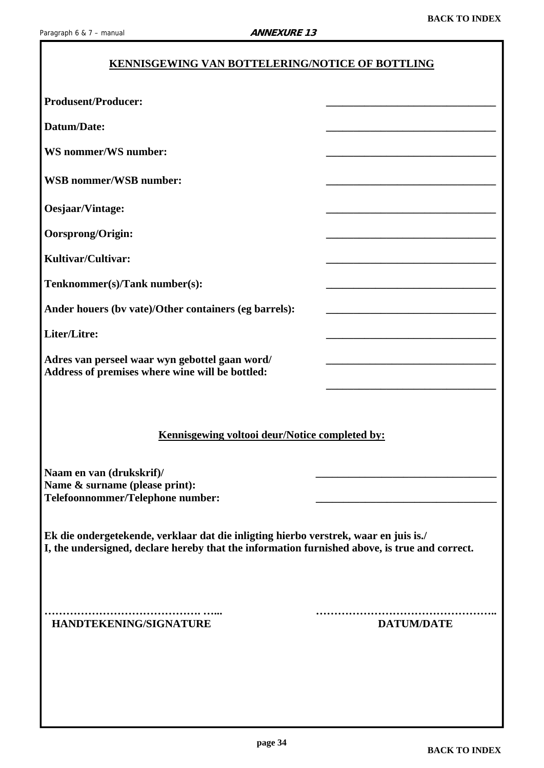### **KENNISGEWING VAN BOTTELERING/NOTICE OF BOTTLING**

<span id="page-33-0"></span>

| <b>Produsent/Producer:</b>                                                                                                                                                            |                   |
|---------------------------------------------------------------------------------------------------------------------------------------------------------------------------------------|-------------------|
| Datum/Date:                                                                                                                                                                           |                   |
| <b>WS</b> nommer/WS number:                                                                                                                                                           |                   |
| <b>WSB</b> nommer/WSB number:                                                                                                                                                         |                   |
| Oesjaar/Vintage:                                                                                                                                                                      |                   |
| Oorsprong/Origin:                                                                                                                                                                     |                   |
| Kultivar/Cultivar:                                                                                                                                                                    |                   |
| Tenknommer(s)/Tank number(s):                                                                                                                                                         |                   |
| Ander houers (by vate)/Other containers (eg barrels):                                                                                                                                 |                   |
| Liter/Litre:                                                                                                                                                                          |                   |
| Adres van perseel waar wyn gebottel gaan word/<br>Address of premises where wine will be bottled:                                                                                     |                   |
| Kennisgewing voltooi deur/Notice completed by:<br>Naam en van (drukskrif)/<br>Name & surname (please print):                                                                          |                   |
| Telefoonnommer/Telephone number:                                                                                                                                                      |                   |
| Ek die ondergetekende, verklaar dat die inligting hierbo verstrek, waar en juis is./<br>I, the undersigned, declare hereby that the information furnished above, is true and correct. |                   |
| HANDTEKENING/SIGNATURE                                                                                                                                                                | <b>DATUM/DATE</b> |
|                                                                                                                                                                                       |                   |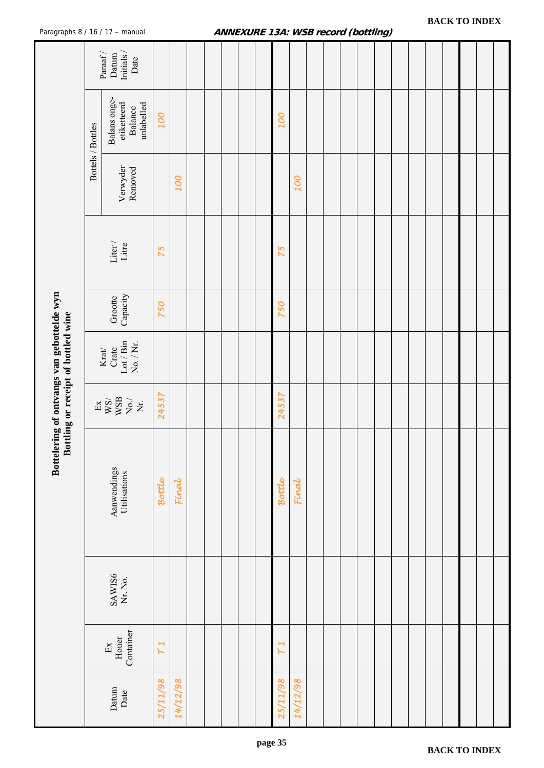|                                                                                   |                   | ragraphs of $10717$ = manuar                                                                                                                                                                |            |          |  | A |          |          |  |  |  |  |  |  |
|-----------------------------------------------------------------------------------|-------------------|---------------------------------------------------------------------------------------------------------------------------------------------------------------------------------------------|------------|----------|--|---|----------|----------|--|--|--|--|--|--|
|                                                                                   |                   | Datum $\mathop{\rm Initials}\nolimits/$<br>$\ensuremath{\mathrm{Paraf}}$ /<br>Date                                                                                                          |            |          |  |   |          |          |  |  |  |  |  |  |
|                                                                                   | Bottels / Bottles | Balans onge-<br>etiketteerd<br>unlabelled<br>Balance                                                                                                                                        | <b>OOT</b> |          |  |   | 100      |          |  |  |  |  |  |  |
|                                                                                   |                   | Verwyder<br>Removed                                                                                                                                                                         |            | 100      |  |   |          | 100      |  |  |  |  |  |  |
|                                                                                   |                   | ${\rm Liter\,}/$ ${\rm Line}$                                                                                                                                                               | 75         |          |  |   | 75       |          |  |  |  |  |  |  |
|                                                                                   |                   | Grootte<br>Capacity                                                                                                                                                                         | 750        |          |  |   | 750      |          |  |  |  |  |  |  |
| Bottelering of ontvangs van gebottelde wyn<br>Bottling or receipt of bottled wine |                   | $\rm Lot/Bin$ $\rm No. /Ni.$<br>$\frac{\text{Krat}}{\text{Crate}}$                                                                                                                          |            |          |  |   |          |          |  |  |  |  |  |  |
|                                                                                   |                   | $\begin{array}{l} \mathbb{E}\mathbf{x} \\ \mathbb{W}\mathbb{S}\mathbb{H} \\ \mathbb{W}\mathbb{S}\mathbb{B} \\ \mathbb{W}\mathbb{S}\mathbb{H} \\ \mathbb{X}\mathbb{S}\mathbb{H} \end{array}$ | 24537      |          |  |   | 24537    |          |  |  |  |  |  |  |
|                                                                                   |                   | Aanwendings<br>Utilisations                                                                                                                                                                 | Bottle     | Final    |  |   | Bottle   | Final    |  |  |  |  |  |  |
|                                                                                   |                   | SAWIS6<br>Nr. No.                                                                                                                                                                           |            |          |  |   |          |          |  |  |  |  |  |  |
|                                                                                   |                   | Container<br>Houer<br>Ex                                                                                                                                                                    | T1         |          |  |   | H<br>H   |          |  |  |  |  |  |  |
|                                                                                   |                   | Datum<br>Date                                                                                                                                                                               | 25/11/98   | 14/12/98 |  |   | 25/11/98 | 14/12/98 |  |  |  |  |  |  |

#### <span id="page-34-0"></span>Paragraphs 8 / 16 / 17 - manual **ANNEXURE 13A: WSB record (bottling)**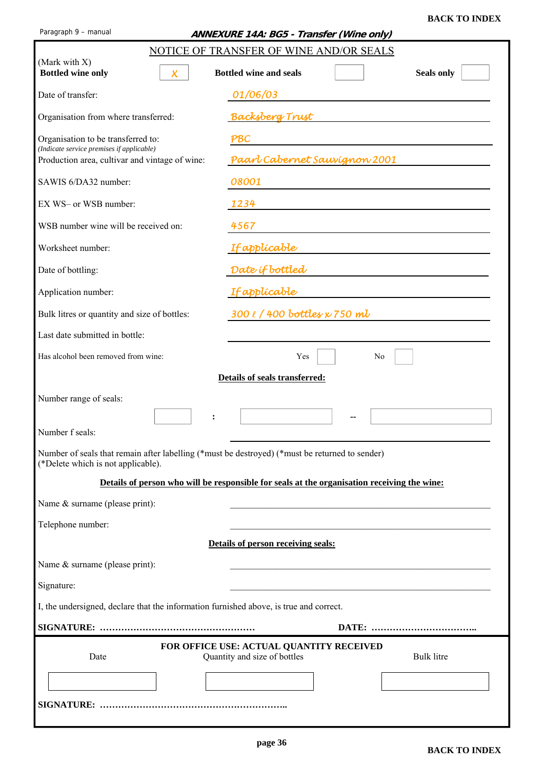<span id="page-35-0"></span>

| Paragraph 9 - manual                                                                                                                 | ANNEXURE 14A: BG5 - Transfer (Wine only)                                                      |
|--------------------------------------------------------------------------------------------------------------------------------------|-----------------------------------------------------------------------------------------------|
|                                                                                                                                      | NOTICE OF TRANSFER OF WINE AND/OR SEALS                                                       |
| (Mark with X)<br><b>Bottled wine only</b><br>$\boldsymbol{\mathsf{X}}$                                                               | <b>Bottled wine and seals</b><br><b>Seals only</b>                                            |
| Date of transfer:                                                                                                                    | 01/06/03                                                                                      |
| Organisation from where transferred:                                                                                                 | <b>Backsberg Trust</b>                                                                        |
| Organisation to be transferred to:<br>(Indicate service premises if applicable)                                                      | PBC                                                                                           |
| Production area, cultivar and vintage of wine:                                                                                       | Paarl Cabernet Sauvignon 2001                                                                 |
| SAWIS 6/DA32 number:                                                                                                                 | 08001                                                                                         |
| EX WS- or WSB number:                                                                                                                | 1234                                                                                          |
| WSB number wine will be received on:                                                                                                 | 4567                                                                                          |
| Worksheet number:                                                                                                                    | <b>If applicable</b>                                                                          |
| Date of bottling:                                                                                                                    | Date if bottled                                                                               |
| Application number:                                                                                                                  | <b>If applicable</b>                                                                          |
| Bulk litres or quantity and size of bottles:                                                                                         | 300 l / 400 bottles x 750 ml                                                                  |
| Last date submitted in bottle:                                                                                                       |                                                                                               |
| Has alcohol been removed from wine:                                                                                                  | Yes<br>No                                                                                     |
|                                                                                                                                      | Details of seals transferred:                                                                 |
| Number range of seals:                                                                                                               |                                                                                               |
|                                                                                                                                      |                                                                                               |
| Number f seals:                                                                                                                      |                                                                                               |
| Number of seals that remain after labelling (*must be destroyed) (*must be returned to sender)<br>(*Delete which is not applicable). |                                                                                               |
|                                                                                                                                      | Details of person who will be responsible for seals at the organisation receiving the wine:   |
| Name & surname (please print):                                                                                                       |                                                                                               |
| Telephone number:                                                                                                                    |                                                                                               |
|                                                                                                                                      | Details of person receiving seals:                                                            |
| Name & surname (please print):                                                                                                       |                                                                                               |
| Signature:                                                                                                                           |                                                                                               |
| I, the undersigned, declare that the information furnished above, is true and correct.                                               |                                                                                               |
|                                                                                                                                      |                                                                                               |
| Date                                                                                                                                 | FOR OFFICE USE: ACTUAL QUANTITY RECEIVED<br>Quantity and size of bottles<br><b>Bulk</b> litre |
|                                                                                                                                      |                                                                                               |
|                                                                                                                                      |                                                                                               |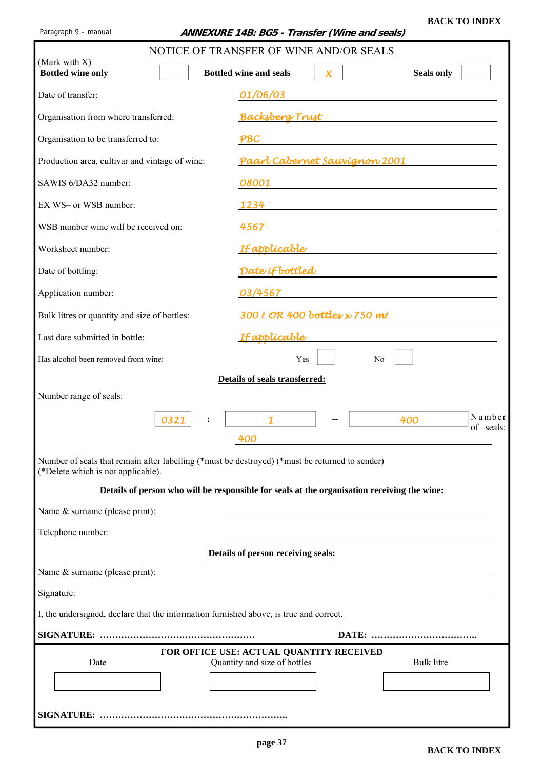<span id="page-36-0"></span>Paragraph 9 – manual **ANNEXURE 14B: BG5 - Transfer (Wine and seals)** 

|                                                                                                                                      | NOTICE OF TRANSFER OF WINE AND/OR SEALS                                                                                     |
|--------------------------------------------------------------------------------------------------------------------------------------|-----------------------------------------------------------------------------------------------------------------------------|
| (Mark with X)<br><b>Bottled wine only</b>                                                                                            | <b>Bottled wine and seals</b><br><b>Seals only</b><br>$\boldsymbol{\mathsf{X}}$                                             |
| Date of transfer:                                                                                                                    | 01/06/03                                                                                                                    |
| Organisation from where transferred:                                                                                                 | Backsberg Trust the contract of the contract of the contract of the contract of the contract of the contract o              |
| Organisation to be transferred to:                                                                                                   | PBC<br><u> 1980 - Andrea Andrew Maria (h. 1980).</u>                                                                        |
| Production area, cultivar and vintage of wine:                                                                                       |                                                                                                                             |
| SAWIS 6/DA32 number:                                                                                                                 | 08001                                                                                                                       |
| EX WS- or WSB number:                                                                                                                | 1234<br><u> 1980 - Jan Sterling av den stad for de stad for de stad for de stad for de stad for de stad for de stad for</u> |
| WSB number wine will be received on:                                                                                                 | 4567                                                                                                                        |
| Worksheet number:                                                                                                                    |                                                                                                                             |
| Date of bottling:                                                                                                                    | Date if bottled                                                                                                             |
| Application number:                                                                                                                  | 03/4567                                                                                                                     |
| Bulk litres or quantity and size of bottles:                                                                                         | 300 l OR 400 bottles x 750 ml                                                                                               |
| Last date submitted in bottle:                                                                                                       | <u>If applicable</u>                                                                                                        |
| Has alcohol been removed from wine:                                                                                                  | Yes<br>N <sub>0</sub>                                                                                                       |
| Number range of seals:                                                                                                               | Details of seals transferred:                                                                                               |
| 0321<br>:                                                                                                                            | Number<br>400<br>of seals:<br>400                                                                                           |
| Number of seals that remain after labelling (*must be destroyed) (*must be returned to sender)<br>(*Delete which is not applicable). |                                                                                                                             |
|                                                                                                                                      | Details of person who will be responsible for seals at the organisation receiving the wine:                                 |
| Name & surname (please print):                                                                                                       |                                                                                                                             |
| Telephone number:                                                                                                                    |                                                                                                                             |
|                                                                                                                                      | Details of person receiving seals:                                                                                          |
| Name & surname (please print):                                                                                                       |                                                                                                                             |
| Signature:                                                                                                                           |                                                                                                                             |
| I, the undersigned, declare that the information furnished above, is true and correct.                                               |                                                                                                                             |
|                                                                                                                                      |                                                                                                                             |
| Date                                                                                                                                 | FOR OFFICE USE: ACTUAL QUANTITY RECEIVED<br>Quantity and size of bottles<br><b>Bulk litre</b>                               |
|                                                                                                                                      |                                                                                                                             |
|                                                                                                                                      |                                                                                                                             |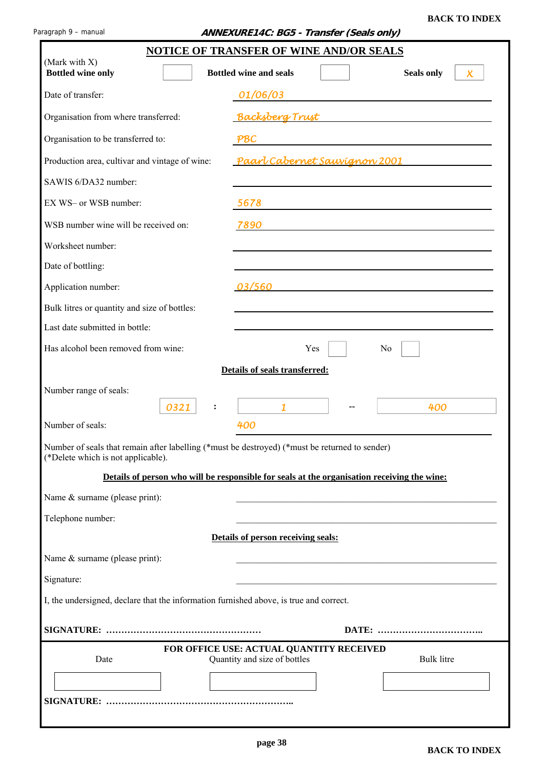<span id="page-37-0"></span>

|                                                                                                                                      | <b>NOTICE OF TRANSFER OF WINE AND/OR SEALS</b>                           |                                                         |
|--------------------------------------------------------------------------------------------------------------------------------------|--------------------------------------------------------------------------|---------------------------------------------------------|
| (Mark with X)<br><b>Bottled wine only</b>                                                                                            | <b>Bottled wine and seals</b>                                            | <b>Seals only</b><br>$\boldsymbol{\chi}$                |
| Date of transfer:                                                                                                                    | 01/06/03                                                                 |                                                         |
| Organisation from where transferred:                                                                                                 | <b>Backsberg Trust</b>                                                   |                                                         |
| Organisation to be transferred to:                                                                                                   | PBC                                                                      | <u> 1989 - Johann Barnett, fransk politik (d. 1989)</u> |
| Production area, cultivar and vintage of wine:                                                                                       | <u>Paarl Cabernet Sauvignon 2001</u>                                     |                                                         |
| SAWIS 6/DA32 number:                                                                                                                 |                                                                          |                                                         |
| EX WS- or WSB number:                                                                                                                | 5678                                                                     |                                                         |
| WSB number wine will be received on:                                                                                                 | 7890                                                                     |                                                         |
| Worksheet number:                                                                                                                    |                                                                          |                                                         |
| Date of bottling:                                                                                                                    |                                                                          |                                                         |
| Application number:                                                                                                                  | 03/560                                                                   |                                                         |
| Bulk litres or quantity and size of bottles:                                                                                         |                                                                          |                                                         |
| Last date submitted in bottle:                                                                                                       |                                                                          |                                                         |
| Has alcohol been removed from wine:                                                                                                  | Yes                                                                      | N <sub>0</sub>                                          |
| Number range of seals:<br>0321<br>:<br>Number of seals:                                                                              | $\mathbf{1}$<br>400                                                      | 400                                                     |
| Number of seals that remain after labelling (*must be destroyed) (*must be returned to sender)<br>(*Delete which is not applicable). |                                                                          |                                                         |
| Details of person who will be responsible for seals at the organisation receiving the wine:                                          |                                                                          |                                                         |
| Name & surname (please print):                                                                                                       |                                                                          |                                                         |
| Telephone number:                                                                                                                    |                                                                          |                                                         |
|                                                                                                                                      | Details of person receiving seals:                                       |                                                         |
| Name & surname (please print):                                                                                                       |                                                                          |                                                         |
| Signature:                                                                                                                           |                                                                          |                                                         |
| I, the undersigned, declare that the information furnished above, is true and correct.                                               |                                                                          |                                                         |
|                                                                                                                                      |                                                                          |                                                         |
| Date                                                                                                                                 | FOR OFFICE USE: ACTUAL QUANTITY RECEIVED<br>Quantity and size of bottles | <b>Bulk litre</b>                                       |
|                                                                                                                                      |                                                                          |                                                         |
|                                                                                                                                      |                                                                          |                                                         |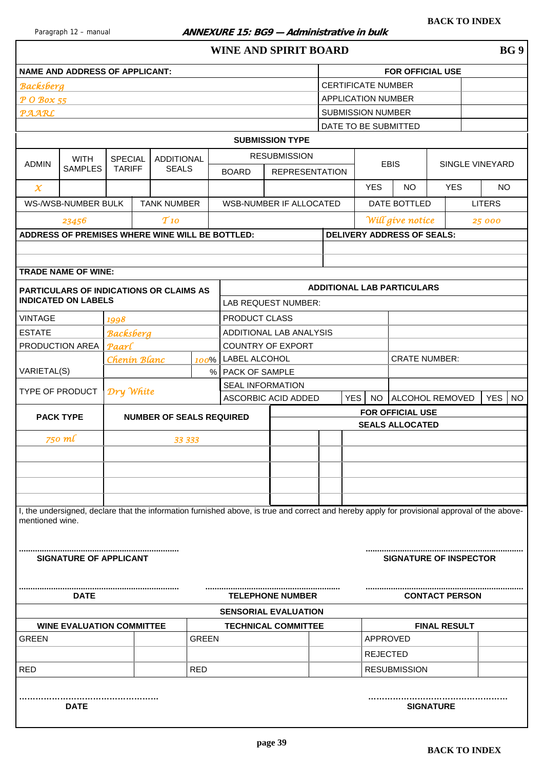#### <span id="page-38-0"></span>Paragraph 12 – manual **ANNEXURE 15: BG9 – Administrative in bulk**

| WINE AND SPIRIT BOARD | BG 9 |
|-----------------------|------|
|-----------------------|------|

|                                                                                                                              | <b>NAME AND ADDRESS OF APPLICANT:</b>           |                                 |  |                                   |              |                         |                                                                                                                                               |  |            |                           | <b>FOR OFFICIAL USE</b>           |                     |                       |                         |
|------------------------------------------------------------------------------------------------------------------------------|-------------------------------------------------|---------------------------------|--|-----------------------------------|--------------|-------------------------|-----------------------------------------------------------------------------------------------------------------------------------------------|--|------------|---------------------------|-----------------------------------|---------------------|-----------------------|-------------------------|
| <b>Backsberg</b>                                                                                                             |                                                 |                                 |  |                                   |              |                         |                                                                                                                                               |  |            | <b>CERTIFICATE NUMBER</b> |                                   |                     |                       |                         |
| P O Box 55                                                                                                                   |                                                 |                                 |  |                                   |              |                         |                                                                                                                                               |  |            | <b>APPLICATION NUMBER</b> |                                   |                     |                       |                         |
| <b>PAARL</b>                                                                                                                 |                                                 |                                 |  |                                   |              |                         |                                                                                                                                               |  |            | <b>SUBMISSION NUMBER</b>  |                                   |                     |                       |                         |
|                                                                                                                              |                                                 |                                 |  |                                   |              |                         |                                                                                                                                               |  |            |                           | DATE TO BE SUBMITTED              |                     |                       |                         |
|                                                                                                                              |                                                 |                                 |  |                                   |              |                         | <b>SUBMISSION TYPE</b>                                                                                                                        |  |            |                           |                                   |                     |                       |                         |
| <b>ADMIN</b>                                                                                                                 | <b>WITH</b><br><b>SAMPLES</b>                   | <b>SPECIAL</b><br><b>TARIFF</b> |  | <b>ADDITIONAL</b><br><b>SEALS</b> |              | <b>BOARD</b>            | <b>RESUBMISSION</b><br><b>REPRESENTATION</b>                                                                                                  |  |            |                           | <b>EBIS</b>                       |                     |                       | SINGLE VINEYARD         |
| $\chi$                                                                                                                       |                                                 |                                 |  |                                   |              |                         |                                                                                                                                               |  |            | <b>YES</b>                | <b>NO</b>                         |                     | <b>YES</b>            | <b>NO</b>               |
|                                                                                                                              | WS-/WSB-NUMBER BULK                             |                                 |  | <b>TANK NUMBER</b>                |              |                         | WSB-NUMBER IF ALLOCATED                                                                                                                       |  |            |                           | DATE BOTTLED                      |                     |                       | <b>LITERS</b>           |
|                                                                                                                              | 23456                                           |                                 |  | T10                               |              |                         |                                                                                                                                               |  |            |                           | Will give notice                  |                     |                       | 25 000                  |
|                                                                                                                              | ADDRESS OF PREMISES WHERE WINE WILL BE BOTTLED: |                                 |  |                                   |              |                         |                                                                                                                                               |  |            |                           | <b>DELIVERY ADDRESS OF SEALS:</b> |                     |                       |                         |
|                                                                                                                              |                                                 |                                 |  |                                   |              |                         |                                                                                                                                               |  |            |                           |                                   |                     |                       |                         |
|                                                                                                                              |                                                 |                                 |  |                                   |              |                         |                                                                                                                                               |  |            |                           |                                   |                     |                       |                         |
|                                                                                                                              | <b>TRADE NAME OF WINE:</b>                      |                                 |  |                                   |              |                         |                                                                                                                                               |  |            |                           |                                   |                     |                       |                         |
|                                                                                                                              | <b>PARTICULARS OF INDICATIONS OR CLAIMS AS</b>  |                                 |  |                                   |              |                         |                                                                                                                                               |  |            |                           | <b>ADDITIONAL LAB PARTICULARS</b> |                     |                       |                         |
|                                                                                                                              | <b>INDICATED ON LABELS</b>                      |                                 |  |                                   |              |                         | LAB REQUEST NUMBER:                                                                                                                           |  |            |                           |                                   |                     |                       |                         |
| <b>VINTAGE</b>                                                                                                               |                                                 | 1998                            |  |                                   |              | PRODUCT CLASS           |                                                                                                                                               |  |            |                           |                                   |                     |                       |                         |
| <b>ESTATE</b>                                                                                                                |                                                 | <b>Backsberg</b>                |  |                                   |              |                         | ADDITIONAL LAB ANALYSIS                                                                                                                       |  |            |                           |                                   |                     |                       |                         |
| PRODUCTION AREA                                                                                                              |                                                 | Paarl                           |  |                                   |              |                         | <b>COUNTRY OF EXPORT</b>                                                                                                                      |  |            |                           |                                   |                     |                       |                         |
|                                                                                                                              |                                                 | Chenin Blanc                    |  |                                   |              | 100%   LABEL ALCOHOL    |                                                                                                                                               |  |            |                           | <b>CRATE NUMBER:</b>              |                     |                       |                         |
| VARIETAL(S)                                                                                                                  |                                                 |                                 |  |                                   |              | % PACK OF SAMPLE        |                                                                                                                                               |  |            |                           |                                   |                     |                       |                         |
| TYPE OF PRODUCT                                                                                                              |                                                 | Dry White                       |  |                                   |              | <b>SEAL INFORMATION</b> | ASCORBIC ACID ADDED                                                                                                                           |  | <b>YES</b> | <b>NO</b>                 | <b>ALCOHOL REMOVED</b>            |                     |                       | <b>YES</b><br><b>NO</b> |
| <b>FOR OFFICIAL USE</b><br><b>PACK TYPE</b><br><b>NUMBER OF SEALS REQUIRED</b><br><b>SEALS ALLOCATED</b><br>750 ml<br>33 333 |                                                 |                                 |  |                                   |              |                         |                                                                                                                                               |  |            |                           |                                   |                     |                       |                         |
|                                                                                                                              |                                                 |                                 |  |                                   |              |                         |                                                                                                                                               |  |            |                           |                                   |                     |                       |                         |
|                                                                                                                              |                                                 |                                 |  |                                   |              |                         |                                                                                                                                               |  |            |                           |                                   |                     |                       |                         |
|                                                                                                                              |                                                 |                                 |  |                                   |              |                         |                                                                                                                                               |  |            |                           |                                   |                     |                       |                         |
|                                                                                                                              |                                                 |                                 |  |                                   |              |                         |                                                                                                                                               |  |            |                           |                                   |                     |                       |                         |
|                                                                                                                              |                                                 |                                 |  |                                   |              |                         |                                                                                                                                               |  |            |                           |                                   |                     |                       |                         |
|                                                                                                                              |                                                 |                                 |  |                                   |              |                         |                                                                                                                                               |  |            |                           |                                   |                     |                       |                         |
| mentioned wine.                                                                                                              |                                                 |                                 |  |                                   |              |                         | I, the undersigned, declare that the information furnished above, is true and correct and hereby apply for provisional approval of the above- |  |            |                           |                                   |                     |                       |                         |
|                                                                                                                              | <b>SIGNATURE OF APPLICANT</b>                   |                                 |  |                                   |              |                         |                                                                                                                                               |  |            |                           | <b>SIGNATURE OF INSPECTOR</b>     |                     |                       |                         |
|                                                                                                                              | <b>DATE</b>                                     |                                 |  |                                   |              |                         | <b>TELEPHONE NUMBER</b>                                                                                                                       |  |            |                           |                                   |                     | <b>CONTACT PERSON</b> |                         |
|                                                                                                                              |                                                 |                                 |  |                                   |              |                         | <b>SENSORIAL EVALUATION</b>                                                                                                                   |  |            |                           |                                   |                     |                       |                         |
|                                                                                                                              | <b>WINE EVALUATION COMMITTEE</b>                |                                 |  |                                   |              |                         | <b>TECHNICAL COMMITTEE</b>                                                                                                                    |  |            |                           |                                   | <b>FINAL RESULT</b> |                       |                         |
| <b>GREEN</b>                                                                                                                 |                                                 |                                 |  |                                   | <b>GREEN</b> |                         |                                                                                                                                               |  |            | APPROVED                  |                                   |                     |                       |                         |
|                                                                                                                              |                                                 |                                 |  |                                   |              |                         |                                                                                                                                               |  |            | <b>REJECTED</b>           |                                   |                     |                       |                         |
| <b>RED</b>                                                                                                                   |                                                 |                                 |  |                                   | <b>RED</b>   |                         |                                                                                                                                               |  |            |                           | <b>RESUBMISSION</b>               |                     |                       |                         |
|                                                                                                                              | <b>DATE</b>                                     |                                 |  |                                   |              |                         |                                                                                                                                               |  |            |                           |                                   | <b>SIGNATURE</b>    |                       |                         |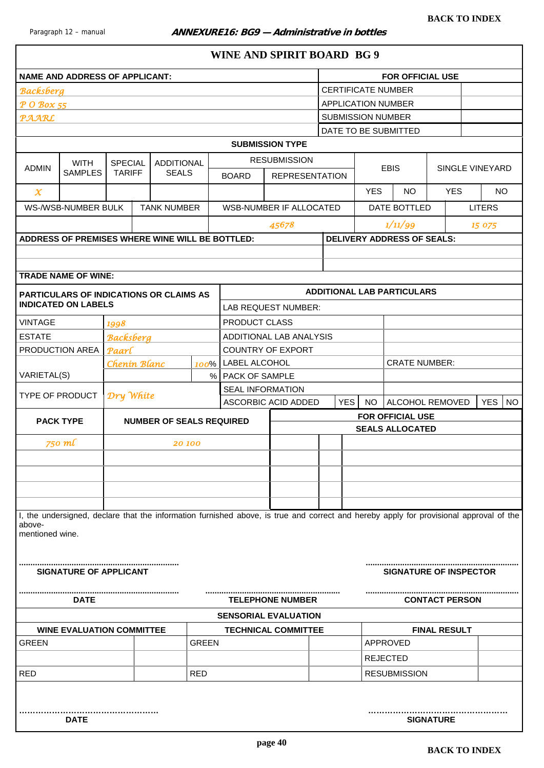<span id="page-39-0"></span>

|                                                                                                                                                                     | <b>NAME AND ADDRESS OF APPLICANT:</b>                                        |                           |  |                                 |              |                             |                            |  |                           |            | <b>FOR OFFICIAL USE</b>           |                       |                         |
|---------------------------------------------------------------------------------------------------------------------------------------------------------------------|------------------------------------------------------------------------------|---------------------------|--|---------------------------------|--------------|-----------------------------|----------------------------|--|---------------------------|------------|-----------------------------------|-----------------------|-------------------------|
| <b>Backsberg</b>                                                                                                                                                    |                                                                              |                           |  |                                 |              |                             |                            |  | <b>CERTIFICATE NUMBER</b> |            |                                   |                       |                         |
| P O Box 55                                                                                                                                                          |                                                                              |                           |  |                                 |              |                             |                            |  | <b>APPLICATION NUMBER</b> |            |                                   |                       |                         |
| <b>PAARL</b>                                                                                                                                                        |                                                                              |                           |  |                                 |              |                             |                            |  | <b>SUBMISSION NUMBER</b>  |            |                                   |                       |                         |
|                                                                                                                                                                     |                                                                              |                           |  |                                 |              |                             |                            |  |                           |            | DATE TO BE SUBMITTED              |                       |                         |
|                                                                                                                                                                     |                                                                              |                           |  |                                 |              |                             | <b>SUBMISSION TYPE</b>     |  |                           |            |                                   |                       |                         |
|                                                                                                                                                                     | <b>WITH</b>                                                                  | <b>SPECIAL</b>            |  | <b>ADDITIONAL</b>               |              |                             | <b>RESUBMISSION</b>        |  |                           |            |                                   |                       |                         |
| <b>ADMIN</b>                                                                                                                                                        | <b>SAMPLES</b>                                                               | <b>TARIFF</b>             |  | <b>SEALS</b>                    |              | <b>BOARD</b>                | <b>REPRESENTATION</b>      |  |                           |            | <b>EBIS</b>                       | SINGLE VINEYARD       |                         |
| $\chi$                                                                                                                                                              |                                                                              |                           |  |                                 |              |                             |                            |  |                           | <b>YES</b> | NO.                               | <b>YES</b>            | <b>NO</b>               |
|                                                                                                                                                                     | WS-/WSB-NUMBER BULK                                                          |                           |  | <b>TANK NUMBER</b>              |              |                             | WSB-NUMBER IF ALLOCATED    |  |                           |            | DATE BOTTLED                      |                       | <b>LITERS</b>           |
|                                                                                                                                                                     |                                                                              |                           |  |                                 |              |                             |                            |  |                           |            | 1/11/99                           |                       |                         |
|                                                                                                                                                                     |                                                                              |                           |  |                                 |              |                             | 45678                      |  |                           |            |                                   |                       | 15 075                  |
|                                                                                                                                                                     | ADDRESS OF PREMISES WHERE WINE WILL BE BOTTLED:                              |                           |  |                                 |              |                             |                            |  |                           |            | <b>DELIVERY ADDRESS OF SEALS:</b> |                       |                         |
|                                                                                                                                                                     |                                                                              |                           |  |                                 |              |                             |                            |  |                           |            |                                   |                       |                         |
|                                                                                                                                                                     | <b>TRADE NAME OF WINE:</b>                                                   |                           |  |                                 |              |                             |                            |  |                           |            |                                   |                       |                         |
|                                                                                                                                                                     |                                                                              |                           |  |                                 |              |                             |                            |  |                           |            | <b>ADDITIONAL LAB PARTICULARS</b> |                       |                         |
|                                                                                                                                                                     | <b>PARTICULARS OF INDICATIONS OR CLAIMS AS</b><br><b>INDICATED ON LABELS</b> |                           |  |                                 |              |                             | <b>LAB REQUEST NUMBER:</b> |  |                           |            |                                   |                       |                         |
| <b>VINTAGE</b>                                                                                                                                                      |                                                                              |                           |  |                                 |              | <b>PRODUCT CLASS</b>        |                            |  |                           |            |                                   |                       |                         |
| <b>ESTATE</b>                                                                                                                                                       |                                                                              | 1998                      |  |                                 |              |                             | ADDITIONAL LAB ANALYSIS    |  |                           |            |                                   |                       |                         |
| PRODUCTION AREA                                                                                                                                                     |                                                                              | <b>Backsberg</b><br>Paarl |  |                                 |              |                             | <b>COUNTRY OF EXPORT</b>   |  |                           |            |                                   |                       |                         |
|                                                                                                                                                                     |                                                                              | Chenin Blanc              |  |                                 | 100%         | <b>LABEL ALCOHOL</b>        |                            |  |                           |            | <b>CRATE NUMBER:</b>              |                       |                         |
| VARIETAL(S)                                                                                                                                                         |                                                                              |                           |  |                                 |              | %   PACK OF SAMPLE          |                            |  |                           |            |                                   |                       |                         |
|                                                                                                                                                                     |                                                                              |                           |  |                                 |              |                             | <b>SEAL INFORMATION</b>    |  |                           |            |                                   |                       |                         |
| <b>TYPE OF PRODUCT</b>                                                                                                                                              |                                                                              | Dry White                 |  |                                 |              |                             | ASCORBIC ACID ADDED        |  | <b>YES</b>                | <b>NO</b>  | ALCOHOL REMOVED                   |                       | <b>YES</b><br><b>NO</b> |
| <b>PACK TYPE</b>                                                                                                                                                    |                                                                              |                           |  | <b>NUMBER OF SEALS REQUIRED</b> |              |                             |                            |  |                           |            | <b>FOR OFFICIAL USE</b>           |                       |                         |
|                                                                                                                                                                     |                                                                              |                           |  |                                 |              |                             |                            |  |                           |            | <b>SEALS ALLOCATED</b>            |                       |                         |
| 750 ml                                                                                                                                                              |                                                                              |                           |  | 20 100                          |              |                             |                            |  |                           |            |                                   |                       |                         |
|                                                                                                                                                                     |                                                                              |                           |  |                                 |              |                             |                            |  |                           |            |                                   |                       |                         |
|                                                                                                                                                                     |                                                                              |                           |  |                                 |              |                             |                            |  |                           |            |                                   |                       |                         |
|                                                                                                                                                                     |                                                                              |                           |  |                                 |              |                             |                            |  |                           |            |                                   |                       |                         |
|                                                                                                                                                                     |                                                                              |                           |  |                                 |              |                             |                            |  |                           |            |                                   |                       |                         |
| I, the undersigned, declare that the information furnished above, is true and correct and hereby apply for provisional approval of the<br>above-<br>mentioned wine. |                                                                              |                           |  |                                 |              |                             |                            |  |                           |            |                                   |                       |                         |
|                                                                                                                                                                     | <b>SIGNATURE OF APPLICANT</b>                                                |                           |  |                                 |              |                             |                            |  |                           |            | <b>SIGNATURE OF INSPECTOR</b>     |                       |                         |
|                                                                                                                                                                     | <b>DATE</b>                                                                  |                           |  |                                 |              |                             | <b>TELEPHONE NUMBER</b>    |  |                           |            |                                   | <b>CONTACT PERSON</b> |                         |
|                                                                                                                                                                     |                                                                              |                           |  |                                 |              | <b>SENSORIAL EVALUATION</b> |                            |  |                           |            |                                   |                       |                         |
|                                                                                                                                                                     | <b>WINE EVALUATION COMMITTEE</b>                                             |                           |  |                                 |              |                             | <b>TECHNICAL COMMITTEE</b> |  |                           |            |                                   | <b>FINAL RESULT</b>   |                         |
| <b>GREEN</b>                                                                                                                                                        |                                                                              |                           |  |                                 | <b>GREEN</b> |                             |                            |  |                           |            | <b>APPROVED</b>                   |                       |                         |
|                                                                                                                                                                     |                                                                              |                           |  |                                 |              |                             |                            |  |                           |            | <b>REJECTED</b>                   |                       |                         |
| <b>RED</b>                                                                                                                                                          |                                                                              |                           |  |                                 | <b>RED</b>   |                             |                            |  |                           |            | <b>RESUBMISSION</b>               |                       |                         |
|                                                                                                                                                                     |                                                                              |                           |  |                                 |              |                             |                            |  |                           |            |                                   |                       |                         |
|                                                                                                                                                                     |                                                                              |                           |  |                                 |              |                             |                            |  |                           |            |                                   |                       |                         |
|                                                                                                                                                                     | <b>DATE</b>                                                                  |                           |  |                                 |              |                             |                            |  |                           |            | <b>SIGNATURE</b>                  |                       |                         |
|                                                                                                                                                                     |                                                                              |                           |  |                                 |              |                             |                            |  |                           |            |                                   |                       |                         |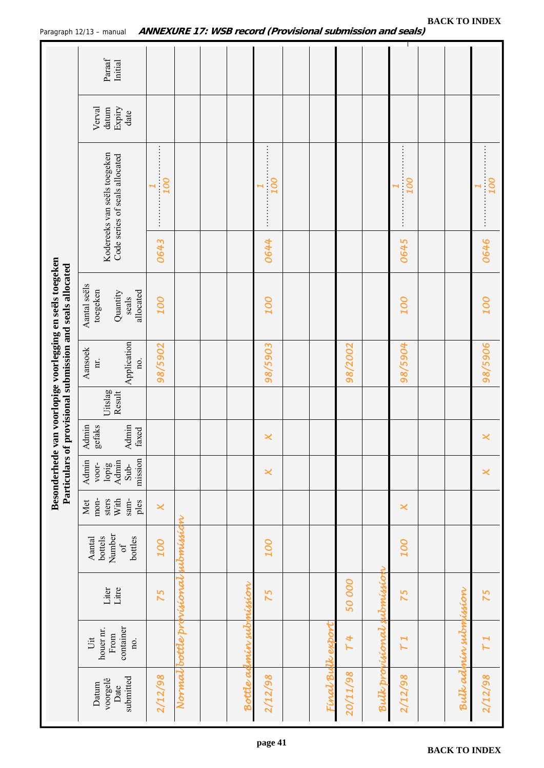<span id="page-40-0"></span>

|                                                                                                         | Paraaf<br>Initial                                              |                                                                                                                                                                                                                                                                                                                                                         |                           |                         |                       |                   |          |                    |                          |                      |                          |
|---------------------------------------------------------------------------------------------------------|----------------------------------------------------------------|---------------------------------------------------------------------------------------------------------------------------------------------------------------------------------------------------------------------------------------------------------------------------------------------------------------------------------------------------------|---------------------------|-------------------------|-----------------------|-------------------|----------|--------------------|--------------------------|----------------------|--------------------------|
|                                                                                                         | Expiry<br>Verval<br>datum<br>date                              |                                                                                                                                                                                                                                                                                                                                                         |                           |                         |                       |                   |          |                    |                          |                      |                          |
|                                                                                                         | Kodereeks van seëls toegeken<br>Code series of seals allocated | <br>100<br>$\blacktriangleright$<br>$\frac{1}{2}$ $\frac{1}{2}$ $\frac{1}{2}$ $\frac{1}{2}$ $\frac{1}{2}$ $\frac{1}{2}$ $\frac{1}{2}$ $\frac{1}{2}$ $\frac{1}{2}$ $\frac{1}{2}$ $\frac{1}{2}$ $\frac{1}{2}$ $\frac{1}{2}$ $\frac{1}{2}$ $\frac{1}{2}$ $\frac{1}{2}$ $\frac{1}{2}$ $\frac{1}{2}$ $\frac{1}{2}$ $\frac{1}{2}$ $\frac{1}{2}$ $\frac{1}{2}$ |                           |                         | 100<br>$\vdots$       |                   |          |                    | <b>DOT</b><br>H          |                      | 100                      |
|                                                                                                         |                                                                | 0643                                                                                                                                                                                                                                                                                                                                                    |                           |                         | 0644                  |                   |          |                    | 0645                     |                      | 0646                     |
| Besonderhede van voorlopige voorlegging en seëls toegeken<br>provisional submission and seals allocated | Aantal seëls<br>toegeken<br>allocated<br>Quantity<br>seals     | <b>OOT</b>                                                                                                                                                                                                                                                                                                                                              |                           |                         | 100                   |                   |          |                    | 100                      |                      | 100                      |
|                                                                                                         | Application<br>Aansoek<br>ii.<br>no.                           | 98/5902                                                                                                                                                                                                                                                                                                                                                 |                           |                         | 98/5903               |                   | 98/2002  |                    | 98/5904                  |                      | 98/5906                  |
|                                                                                                         | Uitslag<br>Result                                              |                                                                                                                                                                                                                                                                                                                                                         |                           |                         |                       |                   |          |                    |                          |                      |                          |
|                                                                                                         | Admin<br>Admin<br>gefaks<br>faxed                              |                                                                                                                                                                                                                                                                                                                                                         |                           |                         | $\boldsymbol{\times}$ |                   |          |                    |                          |                      | ×                        |
| Particulars of                                                                                          | mission<br>Admin<br>Admin<br>voor-<br>lopig<br>Sub-            |                                                                                                                                                                                                                                                                                                                                                         |                           |                         | $\boldsymbol{\times}$ |                   |          |                    |                          |                      | $\boldsymbol{\varkappa}$ |
|                                                                                                         | mon-<br>With<br>Met<br>sters<br>sam-<br>ples                   | $\overline{\mathsf{x}}$                                                                                                                                                                                                                                                                                                                                 |                           |                         |                       |                   |          |                    | $\boldsymbol{\varkappa}$ |                      |                          |
|                                                                                                         | Number<br>bottels<br>bottles<br>Aantal<br>of                   | 100                                                                                                                                                                                                                                                                                                                                                     | monission                 |                         | <b>OOT</b>            |                   |          |                    | <b>001</b>               |                      |                          |
|                                                                                                         | Litre<br>Liter                                                 | 75                                                                                                                                                                                                                                                                                                                                                      |                           |                         | 75                    |                   | 50000    | ubmission          | 75                       |                      | 75                       |
|                                                                                                         | container<br>houer nr.<br>From<br>Uit<br>no.                   |                                                                                                                                                                                                                                                                                                                                                         | Normal bottle provisional | Bottle admin submission |                       |                   | 4<br>H   | Bulk profisional s | H<br>$\mathsf{L}$        | Bulkadnin submission | T1                       |
|                                                                                                         | submitted<br>voorgelê<br>Datum<br>Date                         | 2/12/98                                                                                                                                                                                                                                                                                                                                                 |                           |                         | 2/12/98               | Final Bulle expor | 20/11/98 |                    | 2/12/98                  |                      | 2/12/98                  |
|                                                                                                         |                                                                |                                                                                                                                                                                                                                                                                                                                                         |                           |                         |                       |                   |          |                    |                          |                      |                          |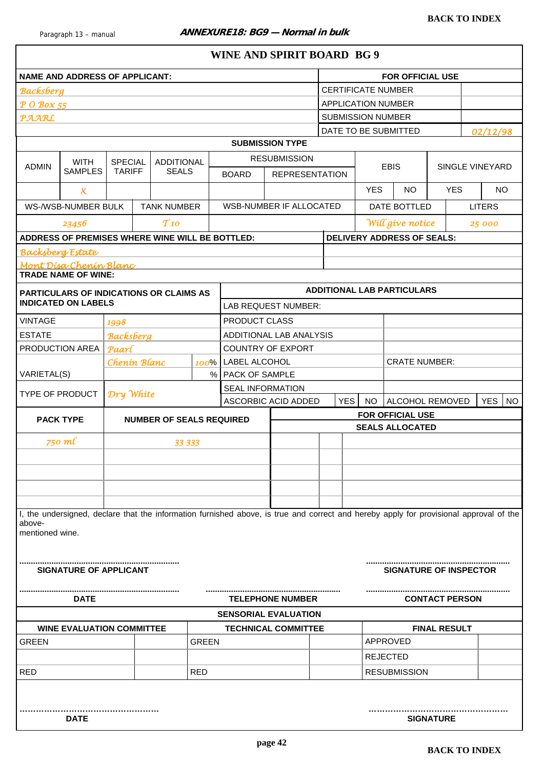<span id="page-41-0"></span>

|                           | <b>NAME AND ADDRESS OF APPLICANT:</b>           |                                                                                                                                  |                                   |                                 |                                                                                 |                                                                                                                                        |                            |  |                           |            | <b>FOR OFFICIAL USE</b>                    |                  |                     |                         |
|---------------------------|-------------------------------------------------|----------------------------------------------------------------------------------------------------------------------------------|-----------------------------------|---------------------------------|---------------------------------------------------------------------------------|----------------------------------------------------------------------------------------------------------------------------------------|----------------------------|--|---------------------------|------------|--------------------------------------------|------------------|---------------------|-------------------------|
| <b>Backsberg</b>          |                                                 |                                                                                                                                  |                                   |                                 |                                                                                 |                                                                                                                                        |                            |  | <b>CERTIFICATE NUMBER</b> |            |                                            |                  |                     |                         |
| P O Box 55                |                                                 |                                                                                                                                  |                                   |                                 |                                                                                 |                                                                                                                                        |                            |  | <b>APPLICATION NUMBER</b> |            |                                            |                  |                     |                         |
| <b>PAARL</b>              |                                                 |                                                                                                                                  |                                   |                                 |                                                                                 |                                                                                                                                        |                            |  | <b>SUBMISSION NUMBER</b>  |            |                                            |                  |                     |                         |
|                           |                                                 |                                                                                                                                  |                                   |                                 |                                                                                 |                                                                                                                                        |                            |  |                           |            | DATE TO BE SUBMITTED                       |                  |                     | 02/12/98                |
|                           |                                                 |                                                                                                                                  |                                   |                                 |                                                                                 |                                                                                                                                        | <b>SUBMISSION TYPE</b>     |  |                           |            |                                            |                  |                     |                         |
|                           | <b>WITH</b>                                     | <b>SPECIAL</b>                                                                                                                   |                                   | <b>ADDITIONAL</b>               |                                                                                 |                                                                                                                                        | <b>RESUBMISSION</b>        |  |                           |            |                                            |                  |                     |                         |
| <b>ADMIN</b>              | <b>SAMPLES</b>                                  | <b>TARIFF</b>                                                                                                                    |                                   | <b>SEALS</b>                    |                                                                                 | <b>BOARD</b>                                                                                                                           | <b>REPRESENTATION</b>      |  |                           |            | <b>EBIS</b>                                |                  |                     | SINGLE VINEYARD         |
|                           | X.                                              |                                                                                                                                  |                                   |                                 |                                                                                 |                                                                                                                                        |                            |  |                           | <b>YES</b> | <b>NO</b>                                  |                  | <b>YES</b>          | <b>NO</b>               |
|                           | WS-/WSB-NUMBER BULK                             |                                                                                                                                  |                                   | <b>TANK NUMBER</b>              |                                                                                 |                                                                                                                                        | WSB-NUMBER IF ALLOCATED    |  |                           |            | DATE BOTTLED                               |                  |                     | <b>LITERS</b>           |
|                           | 23456                                           |                                                                                                                                  |                                   | $T_{10}$                        |                                                                                 |                                                                                                                                        |                            |  |                           |            | Will give notice                           |                  |                     | 25 000                  |
|                           | ADDRESS OF PREMISES WHERE WINE WILL BE BOTTLED: |                                                                                                                                  |                                   |                                 |                                                                                 |                                                                                                                                        |                            |  |                           |            | <b>DELIVERY ADDRESS OF SEALS:</b>          |                  |                     |                         |
| <b>Backsberg Estate</b>   |                                                 |                                                                                                                                  |                                   |                                 |                                                                                 |                                                                                                                                        |                            |  |                           |            |                                            |                  |                     |                         |
|                           | Mont Dísa Chenín Blanc                          |                                                                                                                                  |                                   |                                 |                                                                                 |                                                                                                                                        |                            |  |                           |            |                                            |                  |                     |                         |
|                           | <b>TRADE NAME OF WINE:</b>                      |                                                                                                                                  |                                   |                                 |                                                                                 |                                                                                                                                        |                            |  |                           |            |                                            |                  |                     |                         |
|                           | PARTICULARS OF INDICATIONS OR CLAIMS AS         |                                                                                                                                  |                                   |                                 |                                                                                 |                                                                                                                                        |                            |  |                           |            | <b>ADDITIONAL LAB PARTICULARS</b>          |                  |                     |                         |
|                           | <b>INDICATED ON LABELS</b>                      |                                                                                                                                  |                                   |                                 |                                                                                 |                                                                                                                                        | LAB REQUEST NUMBER:        |  |                           |            |                                            |                  |                     |                         |
| <b>VINTAGE</b>            |                                                 | 1998                                                                                                                             |                                   |                                 |                                                                                 | PRODUCT CLASS                                                                                                                          |                            |  |                           |            |                                            |                  |                     |                         |
| <b>ESTATE</b>             |                                                 | <b>Backsberg</b>                                                                                                                 |                                   |                                 |                                                                                 |                                                                                                                                        | ADDITIONAL LAB ANALYSIS    |  |                           |            |                                            |                  |                     |                         |
|                           | PRODUCTION AREA                                 | <b>COUNTRY OF EXPORT</b><br>Paarl<br><b>CRATE NUMBER:</b><br>LABEL ALCOHOL<br>Chenin Blanc<br>100%<br>%<br><b>PACK OF SAMPLE</b> |                                   |                                 |                                                                                 |                                                                                                                                        |                            |  |                           |            |                                            |                  |                     |                         |
|                           |                                                 |                                                                                                                                  |                                   |                                 |                                                                                 |                                                                                                                                        |                            |  |                           |            |                                            |                  |                     |                         |
| VARIETAL(S)               |                                                 |                                                                                                                                  |                                   |                                 |                                                                                 |                                                                                                                                        |                            |  |                           |            |                                            |                  |                     |                         |
| <b>TYPE OF PRODUCT</b>    |                                                 | Dry White                                                                                                                        |                                   |                                 |                                                                                 |                                                                                                                                        | <b>SEAL INFORMATION</b>    |  |                           |            |                                            |                  |                     |                         |
|                           |                                                 |                                                                                                                                  |                                   |                                 |                                                                                 |                                                                                                                                        | ASCORBIC ACID ADDED        |  | <b>YES</b>                | <b>NO</b>  | ALCOHOL REMOVED                            |                  |                     | <b>YES</b><br><b>NO</b> |
|                           | <b>PACK TYPE</b>                                |                                                                                                                                  |                                   | <b>NUMBER OF SEALS REQUIRED</b> |                                                                                 |                                                                                                                                        |                            |  |                           |            | FOR OFFICIAL USE<br><b>SEALS ALLOCATED</b> |                  |                     |                         |
|                           | 750 ml                                          |                                                                                                                                  |                                   | 33 333                          |                                                                                 |                                                                                                                                        |                            |  |                           |            |                                            |                  |                     |                         |
|                           |                                                 |                                                                                                                                  |                                   |                                 |                                                                                 |                                                                                                                                        |                            |  |                           |            |                                            |                  |                     |                         |
|                           |                                                 |                                                                                                                                  |                                   |                                 |                                                                                 |                                                                                                                                        |                            |  |                           |            |                                            |                  |                     |                         |
|                           |                                                 |                                                                                                                                  |                                   |                                 |                                                                                 | I, the undersigned, declare that the information furnished above, is true and correct and hereby apply for provisional approval of the |                            |  |                           |            |                                            |                  |                     |                         |
|                           |                                                 |                                                                                                                                  |                                   |                                 |                                                                                 |                                                                                                                                        |                            |  |                           |            |                                            |                  |                     |                         |
| above-<br>mentioned wine. |                                                 |                                                                                                                                  |                                   |                                 |                                                                                 |                                                                                                                                        |                            |  |                           |            |                                            |                  |                     |                         |
|                           | SIGNATURE OF APPLICANT                          |                                                                                                                                  | <b>SIGNATURE OF INSPECTOR</b><br> |                                 |                                                                                 |                                                                                                                                        |                            |  |                           |            |                                            |                  |                     |                         |
|                           | <b>DATE</b>                                     |                                                                                                                                  |                                   |                                 | <b>TELEPHONE NUMBER</b><br><b>CONTACT PERSON</b><br><b>SENSORIAL EVALUATION</b> |                                                                                                                                        |                            |  |                           |            |                                            |                  |                     |                         |
|                           |                                                 |                                                                                                                                  |                                   |                                 |                                                                                 |                                                                                                                                        |                            |  |                           |            |                                            |                  |                     |                         |
|                           | <b>WINE EVALUATION COMMITTEE</b>                |                                                                                                                                  |                                   |                                 |                                                                                 |                                                                                                                                        | <b>TECHNICAL COMMITTEE</b> |  |                           |            |                                            |                  | <b>FINAL RESULT</b> |                         |
| <b>GREEN</b>              |                                                 |                                                                                                                                  |                                   |                                 | <b>GREEN</b>                                                                    |                                                                                                                                        |                            |  |                           |            | APPROVED                                   |                  |                     |                         |
|                           |                                                 |                                                                                                                                  |                                   |                                 |                                                                                 |                                                                                                                                        |                            |  |                           |            | <b>REJECTED</b>                            |                  |                     |                         |
| <b>RED</b>                |                                                 |                                                                                                                                  |                                   |                                 | <b>RED</b>                                                                      |                                                                                                                                        |                            |  |                           |            | <b>RESUBMISSION</b>                        |                  |                     |                         |
|                           | <b>DATE</b>                                     |                                                                                                                                  |                                   |                                 |                                                                                 |                                                                                                                                        |                            |  |                           |            |                                            | <b>SIGNATURE</b> |                     |                         |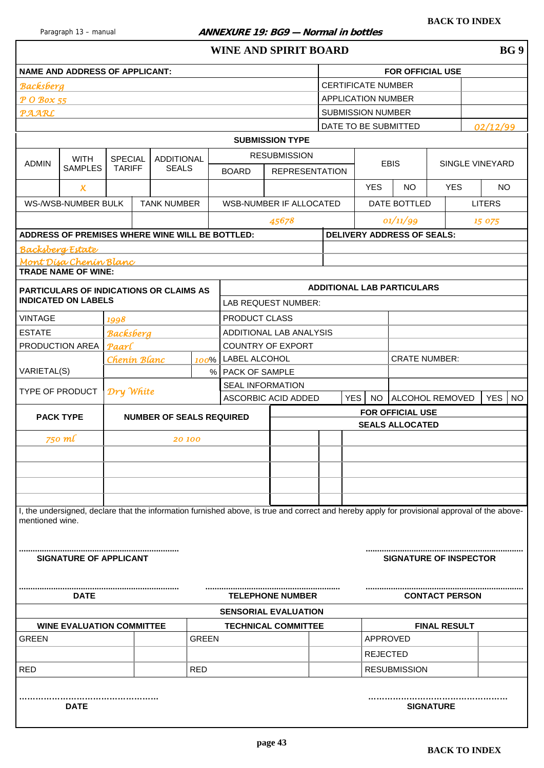#### <span id="page-42-0"></span>Paragraph 13 – manual **ANNEXURE 19: BG9 – Normal in bottles**

|                         | <b>NAME AND ADDRESS OF APPLICANT:</b>           |                  |                                 |              |                         |                                                                                                                                               |            |                           | <b>FOR OFFICIAL USE</b>           |                       |                        |           |
|-------------------------|-------------------------------------------------|------------------|---------------------------------|--------------|-------------------------|-----------------------------------------------------------------------------------------------------------------------------------------------|------------|---------------------------|-----------------------------------|-----------------------|------------------------|-----------|
| <b>Backsberg</b>        |                                                 |                  |                                 |              |                         |                                                                                                                                               |            | <b>CERTIFICATE NUMBER</b> |                                   |                       |                        |           |
| P O Box 55              |                                                 |                  |                                 |              |                         |                                                                                                                                               |            | APPLICATION NUMBER        |                                   |                       |                        |           |
| <b>PAARL</b>            |                                                 |                  |                                 |              |                         |                                                                                                                                               |            | <b>SUBMISSION NUMBER</b>  |                                   |                       |                        |           |
|                         |                                                 |                  |                                 |              |                         |                                                                                                                                               |            |                           | DATE TO BE SUBMITTED              |                       | 02/12/99               |           |
|                         |                                                 |                  |                                 |              |                         | <b>SUBMISSION TYPE</b>                                                                                                                        |            |                           |                                   |                       |                        |           |
| <b>ADMIN</b>            | <b>WITH</b>                                     | <b>SPECIAL</b>   | <b>ADDITIONAL</b>               |              |                         | <b>RESUBMISSION</b>                                                                                                                           |            |                           | <b>EBIS</b>                       |                       | <b>SINGLE VINEYARD</b> |           |
|                         | <b>SAMPLES</b>                                  | <b>TARIFF</b>    | <b>SEALS</b>                    |              | <b>BOARD</b>            | <b>REPRESENTATION</b>                                                                                                                         |            |                           |                                   |                       |                        |           |
|                         | $\boldsymbol{\mathsf{x}}$                       |                  |                                 |              |                         |                                                                                                                                               |            | <b>YES</b>                | <b>NO</b>                         | <b>YES</b>            | <b>NO</b>              |           |
|                         | WS-/WSB-NUMBER BULK                             |                  | <b>TANK NUMBER</b>              |              |                         | WSB-NUMBER IF ALLOCATED                                                                                                                       |            |                           | DATE BOTTLED                      |                       | <b>LITERS</b>          |           |
|                         |                                                 |                  |                                 |              |                         | 45678                                                                                                                                         |            |                           | 01/11/99                          |                       | 15 075                 |           |
|                         | ADDRESS OF PREMISES WHERE WINE WILL BE BOTTLED: |                  |                                 |              |                         |                                                                                                                                               |            |                           | <b>DELIVERY ADDRESS OF SEALS:</b> |                       |                        |           |
| <b>Backsberg Estate</b> |                                                 |                  |                                 |              |                         |                                                                                                                                               |            |                           |                                   |                       |                        |           |
|                         | Mont Disa Chenin Blanc                          |                  |                                 |              |                         |                                                                                                                                               |            |                           |                                   |                       |                        |           |
|                         | <b>TRADE NAME OF WINE:</b>                      |                  |                                 |              |                         |                                                                                                                                               |            |                           |                                   |                       |                        |           |
|                         | <b>PARTICULARS OF INDICATIONS OR CLAIMS AS</b>  |                  |                                 |              |                         |                                                                                                                                               |            |                           | <b>ADDITIONAL LAB PARTICULARS</b> |                       |                        |           |
|                         | <b>INDICATED ON LABELS</b>                      |                  |                                 |              |                         | LAB REQUEST NUMBER:                                                                                                                           |            |                           |                                   |                       |                        |           |
| <b>VINTAGE</b>          |                                                 | 1998             |                                 |              | PRODUCT CLASS           |                                                                                                                                               |            |                           |                                   |                       |                        |           |
| <b>ESTATE</b>           |                                                 | <b>Backsberg</b> |                                 |              |                         | ADDITIONAL LAB ANALYSIS                                                                                                                       |            |                           |                                   |                       |                        |           |
|                         | PRODUCTION AREA                                 | Paarl            |                                 |              |                         | <b>COUNTRY OF EXPORT</b>                                                                                                                      |            |                           |                                   |                       |                        |           |
|                         |                                                 | Chenin Blanc     |                                 |              | 100%   LABEL ALCOHOL    |                                                                                                                                               |            |                           | <b>CRATE NUMBER:</b>              |                       |                        |           |
| VARIETAL(S)             |                                                 |                  |                                 |              | % PACK OF SAMPLE        |                                                                                                                                               |            |                           |                                   |                       |                        |           |
| TYPE OF PRODUCT         |                                                 | Dry White        |                                 |              | <b>SEAL INFORMATION</b> |                                                                                                                                               |            |                           |                                   |                       |                        |           |
|                         |                                                 |                  |                                 |              |                         | ASCORBIC ACID ADDED                                                                                                                           | <b>YES</b> | <b>NO</b>                 | ALCOHOL REMOVED                   |                       | <b>YES</b>             | <b>NO</b> |
|                         | <b>PACK TYPE</b>                                |                  | <b>NUMBER OF SEALS REQUIRED</b> |              |                         |                                                                                                                                               |            |                           | <b>FOR OFFICIAL USE</b>           |                       |                        |           |
|                         |                                                 |                  |                                 |              |                         |                                                                                                                                               |            |                           | <b>SEALS ALLOCATED</b>            |                       |                        |           |
|                         | 750 ml                                          |                  | 20 100                          |              |                         |                                                                                                                                               |            |                           |                                   |                       |                        |           |
|                         |                                                 |                  |                                 |              |                         |                                                                                                                                               |            |                           |                                   |                       |                        |           |
|                         |                                                 |                  |                                 |              |                         |                                                                                                                                               |            |                           |                                   |                       |                        |           |
|                         |                                                 |                  |                                 |              |                         |                                                                                                                                               |            |                           |                                   |                       |                        |           |
|                         |                                                 |                  |                                 |              |                         |                                                                                                                                               |            |                           |                                   |                       |                        |           |
| mentioned wine.         |                                                 |                  |                                 |              |                         | I, the undersigned, declare that the information furnished above, is true and correct and hereby apply for provisional approval of the above- |            |                           |                                   |                       |                        |           |
|                         |                                                 |                  |                                 |              |                         |                                                                                                                                               |            |                           |                                   |                       |                        |           |
|                         | <b>SIGNATURE OF APPLICANT</b>                   |                  |                                 |              |                         |                                                                                                                                               |            |                           | <b>SIGNATURE OF INSPECTOR</b>     |                       |                        |           |
|                         |                                                 |                  |                                 |              |                         |                                                                                                                                               |            |                           |                                   |                       |                        |           |
|                         |                                                 |                  |                                 |              |                         | <b>TELEPHONE NUMBER</b>                                                                                                                       |            |                           |                                   | <b>CONTACT PERSON</b> |                        |           |
|                         | DATE                                            |                  |                                 |              |                         | <b>SENSORIAL EVALUATION</b>                                                                                                                   |            |                           |                                   |                       |                        |           |
|                         | <b>WINE EVALUATION COMMITTEE</b>                |                  |                                 |              |                         | <b>TECHNICAL COMMITTEE</b>                                                                                                                    |            |                           |                                   | <b>FINAL RESULT</b>   |                        |           |
| <b>GREEN</b>            |                                                 |                  |                                 | <b>GREEN</b> |                         |                                                                                                                                               |            | APPROVED                  |                                   |                       |                        |           |
|                         |                                                 |                  |                                 |              |                         |                                                                                                                                               |            | <b>REJECTED</b>           |                                   |                       |                        |           |
| <b>RED</b>              |                                                 |                  |                                 | <b>RED</b>   |                         |                                                                                                                                               |            |                           | <b>RESUBMISSION</b>               |                       |                        |           |
|                         |                                                 |                  |                                 |              |                         |                                                                                                                                               |            |                           |                                   |                       |                        |           |
|                         |                                                 |                  |                                 |              |                         |                                                                                                                                               |            |                           |                                   |                       |                        |           |
|                         | <b>DATE</b>                                     |                  |                                 |              |                         |                                                                                                                                               |            |                           |                                   | <b>SIGNATURE</b>      |                        |           |
|                         |                                                 |                  |                                 |              |                         |                                                                                                                                               |            |                           |                                   |                       |                        |           |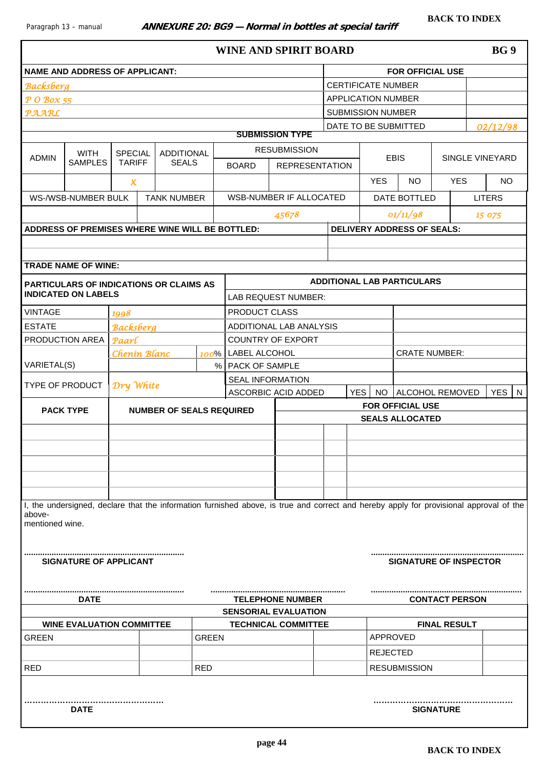<span id="page-43-0"></span>NAME AND ADDRESS OF APPLICANT: **FOR OFFICIAL USE** 

*Backsberg* CERTIFICATE NUMBER *P O Box 55* APPLICATION NUMBER

| WINE AND SPIRIT BOARD | BG 9 |
|-----------------------|------|
|-----------------------|------|

| PAARL                     |                                  |                     |                                                                                                                                        |              |                         |                             | <b>SUBMISSION NUMBER</b> |                 |                                   |                       |               |                 |
|---------------------------|----------------------------------|---------------------|----------------------------------------------------------------------------------------------------------------------------------------|--------------|-------------------------|-----------------------------|--------------------------|-----------------|-----------------------------------|-----------------------|---------------|-----------------|
|                           |                                  |                     |                                                                                                                                        |              |                         |                             | DATE TO BE SUBMITTED     |                 |                                   |                       |               | 02/12/98        |
|                           |                                  |                     |                                                                                                                                        |              |                         | <b>SUBMISSION TYPE</b>      |                          |                 |                                   |                       |               |                 |
| <b>ADMIN</b>              | <b>WITH</b>                      | <b>SPECIAL</b>      | <b>ADDITIONAL</b>                                                                                                                      |              |                         | <b>RESUBMISSION</b>         |                          |                 | <b>EBIS</b>                       |                       |               | SINGLE VINEYARD |
|                           | <b>SAMPLES</b>                   | <b>TARIFF</b>       | <b>SEALS</b>                                                                                                                           |              | <b>BOARD</b>            | <b>REPRESENTATION</b>       |                          |                 |                                   |                       |               |                 |
|                           |                                  | $\boldsymbol{\chi}$ |                                                                                                                                        |              |                         |                             |                          | <b>YES</b>      | <b>NO</b>                         | <b>YES</b>            |               | <b>NO</b>       |
|                           | WS-/WSB-NUMBER BULK              |                     | <b>TANK NUMBER</b>                                                                                                                     |              |                         | WSB-NUMBER IF ALLOCATED     |                          |                 | DATE BOTTLED                      |                       | <b>LITERS</b> |                 |
|                           |                                  |                     |                                                                                                                                        |              |                         | 45678                       |                          |                 | 01/11/98                          |                       |               | 15 075          |
|                           |                                  |                     | ADDRESS OF PREMISES WHERE WINE WILL BE BOTTLED:                                                                                        |              |                         |                             |                          |                 | <b>DELIVERY ADDRESS OF SEALS:</b> |                       |               |                 |
|                           |                                  |                     |                                                                                                                                        |              |                         |                             |                          |                 |                                   |                       |               |                 |
|                           |                                  |                     |                                                                                                                                        |              |                         |                             |                          |                 |                                   |                       |               |                 |
|                           | <b>TRADE NAME OF WINE:</b>       |                     |                                                                                                                                        |              |                         |                             |                          |                 |                                   |                       |               |                 |
|                           |                                  |                     | PARTICULARS OF INDICATIONS OR CLAIMS AS                                                                                                |              |                         |                             |                          |                 | <b>ADDITIONAL LAB PARTICULARS</b> |                       |               |                 |
|                           | <b>INDICATED ON LABELS</b>       |                     |                                                                                                                                        |              |                         | LAB REQUEST NUMBER:         |                          |                 |                                   |                       |               |                 |
| <b>VINTAGE</b>            |                                  | 1998                |                                                                                                                                        |              | PRODUCT CLASS           |                             |                          |                 |                                   |                       |               |                 |
| <b>ESTATE</b>             |                                  | <b>Backsberg</b>    |                                                                                                                                        |              |                         | ADDITIONAL LAB ANALYSIS     |                          |                 |                                   |                       |               |                 |
| PRODUCTION AREA           |                                  | Paarl               |                                                                                                                                        |              |                         | <b>COUNTRY OF EXPORT</b>    |                          |                 |                                   |                       |               |                 |
|                           |                                  |                     | Chenin Blanc                                                                                                                           | 100%         | <b>LABEL ALCOHOL</b>    |                             |                          |                 | <b>CRATE NUMBER:</b>              |                       |               |                 |
| VARIETAL(S)               |                                  |                     |                                                                                                                                        |              | %   PACK OF SAMPLE      |                             |                          |                 |                                   |                       |               |                 |
| TYPE OF PRODUCT           |                                  | Dry White           |                                                                                                                                        |              | <b>SEAL INFORMATION</b> |                             |                          |                 |                                   |                       |               |                 |
|                           |                                  |                     |                                                                                                                                        |              |                         | ASCORBIC ACID ADDED         | YES I                    | <b>NO</b>       | ALCOHOL REMOVED                   |                       |               | <b>YES</b><br>N |
| <b>PACK TYPE</b>          |                                  |                     | <b>NUMBER OF SEALS REQUIRED</b>                                                                                                        |              |                         |                             |                          |                 | <b>FOR OFFICIAL USE</b>           |                       |               |                 |
|                           |                                  |                     |                                                                                                                                        |              |                         |                             |                          |                 | <b>SEALS ALLOCATED</b>            |                       |               |                 |
|                           |                                  |                     |                                                                                                                                        |              |                         |                             |                          |                 |                                   |                       |               |                 |
|                           |                                  |                     |                                                                                                                                        |              |                         |                             |                          |                 |                                   |                       |               |                 |
|                           |                                  |                     |                                                                                                                                        |              |                         |                             |                          |                 |                                   |                       |               |                 |
|                           |                                  |                     |                                                                                                                                        |              |                         |                             |                          |                 |                                   |                       |               |                 |
|                           |                                  |                     |                                                                                                                                        |              |                         |                             |                          |                 |                                   |                       |               |                 |
| above-<br>mentioned wine. |                                  |                     | I, the undersigned, declare that the information furnished above, is true and correct and hereby apply for provisional approval of the |              |                         |                             |                          |                 |                                   |                       |               |                 |
|                           | <b>SIGNATURE OF APPLICANT</b>    |                     |                                                                                                                                        |              |                         |                             |                          |                 | <b>SIGNATURE OF INSPECTOR</b>     |                       |               |                 |
|                           | <b>DATE</b>                      |                     |                                                                                                                                        |              |                         | <b>TELEPHONE NUMBER</b>     |                          |                 |                                   | <b>CONTACT PERSON</b> |               |                 |
|                           |                                  |                     |                                                                                                                                        |              |                         | <b>SENSORIAL EVALUATION</b> |                          |                 |                                   |                       |               |                 |
|                           | <b>WINE EVALUATION COMMITTEE</b> |                     |                                                                                                                                        |              |                         | <b>TECHNICAL COMMITTEE</b>  |                          |                 |                                   | <b>FINAL RESULT</b>   |               |                 |
| <b>GREEN</b>              |                                  |                     |                                                                                                                                        | <b>GREEN</b> |                         |                             |                          | APPROVED        |                                   |                       |               |                 |
|                           |                                  |                     |                                                                                                                                        |              |                         |                             |                          | <b>REJECTED</b> |                                   |                       |               |                 |
| <b>RED</b>                |                                  |                     |                                                                                                                                        | <b>RED</b>   |                         |                             |                          |                 | <b>RESUBMISSION</b>               |                       |               |                 |
|                           | <b>DATE</b>                      |                     |                                                                                                                                        |              |                         |                             |                          |                 |                                   | <b>SIGNATURE</b>      |               |                 |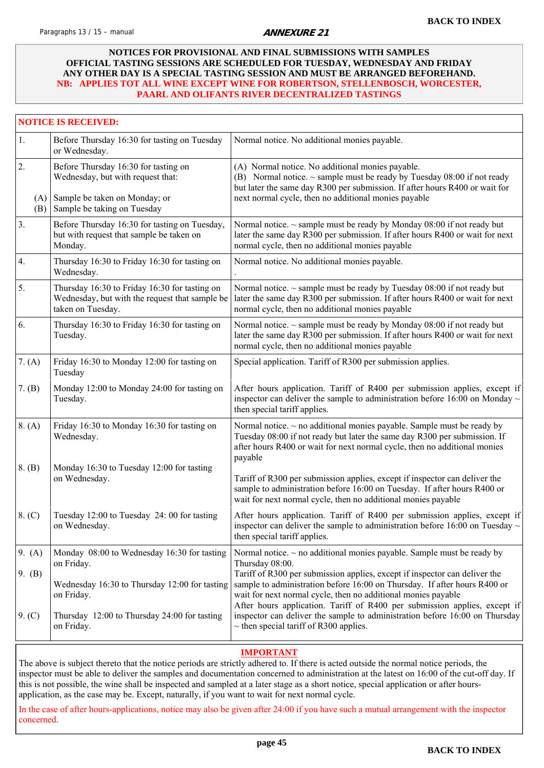#### <span id="page-44-0"></span>**NOTICES FOR PROVISIONAL AND FINAL SUBMISSIONS WITH SAMPLES OFFICIAL TASTING SESSIONS ARE SCHEDULED FOR TUESDAY, WEDNESDAY AND FRIDAY ANY OTHER DAY IS A SPECIAL TASTING SESSION AND MUST BE ARRANGED BEFOREHAND. NB: APPLIES TOT ALL WINE EXCEPT WINE FOR ROBERTSON, STELLENBOSCH, WORCESTER, PAARL AND OLIFANTS RIVER DECENTRALIZED TASTINGS**

|                  | <b>NOTICE IS RECEIVED:</b>                                                                                           |                                                                                                                                                                                                                                                                                                       |
|------------------|----------------------------------------------------------------------------------------------------------------------|-------------------------------------------------------------------------------------------------------------------------------------------------------------------------------------------------------------------------------------------------------------------------------------------------------|
| 1.               | Before Thursday 16:30 for tasting on Tuesday<br>or Wednesday.                                                        | Normal notice. No additional monies payable.                                                                                                                                                                                                                                                          |
| 2.               | Before Thursday 16:30 for tasting on<br>Wednesday, but with request that:<br>(A) Sample be taken on Monday; or       | (A) Normal notice. No additional monies payable.<br>(B) Normal notice. $\sim$ sample must be ready by Tuesday 08:00 if not ready<br>but later the same day R300 per submission. If after hours R400 or wait for<br>next normal cycle, then no additional monies payable                               |
|                  | (B) Sample be taking on Tuesday                                                                                      |                                                                                                                                                                                                                                                                                                       |
| 3.               | Before Thursday 16:30 for tasting on Tuesday,<br>but with request that sample be taken on<br>Monday.                 | Normal notice. $\sim$ sample must be ready by Monday 08:00 if not ready but<br>later the same day R300 per submission. If after hours R400 or wait for next<br>normal cycle, then no additional monies payable                                                                                        |
| $\overline{4}$ . | Thursday 16:30 to Friday 16:30 for tasting on<br>Wednesday.                                                          | Normal notice. No additional monies payable.                                                                                                                                                                                                                                                          |
| 5.               | Thursday 16:30 to Friday 16:30 for tasting on<br>Wednesday, but with the request that sample be<br>taken on Tuesday. | Normal notice. $\sim$ sample must be ready by Tuesday 08:00 if not ready but<br>later the same day R300 per submission. If after hours R400 or wait for next<br>normal cycle, then no additional monies payable                                                                                       |
| 6.               | Thursday 16:30 to Friday 16:30 for tasting on<br>Tuesday.                                                            | Normal notice. $\sim$ sample must be ready by Monday 08:00 if not ready but<br>later the same day R300 per submission. If after hours R400 or wait for next<br>normal cycle, then no additional monies payable                                                                                        |
| 7. (A)           | Friday 16:30 to Monday 12:00 for tasting on<br>Tuesday                                                               | Special application. Tariff of R300 per submission applies.                                                                                                                                                                                                                                           |
| 7. (B)           | Monday 12:00 to Monday 24:00 for tasting on<br>Tuesday.                                                              | After hours application. Tariff of R400 per submission applies, except if<br>inspector can deliver the sample to administration before 16:00 on Monday $\sim$<br>then special tariff applies.                                                                                                         |
| 8. (A)           | Friday 16:30 to Monday 16:30 for tasting on<br>Wednesday.                                                            | Normal notice. $\sim$ no additional monies payable. Sample must be ready by<br>Tuesday 08:00 if not ready but later the same day R300 per submission. If<br>after hours R400 or wait for next normal cycle, then no additional monies<br>payable                                                      |
| 8. (B)           | Monday 16:30 to Tuesday 12:00 for tasting<br>on Wednesday.                                                           | Tariff of R300 per submission applies, except if inspector can deliver the<br>sample to administration before 16:00 on Tuesday. If after hours R400 or<br>wait for next normal cycle, then no additional monies payable                                                                               |
| 8. (C)           | Tuesday 12:00 to Tuesday 24:00 for tasting<br>on Wednesday.                                                          | After hours application. Tariff of R400 per submission applies, except if<br>inspector can deliver the sample to administration before 16:00 on Tuesday $\sim$<br>then special tariff applies.                                                                                                        |
| 9. $(A)$         | Monday 08:00 to Wednesday 16:30 for tasting<br>on Friday.                                                            | Normal notice. $\sim$ no additional monies payable. Sample must be ready by<br>Thursday 08:00.                                                                                                                                                                                                        |
| 9. $(B)$         | Wednesday 16:30 to Thursday 12:00 for tasting<br>on Friday.                                                          | Tariff of R300 per submission applies, except if inspector can deliver the<br>sample to administration before 16:00 on Thursday. If after hours R400 or<br>wait for next normal cycle, then no additional monies payable<br>After hours application. Tariff of R400 per submission applies, except if |
| 9. (C)           | Thursday 12:00 to Thursday 24:00 for tasting<br>on Friday.                                                           | inspector can deliver the sample to administration before 16:00 on Thursday<br>$\sim$ then special tariff of R300 applies.                                                                                                                                                                            |

#### **IMPORTANT**

The above is subject thereto that the notice periods are strictly adhered to. If there is acted outside the normal notice periods, the inspector must be able to deliver the samples and documentation concerned to administration at the latest on 16:00 of the cut-off day. If this is not possible, the wine shall be inspected and sampled at a later stage as a short notice, special application or after hoursapplication, as the case may be. Except, naturally, if you want to wait for next normal cycle.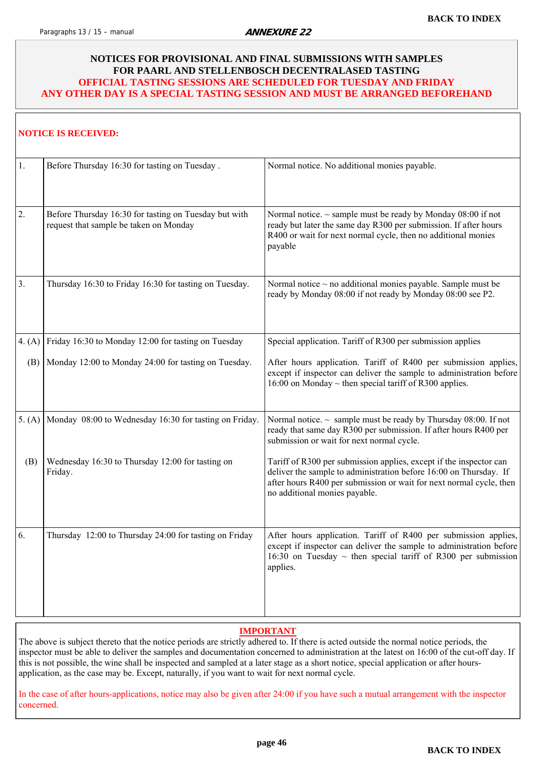#### <span id="page-45-0"></span>**NOTICES FOR PROVISIONAL AND FINAL SUBMISSIONS WITH SAMPLES FOR PAARL AND STELLENBOSCH DECENTRALASED TASTING OFFICIAL TASTING SESSIONS ARE SCHEDULED FOR TUESDAY AND FRIDAY ANY OTHER DAY IS A SPECIAL TASTING SESSION AND MUST BE ARRANGED BEFOREHAND**

#### **NOTICE IS RECEIVED:**

| 1.       | Before Thursday 16:30 for tasting on Tuesday.                                                   | Normal notice. No additional monies payable.                                                                                                                                                                                                    |
|----------|-------------------------------------------------------------------------------------------------|-------------------------------------------------------------------------------------------------------------------------------------------------------------------------------------------------------------------------------------------------|
| 2.       | Before Thursday 16:30 for tasting on Tuesday but with<br>request that sample be taken on Monday | Normal notice. $\sim$ sample must be ready by Monday 08:00 if not<br>ready but later the same day R300 per submission. If after hours<br>R400 or wait for next normal cycle, then no additional monies<br>payable                               |
| 3.       | Thursday 16:30 to Friday 16:30 for tasting on Tuesday.                                          | Normal notice $\sim$ no additional monies payable. Sample must be<br>ready by Monday 08:00 if not ready by Monday 08:00 see P2.                                                                                                                 |
| 4. $(A)$ | Friday 16:30 to Monday 12:00 for tasting on Tuesday                                             | Special application. Tariff of R300 per submission applies                                                                                                                                                                                      |
| (B)      | Monday 12:00 to Monday 24:00 for tasting on Tuesday.                                            | After hours application. Tariff of R400 per submission applies,<br>except if inspector can deliver the sample to administration before<br>16:00 on Monday $\sim$ then special tariff of R300 applies.                                           |
| 5. (A)   | Monday 08:00 to Wednesday 16:30 for tasting on Friday.                                          | Normal notice. $\sim$ sample must be ready by Thursday 08:00. If not<br>ready that same day R300 per submission. If after hours R400 per<br>submission or wait for next normal cycle.                                                           |
| (B)      | Wednesday 16:30 to Thursday 12:00 for tasting on<br>Friday.                                     | Tariff of R300 per submission applies, except if the inspector can<br>deliver the sample to administration before 16:00 on Thursday. If<br>after hours R400 per submission or wait for next normal cycle, then<br>no additional monies payable. |
| 6.       | Thursday 12:00 to Thursday 24:00 for tasting on Friday                                          | After hours application. Tariff of R400 per submission applies,<br>except if inspector can deliver the sample to administration before<br>16:30 on Tuesday $\sim$ then special tariff of R300 per submission<br>applies.                        |

#### **IMPORTANT**

The above is subject thereto that the notice periods are strictly adhered to. If there is acted outside the normal notice periods, the inspector must be able to deliver the samples and documentation concerned to administration at the latest on 16:00 of the cut-off day. If this is not possible, the wine shall be inspected and sampled at a later stage as a short notice, special application or after hoursapplication, as the case may be. Except, naturally, if you want to wait for next normal cycle.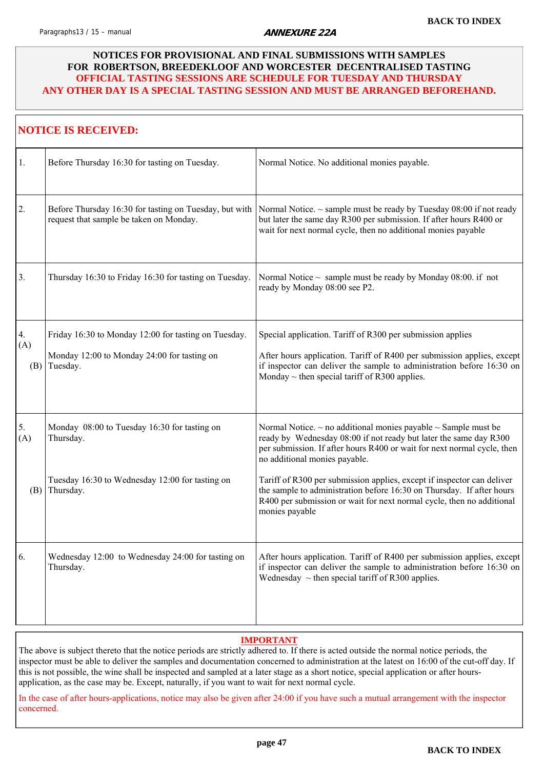#### <span id="page-46-0"></span>**NOTICES FOR PROVISIONAL AND FINAL SUBMISSIONS WITH SAMPLES FOR ROBERTSON, BREEDEKLOOF AND WORCESTER DECENTRALISED TASTING OFFICIAL TASTING SESSIONS ARE SCHEDULE FOR TUESDAY AND THURSDAY ANY OTHER DAY IS A SPECIAL TASTING SESSION AND MUST BE ARRANGED BEFOREHAND.**

|                  | <b>NOTICE IS RECEIVED:</b>                                                                                      |                                                                                                                                                                                                                                                                     |
|------------------|-----------------------------------------------------------------------------------------------------------------|---------------------------------------------------------------------------------------------------------------------------------------------------------------------------------------------------------------------------------------------------------------------|
| 1.               | Before Thursday 16:30 for tasting on Tuesday.                                                                   | Normal Notice. No additional monies payable.                                                                                                                                                                                                                        |
| 2.               | Before Thursday 16:30 for tasting on Tuesday, but with<br>request that sample be taken on Monday.               | Normal Notice. $\sim$ sample must be ready by Tuesday 08:00 if not ready<br>but later the same day R300 per submission. If after hours R400 or<br>wait for next normal cycle, then no additional monies payable                                                     |
| 3.               | Thursday 16:30 to Friday 16:30 for tasting on Tuesday.                                                          | Normal Notice $\sim$ sample must be ready by Monday 08:00. if not<br>ready by Monday 08:00 see P2.                                                                                                                                                                  |
| 4.<br>(A)<br>(B) | Friday 16:30 to Monday 12:00 for tasting on Tuesday.<br>Monday 12:00 to Monday 24:00 for tasting on<br>Tuesday. | Special application. Tariff of R300 per submission applies<br>After hours application. Tariff of R400 per submission applies, except<br>if inspector can deliver the sample to administration before 16:30 on<br>Monday $\sim$ then special tariff of R300 applies. |
| 5.<br>(A)        | Monday 08:00 to Tuesday 16:30 for tasting on<br>Thursday.                                                       | Normal Notice. $\sim$ no additional monies payable $\sim$ Sample must be<br>ready by Wednesday 08:00 if not ready but later the same day R300<br>per submission. If after hours R400 or wait for next normal cycle, then<br>no additional monies payable.           |
|                  | Tuesday 16:30 to Wednesday 12:00 for tasting on<br>$(B)$ Thursday.                                              | Tariff of R300 per submission applies, except if inspector can deliver<br>the sample to administration before 16:30 on Thursday. If after hours<br>R400 per submission or wait for next normal cycle, then no additional<br>monies payable                          |
| 6.               | Wednesday 12:00 to Wednesday 24:00 for tasting on<br>Thursday.                                                  | After hours application. Tariff of R400 per submission applies, except<br>if inspector can deliver the sample to administration before 16:30 on<br>Wednesday $\sim$ then special tariff of R300 applies.                                                            |

#### **IMPORTANT**

The above is subject thereto that the notice periods are strictly adhered to. If there is acted outside the normal notice periods, the inspector must be able to deliver the samples and documentation concerned to administration at the latest on 16:00 of the cut-off day. If this is not possible, the wine shall be inspected and sampled at a later stage as a short notice, special application or after hoursapplication, as the case may be. Except, naturally, if you want to wait for next normal cycle.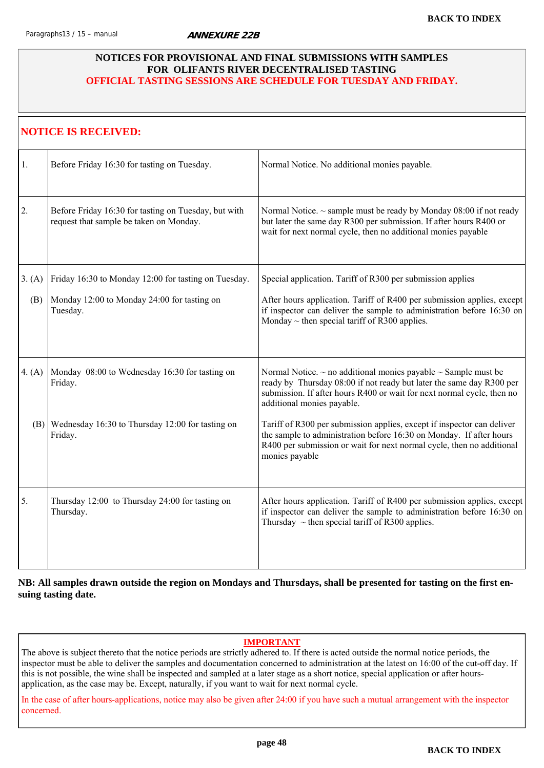#### <span id="page-47-0"></span>**NOTICES FOR PROVISIONAL AND FINAL SUBMISSIONS WITH SAMPLES FOR OLIFANTS RIVER DECENTRALISED TASTING OFFICIAL TASTING SESSIONS ARE SCHEDULE FOR TUESDAY AND FRIDAY.**

|          | <b>NOTICE IS RECEIVED:</b>                                                                      |                                                                                                                                                                                                                                                          |
|----------|-------------------------------------------------------------------------------------------------|----------------------------------------------------------------------------------------------------------------------------------------------------------------------------------------------------------------------------------------------------------|
| 1.       | Before Friday 16:30 for tasting on Tuesday.                                                     | Normal Notice. No additional monies payable.                                                                                                                                                                                                             |
| 2.       | Before Friday 16:30 for tasting on Tuesday, but with<br>request that sample be taken on Monday. | Normal Notice. ~ sample must be ready by Monday 08:00 if not ready<br>but later the same day R300 per submission. If after hours R400 or<br>wait for next normal cycle, then no additional monies payable                                                |
| 3. (A)   | Friday 16:30 to Monday 12:00 for tasting on Tuesday.                                            | Special application. Tariff of R300 per submission applies                                                                                                                                                                                               |
| (B)      | Monday 12:00 to Monday 24:00 for tasting on<br>Tuesday.                                         | After hours application. Tariff of R400 per submission applies, except<br>if inspector can deliver the sample to administration before 16:30 on<br>Monday $\sim$ then special tariff of R300 applies.                                                    |
| 4. $(A)$ | Monday 08:00 to Wednesday 16:30 for tasting on<br>Friday.                                       | Normal Notice. $\sim$ no additional monies payable $\sim$ Sample must be<br>ready by Thursday 08:00 if not ready but later the same day R300 per<br>submission. If after hours R400 or wait for next normal cycle, then no<br>additional monies payable. |
|          | $(B)$ Wednesday 16:30 to Thursday 12:00 for tasting on<br>Friday.                               | Tariff of R300 per submission applies, except if inspector can deliver<br>the sample to administration before 16:30 on Monday. If after hours<br>R400 per submission or wait for next normal cycle, then no additional<br>monies payable                 |
| 5.       | Thursday 12:00 to Thursday 24:00 for tasting on<br>Thursday.                                    | After hours application. Tariff of R400 per submission applies, except<br>if inspector can deliver the sample to administration before 16:30 on<br>Thursday $\sim$ then special tariff of R300 applies.                                                  |

**NB: All samples drawn outside the region on Mondays and Thursdays, shall be presented for tasting on the first ensuing tasting date.** 

#### **IMPORTANT**

The above is subject thereto that the notice periods are strictly adhered to. If there is acted outside the normal notice periods, the inspector must be able to deliver the samples and documentation concerned to administration at the latest on 16:00 of the cut-off day. If this is not possible, the wine shall be inspected and sampled at a later stage as a short notice, special application or after hoursapplication, as the case may be. Except, naturally, if you want to wait for next normal cycle.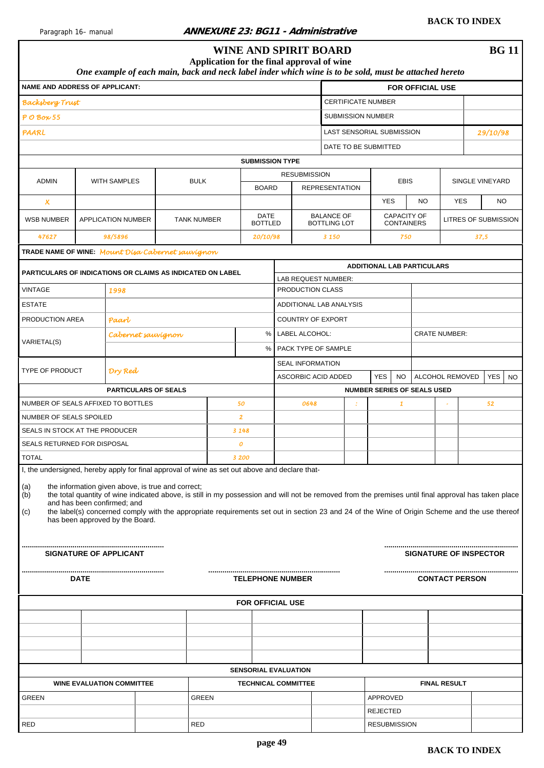<span id="page-48-0"></span>

|                                                                                                |      |                                                                                                                     | Application for the final approval of wine                                                                                                                                                                                                                                                            |                           |                        | <b>WINE AND SPIRIT BOARD</b>               |                   |                           |                                        |                                  |                         |                       |            | <b>BG 11</b>                  |
|------------------------------------------------------------------------------------------------|------|---------------------------------------------------------------------------------------------------------------------|-------------------------------------------------------------------------------------------------------------------------------------------------------------------------------------------------------------------------------------------------------------------------------------------------------|---------------------------|------------------------|--------------------------------------------|-------------------|---------------------------|----------------------------------------|----------------------------------|-------------------------|-----------------------|------------|-------------------------------|
|                                                                                                |      |                                                                                                                     | One example of each main, back and neck label inder which wine is to be sold, must be attached hereto                                                                                                                                                                                                 |                           |                        |                                            |                   |                           |                                        |                                  |                         |                       |            |                               |
| <b>NAME AND ADDRESS OF APPLICANT:</b>                                                          |      |                                                                                                                     |                                                                                                                                                                                                                                                                                                       |                           |                        |                                            |                   |                           |                                        |                                  | <b>FOR OFFICIAL USE</b> |                       |            |                               |
| <b>Backsberg Trust</b>                                                                         |      |                                                                                                                     |                                                                                                                                                                                                                                                                                                       |                           |                        |                                            |                   | <b>CERTIFICATE NUMBER</b> |                                        |                                  |                         |                       |            |                               |
| $P$ O Box 55                                                                                   |      |                                                                                                                     |                                                                                                                                                                                                                                                                                                       |                           |                        |                                            |                   | SUBMISSION NUMBER         |                                        |                                  |                         |                       |            |                               |
| PAARL                                                                                          |      |                                                                                                                     |                                                                                                                                                                                                                                                                                                       |                           |                        |                                            |                   | LAST SENSORIAL SUBMISSION |                                        |                                  |                         |                       |            | 29/10/98                      |
|                                                                                                |      |                                                                                                                     |                                                                                                                                                                                                                                                                                                       |                           |                        | <b>SUBMISSION TYPE</b>                     |                   | DATE TO BE SUBMITTED      |                                        |                                  |                         |                       |            |                               |
|                                                                                                |      |                                                                                                                     |                                                                                                                                                                                                                                                                                                       |                           |                        | <b>RESUBMISSION</b>                        |                   |                           |                                        |                                  |                         |                       |            |                               |
| <b>ADMIN</b>                                                                                   |      | <b>WITH SAMPLES</b>                                                                                                 | <b>BULK</b>                                                                                                                                                                                                                                                                                           |                           | <b>BOARD</b>           |                                            |                   | <b>REPRESENTATION</b>     |                                        | <b>EBIS</b>                      |                         |                       |            | SINGLE VINEYARD               |
| x                                                                                              |      |                                                                                                                     |                                                                                                                                                                                                                                                                                                       |                           |                        |                                            |                   |                           | <b>YES</b>                             |                                  | <b>NO</b>               |                       | <b>YES</b> | NO                            |
| <b>WSB NUMBER</b>                                                                              |      | <b>APPLICATION NUMBER</b>                                                                                           | <b>TANK NUMBER</b>                                                                                                                                                                                                                                                                                    |                           | DATE<br><b>BOTTLED</b> |                                            | <b>BALANCE OF</b> | <b>BOTTLING LOT</b>       |                                        | CAPACITY OF<br><b>CONTAINERS</b> |                         |                       |            | <b>LITRES OF SUBMISSION</b>   |
| 47627                                                                                          |      | 98/5896                                                                                                             |                                                                                                                                                                                                                                                                                                       |                           | 20/10/98               |                                            | 3 150             |                           |                                        | 750                              |                         |                       |            | 37,5                          |
| TRADE NAME OF WINE: Mount Disa Cabernet sauvignon                                              |      |                                                                                                                     |                                                                                                                                                                                                                                                                                                       |                           |                        |                                            |                   |                           |                                        |                                  |                         |                       |            |                               |
| PARTICULARS OF INDICATIONS OR CLAIMS AS INDICATED ON LABEL                                     |      |                                                                                                                     |                                                                                                                                                                                                                                                                                                       |                           |                        |                                            |                   |                           | <b>ADDITIONAL LAB PARTICULARS</b>      |                                  |                         |                       |            |                               |
| VINTAGE                                                                                        |      |                                                                                                                     |                                                                                                                                                                                                                                                                                                       |                           |                        | LAB REQUEST NUMBER:<br>PRODUCTION CLASS    |                   |                           |                                        |                                  |                         |                       |            |                               |
| <b>ESTATE</b>                                                                                  |      | 1998                                                                                                                |                                                                                                                                                                                                                                                                                                       |                           |                        | ADDITIONAL LAB ANALYSIS                    |                   |                           |                                        |                                  |                         |                       |            |                               |
|                                                                                                |      |                                                                                                                     |                                                                                                                                                                                                                                                                                                       |                           |                        |                                            |                   |                           |                                        |                                  |                         |                       |            |                               |
| PRODUCTION AREA                                                                                |      | Paart                                                                                                               |                                                                                                                                                                                                                                                                                                       |                           | %                      | <b>COUNTRY OF EXPORT</b><br>LABEL ALCOHOL: |                   |                           |                                        |                                  |                         | <b>CRATE NUMBER:</b>  |            |                               |
| VARIETAL(S)                                                                                    |      | Cabernet sauvignon                                                                                                  |                                                                                                                                                                                                                                                                                                       |                           | %                      | PACK TYPE OF SAMPLE                        |                   |                           |                                        |                                  |                         |                       |            |                               |
|                                                                                                |      |                                                                                                                     |                                                                                                                                                                                                                                                                                                       |                           |                        | <b>SEAL INFORMATION</b>                    |                   |                           |                                        |                                  |                         |                       |            |                               |
| <b>TYPE OF PRODUCT</b>                                                                         |      | Dry Red                                                                                                             |                                                                                                                                                                                                                                                                                                       |                           |                        | ASCORBIC ACID ADDED                        |                   |                           | <b>YES</b>                             | <b>NO</b>                        |                         | ALCOHOL REMOVED       |            | <b>YES</b><br><b>NO</b>       |
|                                                                                                |      | <b>PARTICULARS OF SEALS</b>                                                                                         |                                                                                                                                                                                                                                                                                                       |                           |                        |                                            |                   |                           | <b>NUMBER SERIES OF SEALS USED</b>     |                                  |                         |                       |            |                               |
| NUMBER OF SEALS AFFIXED TO BOTTLES                                                             |      |                                                                                                                     |                                                                                                                                                                                                                                                                                                       | 50                        |                        | 0648                                       |                   |                           |                                        | 1                                |                         |                       |            | 52                            |
| NUMBER OF SEALS SPOILED                                                                        |      |                                                                                                                     |                                                                                                                                                                                                                                                                                                       | $\overline{\mathbf{2}}$   |                        |                                            |                   |                           |                                        |                                  |                         |                       |            |                               |
| SEALS IN STOCK AT THE PRODUCER<br><b>SEALS RETURNED FOR DISPOSAL</b>                           |      |                                                                                                                     |                                                                                                                                                                                                                                                                                                       | 3 148<br>$\boldsymbol{o}$ |                        |                                            |                   |                           |                                        |                                  |                         |                       |            |                               |
| <b>TOTAL</b>                                                                                   |      |                                                                                                                     |                                                                                                                                                                                                                                                                                                       | 3 200                     |                        |                                            |                   |                           |                                        |                                  |                         |                       |            |                               |
| I, the undersigned, hereby apply for final approval of wine as set out above and declare that- |      |                                                                                                                     |                                                                                                                                                                                                                                                                                                       |                           |                        |                                            |                   |                           |                                        |                                  |                         |                       |            |                               |
| (a)<br>(b)<br>(c)                                                                              |      | the information given above, is true and correct;<br>and has been confirmed; and<br>has been approved by the Board. | the total quantity of wine indicated above, is still in my possession and will not be removed from the premises until final approval has taken place<br>the label(s) concerned comply with the appropriate requirements set out in section 23 and 24 of the Wine of Origin Scheme and the use thereof |                           |                        |                                            |                   |                           |                                        |                                  |                         |                       |            |                               |
|                                                                                                |      | SIGNATURE OF APPLICANT                                                                                              |                                                                                                                                                                                                                                                                                                       |                           |                        |                                            |                   |                           |                                        |                                  |                         |                       |            | <b>SIGNATURE OF INSPECTOR</b> |
|                                                                                                | DATE |                                                                                                                     |                                                                                                                                                                                                                                                                                                       |                           |                        | <b>TELEPHONE NUMBER</b>                    |                   |                           |                                        |                                  |                         | <b>CONTACT PERSON</b> |            |                               |
|                                                                                                |      |                                                                                                                     |                                                                                                                                                                                                                                                                                                       |                           |                        | <b>FOR OFFICIAL USE</b>                    |                   |                           |                                        |                                  |                         |                       |            |                               |
|                                                                                                |      |                                                                                                                     |                                                                                                                                                                                                                                                                                                       |                           |                        |                                            |                   |                           |                                        |                                  |                         |                       |            |                               |
|                                                                                                |      |                                                                                                                     |                                                                                                                                                                                                                                                                                                       |                           |                        |                                            |                   |                           |                                        |                                  |                         |                       |            |                               |
|                                                                                                |      |                                                                                                                     |                                                                                                                                                                                                                                                                                                       |                           |                        |                                            |                   |                           |                                        |                                  |                         |                       |            |                               |
|                                                                                                |      |                                                                                                                     |                                                                                                                                                                                                                                                                                                       |                           |                        |                                            |                   |                           |                                        |                                  |                         |                       |            |                               |
|                                                                                                |      |                                                                                                                     |                                                                                                                                                                                                                                                                                                       |                           |                        | <b>SENSORIAL EVALUATION</b>                |                   |                           |                                        |                                  |                         |                       |            |                               |
|                                                                                                |      | <b>WINE EVALUATION COMMITTEE</b>                                                                                    |                                                                                                                                                                                                                                                                                                       |                           |                        | <b>TECHNICAL COMMITTEE</b>                 |                   |                           |                                        |                                  |                         | <b>FINAL RESULT</b>   |            |                               |
| GREEN                                                                                          |      |                                                                                                                     | <b>GREEN</b>                                                                                                                                                                                                                                                                                          |                           |                        |                                            |                   |                           | APPROVED                               |                                  |                         |                       |            |                               |
| RED                                                                                            |      |                                                                                                                     | <b>RED</b>                                                                                                                                                                                                                                                                                            |                           |                        |                                            |                   |                           | <b>REJECTED</b><br><b>RESUBMISSION</b> |                                  |                         |                       |            |                               |
|                                                                                                |      |                                                                                                                     |                                                                                                                                                                                                                                                                                                       |                           |                        |                                            |                   |                           |                                        |                                  |                         |                       |            |                               |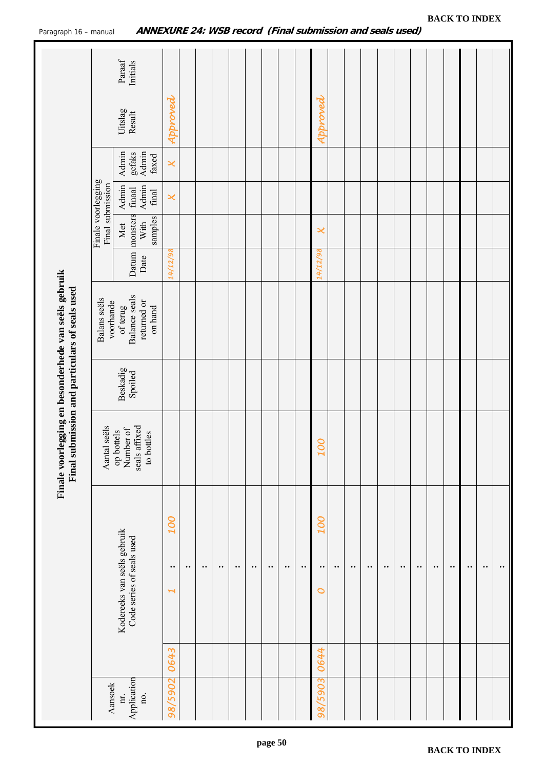<span id="page-49-0"></span>

|                           |                                                          | Finale voorlegging en besonderhede van seëls gebruik<br>Final submission and particulars of seals used |                     |                                                     |               |                                        |                                         |                                   |                   |                    |
|---------------------------|----------------------------------------------------------|--------------------------------------------------------------------------------------------------------|---------------------|-----------------------------------------------------|---------------|----------------------------------------|-----------------------------------------|-----------------------------------|-------------------|--------------------|
| Aansoek                   |                                                          | seëls<br>Aantal                                                                                        |                     | Balans seëls<br>voorhande                           |               | Finale voorlegging<br>Final submission |                                         |                                   |                   |                    |
| Application<br>nr.<br>no. | Kodereeks van seëls gebruik<br>Code series of seals used | seals affixed<br>op bottels<br>Number of<br>to bottles                                                 | Beskadig<br>Spoiled | Balance seals<br>returned or<br>on hand<br>of terug | Datum<br>Date | monsters<br>samples<br>With<br>Met     | Admin<br>Admin<br>$\it{final}$<br>final | Admin<br>gefaks<br>Admin<br>faxed | Uitslag<br>Result | Paraaf<br>Initials |
| 0643<br>98/5902           | <b>OOT</b><br>$\bullet$ .<br>$\blacktriangleright$       |                                                                                                        |                     |                                                     | 14/12/98      |                                        | $\boldsymbol{\varkappa}$                | $\boldsymbol{\times}$             | Approved          |                    |
|                           | $\bullet\bullet$                                         |                                                                                                        |                     |                                                     |               |                                        |                                         |                                   |                   |                    |
|                           | $\bullet\bullet$                                         |                                                                                                        |                     |                                                     |               |                                        |                                         |                                   |                   |                    |
|                           | $\bullet$ .                                              |                                                                                                        |                     |                                                     |               |                                        |                                         |                                   |                   |                    |
|                           | $\bullet$ .                                              |                                                                                                        |                     |                                                     |               |                                        |                                         |                                   |                   |                    |
|                           | $\bullet$ .                                              |                                                                                                        |                     |                                                     |               |                                        |                                         |                                   |                   |                    |
|                           | $\bullet$ .                                              |                                                                                                        |                     |                                                     |               |                                        |                                         |                                   |                   |                    |
|                           | $\bullet\bullet$                                         |                                                                                                        |                     |                                                     |               |                                        |                                         |                                   |                   |                    |
|                           | $\bullet$ .                                              |                                                                                                        |                     |                                                     |               |                                        |                                         |                                   |                   |                    |
| 0644<br>98/5903           | <b>OOT</b><br>$\bullet$ .<br>0                           | <b>OOT</b>                                                                                             |                     |                                                     | 14/12/98      | ×                                      |                                         |                                   | Approved          |                    |
|                           | $\bullet$ .                                              |                                                                                                        |                     |                                                     |               |                                        |                                         |                                   |                   |                    |
|                           | $\bullet$ .                                              |                                                                                                        |                     |                                                     |               |                                        |                                         |                                   |                   |                    |
|                           | $\bullet\bullet$                                         |                                                                                                        |                     |                                                     |               |                                        |                                         |                                   |                   |                    |
|                           | $\bullet\bullet$                                         |                                                                                                        |                     |                                                     |               |                                        |                                         |                                   |                   |                    |
|                           | $\bullet$ .                                              |                                                                                                        |                     |                                                     |               |                                        |                                         |                                   |                   |                    |
|                           | $\bullet$ .                                              |                                                                                                        |                     |                                                     |               |                                        |                                         |                                   |                   |                    |
|                           | $\bullet$ .                                              |                                                                                                        |                     |                                                     |               |                                        |                                         |                                   |                   |                    |
|                           | $\bullet$ .                                              |                                                                                                        |                     |                                                     |               |                                        |                                         |                                   |                   |                    |
|                           | $\bullet$ .                                              |                                                                                                        |                     |                                                     |               |                                        |                                         |                                   |                   |                    |
|                           | $\bullet$ .                                              |                                                                                                        |                     |                                                     |               |                                        |                                         |                                   |                   |                    |
|                           | $\cdot\cdot$                                             |                                                                                                        |                     |                                                     |               |                                        |                                         |                                   |                   |                    |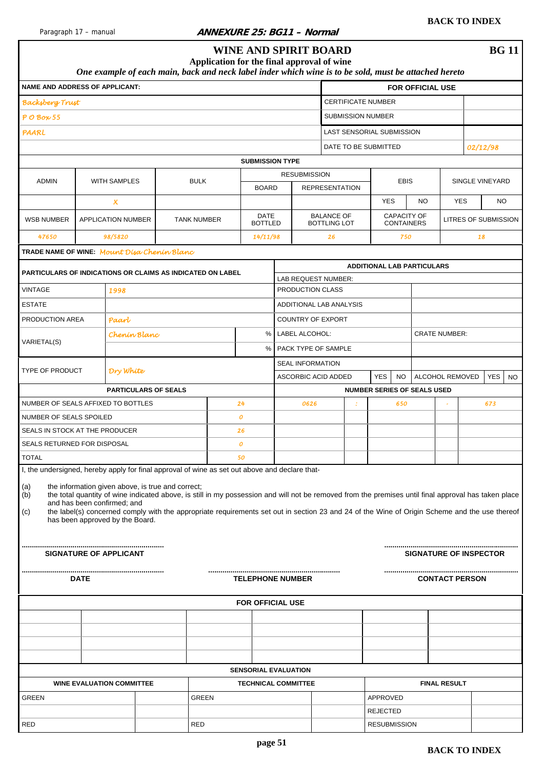#### <span id="page-50-0"></span>Paragraph 17 – manual **ANNEXURE 25: BG11 – Normal**

|                                                                                                                     |             |                                                                | One example of each main, back and neck label inder which wine is to be sold, must be attached hereto                                                                                                                                                                                                                                                      | Application for the final approval of wine |    |                               | <b>WINE AND SPIRIT BOARD</b>                  |                                          |                                    |                                         |           |                               |                         |          | <b>BG</b> 11                |
|---------------------------------------------------------------------------------------------------------------------|-------------|----------------------------------------------------------------|------------------------------------------------------------------------------------------------------------------------------------------------------------------------------------------------------------------------------------------------------------------------------------------------------------------------------------------------------------|--------------------------------------------|----|-------------------------------|-----------------------------------------------|------------------------------------------|------------------------------------|-----------------------------------------|-----------|-------------------------------|-------------------------|----------|-----------------------------|
| <b>NAME AND ADDRESS OF APPLICANT:</b>                                                                               |             |                                                                |                                                                                                                                                                                                                                                                                                                                                            |                                            |    |                               |                                               |                                          |                                    |                                         |           | <b>FOR OFFICIAL USE</b>       |                         |          |                             |
| <b>Backsberg Trust</b>                                                                                              |             |                                                                |                                                                                                                                                                                                                                                                                                                                                            |                                            |    |                               |                                               |                                          | <b>CERTIFICATE NUMBER</b>          |                                         |           |                               |                         |          |                             |
| $P$ O Box 55                                                                                                        |             |                                                                |                                                                                                                                                                                                                                                                                                                                                            |                                            |    |                               |                                               |                                          | <b>SUBMISSION NUMBER</b>           |                                         |           |                               |                         |          |                             |
|                                                                                                                     |             |                                                                |                                                                                                                                                                                                                                                                                                                                                            |                                            |    |                               |                                               |                                          | LAST SENSORIAL SUBMISSION          |                                         |           |                               |                         |          |                             |
| PAARL                                                                                                               |             |                                                                |                                                                                                                                                                                                                                                                                                                                                            |                                            |    |                               |                                               |                                          | DATE TO BE SUBMITTED               |                                         |           |                               |                         |          |                             |
|                                                                                                                     |             |                                                                |                                                                                                                                                                                                                                                                                                                                                            |                                            |    |                               |                                               |                                          |                                    |                                         |           |                               |                         | 02/12/98 |                             |
|                                                                                                                     |             |                                                                |                                                                                                                                                                                                                                                                                                                                                            |                                            |    |                               | <b>SUBMISSION TYPE</b><br><b>RESUBMISSION</b> |                                          |                                    |                                         |           |                               |                         |          |                             |
| <b>ADMIN</b>                                                                                                        |             | WITH SAMPLES                                                   |                                                                                                                                                                                                                                                                                                                                                            | <b>BULK</b>                                |    | <b>BOARD</b>                  |                                               | <b>REPRESENTATION</b>                    |                                    | <b>EBIS</b>                             |           |                               |                         |          | SINGLE VINEYARD             |
|                                                                                                                     |             | $\boldsymbol{\mathsf{x}}$                                      |                                                                                                                                                                                                                                                                                                                                                            |                                            |    |                               |                                               |                                          | <b>YES</b>                         |                                         | <b>NO</b> |                               | <b>YES</b>              |          | <b>NO</b>                   |
| <b>WSB NUMBER</b>                                                                                                   |             | APPLICATION NUMBER                                             |                                                                                                                                                                                                                                                                                                                                                            | <b>TANK NUMBER</b>                         |    | <b>DATE</b><br><b>BOTTLED</b> |                                               | <b>BALANCE OF</b><br><b>BOTTLING LOT</b> |                                    | <b>CAPACITY OF</b><br><b>CONTAINERS</b> |           |                               |                         |          | <b>LITRES OF SUBMISSION</b> |
| 47650                                                                                                               |             | 98/5820                                                        |                                                                                                                                                                                                                                                                                                                                                            |                                            |    | 14/11/98                      |                                               | 26                                       |                                    | 750                                     |           |                               |                         | 18       |                             |
| TRADE NAME OF WINE: Mount Disa Chenin Blanc                                                                         |             |                                                                |                                                                                                                                                                                                                                                                                                                                                            |                                            |    |                               |                                               |                                          |                                    |                                         |           |                               |                         |          |                             |
|                                                                                                                     |             |                                                                |                                                                                                                                                                                                                                                                                                                                                            |                                            |    |                               |                                               |                                          | <b>ADDITIONAL LAB PARTICULARS</b>  |                                         |           |                               |                         |          |                             |
| <b>PARTICULARS OF INDICATIONS OR CLAIMS AS INDICATED ON LABEL</b>                                                   |             |                                                                |                                                                                                                                                                                                                                                                                                                                                            |                                            |    |                               | LAB REQUEST NUMBER:                           |                                          |                                    |                                         |           |                               |                         |          |                             |
| <b>VINTAGE</b>                                                                                                      |             | 1998                                                           |                                                                                                                                                                                                                                                                                                                                                            |                                            |    |                               | PRODUCTION CLASS                              |                                          |                                    |                                         |           |                               |                         |          |                             |
| <b>ESTATE</b>                                                                                                       |             |                                                                |                                                                                                                                                                                                                                                                                                                                                            |                                            |    |                               | ADDITIONAL LAB ANALYSIS                       |                                          |                                    |                                         |           |                               |                         |          |                             |
| PRODUCTION AREA                                                                                                     |             | Paart                                                          |                                                                                                                                                                                                                                                                                                                                                            |                                            |    |                               | <b>COUNTRY OF EXPORT</b>                      |                                          |                                    |                                         |           |                               |                         |          |                             |
| VARIETAL(S)                                                                                                         |             | Chenin Blanc                                                   |                                                                                                                                                                                                                                                                                                                                                            |                                            |    | %                             | LABEL ALCOHOL:                                |                                          |                                    |                                         |           | <b>CRATE NUMBER:</b>          |                         |          |                             |
|                                                                                                                     |             |                                                                |                                                                                                                                                                                                                                                                                                                                                            |                                            |    | %                             | PACK TYPE OF SAMPLE                           |                                          |                                    |                                         |           |                               |                         |          |                             |
|                                                                                                                     |             |                                                                |                                                                                                                                                                                                                                                                                                                                                            |                                            |    |                               | <b>SEAL INFORMATION</b>                       |                                          |                                    |                                         |           |                               |                         |          |                             |
| <b>TYPE OF PRODUCT</b>                                                                                              |             | Dry White                                                      |                                                                                                                                                                                                                                                                                                                                                            |                                            |    |                               | ASCORBIC ACID ADDED                           |                                          | <b>YES</b>                         | <b>NO</b>                               |           | ALCOHOL REMOVED               | <b>YES</b><br><b>NO</b> |          |                             |
|                                                                                                                     |             |                                                                | <b>PARTICULARS OF SEALS</b>                                                                                                                                                                                                                                                                                                                                |                                            |    |                               |                                               |                                          | <b>NUMBER SERIES OF SEALS USED</b> |                                         |           |                               |                         |          |                             |
| NUMBER OF SEALS AFFIXED TO BOTTLES                                                                                  |             |                                                                |                                                                                                                                                                                                                                                                                                                                                            |                                            | 24 |                               | 0626                                          |                                          |                                    | 650                                     |           |                               |                         |          | 673                         |
| NUMBER OF SEALS SPOILED                                                                                             |             |                                                                |                                                                                                                                                                                                                                                                                                                                                            |                                            | 0  |                               |                                               |                                          |                                    |                                         |           |                               |                         |          |                             |
| SEALS IN STOCK AT THE PRODUCER                                                                                      |             |                                                                |                                                                                                                                                                                                                                                                                                                                                            |                                            | 26 |                               |                                               |                                          |                                    |                                         |           |                               |                         |          |                             |
| SEALS RETURNED FOR DISPOSAL                                                                                         |             |                                                                |                                                                                                                                                                                                                                                                                                                                                            |                                            | 0  |                               |                                               |                                          |                                    |                                         |           |                               |                         |          |                             |
| <b>TOTAL</b>                                                                                                        |             |                                                                |                                                                                                                                                                                                                                                                                                                                                            |                                            | 50 |                               |                                               |                                          |                                    |                                         |           |                               |                         |          |                             |
| I, the undersigned, hereby apply for final approval of wine as set out above and declare that-<br>(a)<br>(b)<br>(c) |             | and has been confirmed; and<br>has been approved by the Board. | the information given above, is true and correct;<br>the total quantity of wine indicated above, is still in my possession and will not be removed from the premises until final approval has taken place<br>the label(s) concerned comply with the appropriate requirements set out in section 23 and 24 of the Wine of Origin Scheme and the use thereof |                                            |    |                               |                                               |                                          |                                    |                                         |           |                               |                         |          |                             |
|                                                                                                                     |             | SIGNATURE OF APPLICANT                                         |                                                                                                                                                                                                                                                                                                                                                            |                                            |    |                               |                                               |                                          |                                    |                                         |           | <b>SIGNATURE OF INSPECTOR</b> |                         |          |                             |
|                                                                                                                     | <b>DATE</b> |                                                                |                                                                                                                                                                                                                                                                                                                                                            |                                            |    |                               | <b>TELEPHONE NUMBER</b>                       |                                          |                                    |                                         |           | <b>CONTACT PERSON</b>         |                         |          |                             |
|                                                                                                                     |             |                                                                |                                                                                                                                                                                                                                                                                                                                                            |                                            |    |                               | <b>FOR OFFICIAL USE</b>                       |                                          |                                    |                                         |           |                               |                         |          |                             |
|                                                                                                                     |             |                                                                |                                                                                                                                                                                                                                                                                                                                                            |                                            |    |                               |                                               |                                          |                                    |                                         |           |                               |                         |          |                             |
|                                                                                                                     |             |                                                                |                                                                                                                                                                                                                                                                                                                                                            |                                            |    |                               |                                               |                                          |                                    |                                         |           |                               |                         |          |                             |
|                                                                                                                     |             |                                                                |                                                                                                                                                                                                                                                                                                                                                            |                                            |    |                               |                                               |                                          |                                    |                                         |           |                               |                         |          |                             |
|                                                                                                                     |             |                                                                |                                                                                                                                                                                                                                                                                                                                                            |                                            |    |                               |                                               |                                          |                                    |                                         |           |                               |                         |          |                             |
|                                                                                                                     |             |                                                                |                                                                                                                                                                                                                                                                                                                                                            |                                            |    |                               | <b>SENSORIAL EVALUATION</b>                   |                                          |                                    |                                         |           |                               |                         |          |                             |
|                                                                                                                     |             | <b>WINE EVALUATION COMMITTEE</b>                               |                                                                                                                                                                                                                                                                                                                                                            |                                            |    |                               | <b>TECHNICAL COMMITTEE</b>                    |                                          |                                    |                                         |           | <b>FINAL RESULT</b>           |                         |          |                             |
| <b>GREEN</b>                                                                                                        |             |                                                                |                                                                                                                                                                                                                                                                                                                                                            | <b>GREEN</b>                               |    |                               |                                               |                                          | APPROVED                           |                                         |           |                               |                         |          |                             |
|                                                                                                                     |             |                                                                |                                                                                                                                                                                                                                                                                                                                                            |                                            |    |                               |                                               |                                          | <b>REJECTED</b>                    |                                         |           |                               |                         |          |                             |
| RED                                                                                                                 |             |                                                                |                                                                                                                                                                                                                                                                                                                                                            | RED                                        |    |                               |                                               |                                          | <b>RESUBMISSION</b>                |                                         |           |                               |                         |          |                             |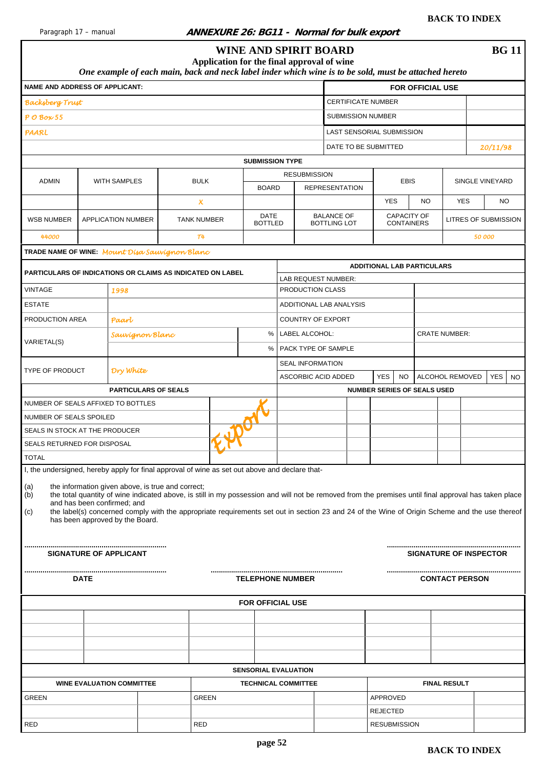<span id="page-51-0"></span>

#### **Paragraph 17 – Manual 17 – Manual 17 – Manual 17 – Manual 17 – ANNEXURE 26: BG11 - Normal for bulk export**

|                                                                                                                |             |                                                                |                                                                                                                                                                                                                                                                                                                                                            |                           |  |                               | <b>WINE AND SPIRIT BOARD</b>               |                                          |                                    |             |                                  |                       |            | <b>BG11</b>                   |           |
|----------------------------------------------------------------------------------------------------------------|-------------|----------------------------------------------------------------|------------------------------------------------------------------------------------------------------------------------------------------------------------------------------------------------------------------------------------------------------------------------------------------------------------------------------------------------------------|---------------------------|--|-------------------------------|--------------------------------------------|------------------------------------------|------------------------------------|-------------|----------------------------------|-----------------------|------------|-------------------------------|-----------|
|                                                                                                                |             |                                                                | One example of each main, back and neck label inder which wine is to be sold, must be attached hereto                                                                                                                                                                                                                                                      |                           |  |                               | Application for the final approval of wine |                                          |                                    |             |                                  |                       |            |                               |           |
| <b>NAME AND ADDRESS OF APPLICANT:</b>                                                                          |             |                                                                |                                                                                                                                                                                                                                                                                                                                                            |                           |  |                               |                                            |                                          |                                    |             | <b>FOR OFFICIAL USE</b>          |                       |            |                               |           |
| <b>Backsberg Trust</b>                                                                                         |             |                                                                |                                                                                                                                                                                                                                                                                                                                                            |                           |  |                               |                                            | <b>CERTIFICATE NUMBER</b>                |                                    |             |                                  |                       |            |                               |           |
| $P$ O Box 55                                                                                                   |             |                                                                |                                                                                                                                                                                                                                                                                                                                                            |                           |  |                               |                                            | <b>SUBMISSION NUMBER</b>                 |                                    |             |                                  |                       |            |                               |           |
| PAARL                                                                                                          |             |                                                                |                                                                                                                                                                                                                                                                                                                                                            |                           |  |                               |                                            | LAST SENSORIAL SUBMISSION                |                                    |             |                                  |                       |            |                               |           |
|                                                                                                                |             |                                                                |                                                                                                                                                                                                                                                                                                                                                            |                           |  |                               |                                            | DATE TO BE SUBMITTED                     |                                    |             |                                  |                       |            | 20/11/98                      |           |
|                                                                                                                |             |                                                                |                                                                                                                                                                                                                                                                                                                                                            |                           |  |                               | <b>SUBMISSION TYPE</b>                     |                                          |                                    |             |                                  |                       |            |                               |           |
| <b>ADMIN</b>                                                                                                   |             | <b>WITH SAMPLES</b>                                            |                                                                                                                                                                                                                                                                                                                                                            | <b>BULK</b>               |  |                               | <b>RESUBMISSION</b>                        |                                          |                                    | <b>EBIS</b> |                                  |                       |            | SINGLE VINEYARD               |           |
|                                                                                                                |             |                                                                |                                                                                                                                                                                                                                                                                                                                                            |                           |  | <b>BOARD</b>                  |                                            | <b>REPRESENTATION</b>                    |                                    |             |                                  |                       |            |                               |           |
|                                                                                                                |             |                                                                |                                                                                                                                                                                                                                                                                                                                                            | $\boldsymbol{\mathsf{x}}$ |  |                               |                                            |                                          | <b>YES</b>                         |             | NO.                              |                       | <b>YES</b> | NO.                           |           |
| <b>WSB NUMBER</b>                                                                                              |             | <b>APPLICATION NUMBER</b>                                      |                                                                                                                                                                                                                                                                                                                                                            | <b>TANK NUMBER</b>        |  | <b>DATE</b><br><b>BOTTLED</b> |                                            | <b>BALANCE OF</b><br><b>BOTTLING LOT</b> |                                    |             | CAPACITY OF<br><b>CONTAINERS</b> |                       |            | <b>LITRES OF SUBMISSION</b>   |           |
| 44000                                                                                                          |             |                                                                |                                                                                                                                                                                                                                                                                                                                                            | T4                        |  |                               |                                            |                                          |                                    |             |                                  |                       |            | 50 000                        |           |
| TRADE NAME OF WINE: Mount Disa Sauvignon Blanc                                                                 |             |                                                                |                                                                                                                                                                                                                                                                                                                                                            |                           |  |                               |                                            |                                          |                                    |             |                                  |                       |            |                               |           |
|                                                                                                                |             |                                                                |                                                                                                                                                                                                                                                                                                                                                            |                           |  |                               |                                            |                                          | <b>ADDITIONAL LAB PARTICULARS</b>  |             |                                  |                       |            |                               |           |
| <b>PARTICULARS OF INDICATIONS OR CLAIMS AS INDICATED ON LABEL</b>                                              |             |                                                                |                                                                                                                                                                                                                                                                                                                                                            |                           |  |                               | LAB REQUEST NUMBER:                        |                                          |                                    |             |                                  |                       |            |                               |           |
| <b>VINTAGE</b>                                                                                                 |             | 1998                                                           |                                                                                                                                                                                                                                                                                                                                                            |                           |  |                               | PRODUCTION CLASS                           |                                          |                                    |             |                                  |                       |            |                               |           |
| <b>ESTATE</b>                                                                                                  |             |                                                                |                                                                                                                                                                                                                                                                                                                                                            |                           |  |                               | ADDITIONAL LAB ANALYSIS                    |                                          |                                    |             |                                  |                       |            |                               |           |
| PRODUCTION AREA                                                                                                |             | Paart                                                          |                                                                                                                                                                                                                                                                                                                                                            |                           |  |                               | COUNTRY OF EXPORT                          |                                          |                                    |             |                                  |                       |            |                               |           |
|                                                                                                                |             | Sauvignon Blanc                                                |                                                                                                                                                                                                                                                                                                                                                            |                           |  | %                             | LABEL ALCOHOL:                             |                                          |                                    |             |                                  | <b>CRATE NUMBER:</b>  |            |                               |           |
| VARIETAL(S)                                                                                                    |             |                                                                |                                                                                                                                                                                                                                                                                                                                                            |                           |  | %                             | PACK TYPE OF SAMPLE                        |                                          |                                    |             |                                  |                       |            |                               |           |
|                                                                                                                |             |                                                                |                                                                                                                                                                                                                                                                                                                                                            |                           |  |                               | <b>SEAL INFORMATION</b>                    |                                          |                                    |             |                                  |                       |            |                               |           |
| <b>TYPE OF PRODUCT</b>                                                                                         |             | Dry White                                                      |                                                                                                                                                                                                                                                                                                                                                            |                           |  |                               | ASCORBIC ACID ADDED                        |                                          | <b>YES</b>                         | <b>NO</b>   |                                  | ALCOHOL REMOVED       |            | YES                           | <b>NO</b> |
|                                                                                                                |             |                                                                | <b>PARTICULARS OF SEALS</b>                                                                                                                                                                                                                                                                                                                                |                           |  |                               |                                            |                                          | <b>NUMBER SERIES OF SEALS USED</b> |             |                                  |                       |            |                               |           |
| NUMBER OF SEALS AFFIXED TO BOTTLES                                                                             |             |                                                                |                                                                                                                                                                                                                                                                                                                                                            |                           |  |                               |                                            |                                          |                                    |             |                                  |                       |            |                               |           |
| NUMBER OF SEALS SPOILED                                                                                        |             |                                                                |                                                                                                                                                                                                                                                                                                                                                            |                           |  |                               |                                            |                                          |                                    |             |                                  |                       |            |                               |           |
| SEALS IN STOCK AT THE PRODUCER                                                                                 |             |                                                                |                                                                                                                                                                                                                                                                                                                                                            |                           |  |                               |                                            |                                          |                                    |             |                                  |                       |            |                               |           |
| SEALS RETURNED FOR DISPOSAL                                                                                    |             |                                                                |                                                                                                                                                                                                                                                                                                                                                            |                           |  |                               |                                            |                                          |                                    |             |                                  |                       |            |                               |           |
| <b>TOTAL</b><br>I, the undersigned, hereby apply for final approval of wine as set out above and declare that- |             |                                                                |                                                                                                                                                                                                                                                                                                                                                            |                           |  |                               |                                            |                                          |                                    |             |                                  |                       |            |                               |           |
| (a)<br>(b)<br>(c)                                                                                              |             | and has been confirmed: and<br>has been approved by the Board. | the information given above, is true and correct;<br>the total quantity of wine indicated above, is still in my possession and will not be removed from the premises until final approval has taken place<br>the label(s) concerned comply with the appropriate requirements set out in section 23 and 24 of the Wine of Origin Scheme and the use thereof |                           |  |                               |                                            |                                          |                                    |             |                                  |                       |            |                               |           |
|                                                                                                                |             | <b>SIGNATURE OF APPLICANT</b>                                  |                                                                                                                                                                                                                                                                                                                                                            |                           |  |                               |                                            |                                          |                                    |             |                                  |                       |            | <b>SIGNATURE OF INSPECTOR</b> |           |
|                                                                                                                | <b>DATE</b> |                                                                |                                                                                                                                                                                                                                                                                                                                                            |                           |  |                               | <b>TELEPHONE NUMBER</b>                    |                                          |                                    |             |                                  | <b>CONTACT PERSON</b> |            |                               |           |
|                                                                                                                |             |                                                                |                                                                                                                                                                                                                                                                                                                                                            |                           |  |                               | <b>FOR OFFICIAL USE</b>                    |                                          |                                    |             |                                  |                       |            |                               |           |
|                                                                                                                |             |                                                                |                                                                                                                                                                                                                                                                                                                                                            |                           |  |                               |                                            |                                          |                                    |             |                                  |                       |            |                               |           |
|                                                                                                                |             |                                                                |                                                                                                                                                                                                                                                                                                                                                            |                           |  |                               |                                            |                                          |                                    |             |                                  |                       |            |                               |           |
|                                                                                                                |             |                                                                |                                                                                                                                                                                                                                                                                                                                                            |                           |  |                               |                                            |                                          |                                    |             |                                  |                       |            |                               |           |
|                                                                                                                |             |                                                                |                                                                                                                                                                                                                                                                                                                                                            |                           |  |                               | <b>SENSORIAL EVALUATION</b>                |                                          |                                    |             |                                  |                       |            |                               |           |
|                                                                                                                |             | <b>WINE EVALUATION COMMITTEE</b>                               |                                                                                                                                                                                                                                                                                                                                                            |                           |  |                               | <b>TECHNICAL COMMITTEE</b>                 |                                          |                                    |             |                                  | <b>FINAL RESULT</b>   |            |                               |           |
| <b>GREEN</b>                                                                                                   |             |                                                                |                                                                                                                                                                                                                                                                                                                                                            | <b>GREEN</b>              |  |                               |                                            |                                          | APPROVED                           |             |                                  |                       |            |                               |           |
|                                                                                                                |             |                                                                |                                                                                                                                                                                                                                                                                                                                                            |                           |  |                               |                                            |                                          | <b>REJECTED</b>                    |             |                                  |                       |            |                               |           |
| <b>RED</b>                                                                                                     |             |                                                                |                                                                                                                                                                                                                                                                                                                                                            | <b>RED</b>                |  |                               |                                            |                                          | <b>RESUBMISSION</b>                |             |                                  |                       |            |                               |           |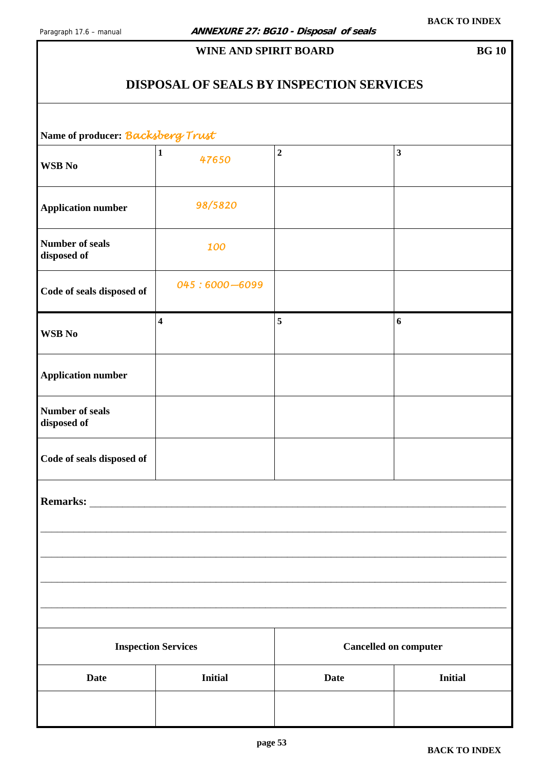### **DISPOSAL OF SEALS BY INSPECTION SERVICES**

<span id="page-52-0"></span>**Name of producer:** *Backsberg Trust* 

| Traine of producer. Diverge or get not |                            |                              |                  |
|----------------------------------------|----------------------------|------------------------------|------------------|
| <b>WSB</b> No                          | $\mathbf 1$<br>47650       | $\mathbf 2$                  | $\mathbf{3}$     |
| <b>Application number</b>              | 98/5820                    |                              |                  |
| <b>Number of seals</b><br>disposed of  | 100                        |                              |                  |
| Code of seals disposed of              | 045:6000-6099              |                              |                  |
| <b>WSB</b> No                          | $\overline{\mathbf{4}}$    | $\sqrt{5}$                   | $\boldsymbol{6}$ |
| <b>Application number</b>              |                            |                              |                  |
| <b>Number of seals</b><br>disposed of  |                            |                              |                  |
| Code of seals disposed of              |                            |                              |                  |
| Remarks:                               |                            |                              |                  |
|                                        |                            |                              |                  |
|                                        | <b>Inspection Services</b> | <b>Cancelled on computer</b> |                  |
| <b>Date</b>                            | <b>Initial</b>             | <b>Date</b>                  | <b>Initial</b>   |
|                                        |                            |                              |                  |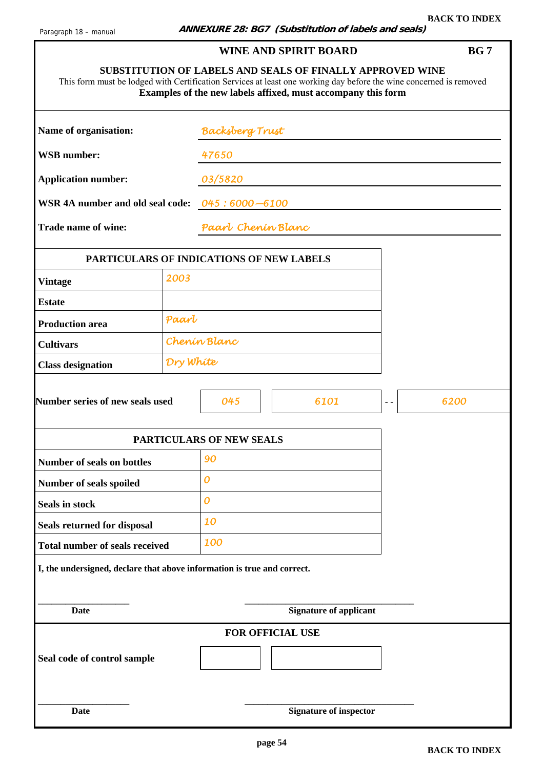ı

<span id="page-53-0"></span>

| This form must be lodged with Certification Services at least one working day before the wine concerned is removed |           |                          | <b>SUBSTITUTION OF LABELS AND SEALS OF FINALLY APPROVED WINE</b><br>Examples of the new labels affixed, must accompany this form |               |      |
|--------------------------------------------------------------------------------------------------------------------|-----------|--------------------------|----------------------------------------------------------------------------------------------------------------------------------|---------------|------|
| Name of organisation:                                                                                              |           | <b>Backsberg Trust</b>   |                                                                                                                                  |               |      |
| <b>WSB</b> number:                                                                                                 |           | 47650                    |                                                                                                                                  |               |      |
| <b>Application number:</b>                                                                                         |           | 03/5820                  |                                                                                                                                  |               |      |
| WSR 4A number and old seal code: 045:6000-6100                                                                     |           |                          |                                                                                                                                  |               |      |
| Trade name of wine:                                                                                                |           | Paarl Chenin Blanc       |                                                                                                                                  |               |      |
| PARTICULARS OF INDICATIONS OF NEW LABELS                                                                           |           |                          |                                                                                                                                  |               |      |
| <b>Vintage</b>                                                                                                     | 2003      |                          |                                                                                                                                  |               |      |
| <b>Estate</b>                                                                                                      |           |                          |                                                                                                                                  |               |      |
| <b>Production area</b>                                                                                             | Paart     |                          |                                                                                                                                  |               |      |
| <b>Cultivars</b>                                                                                                   |           | Chenin Blanc             |                                                                                                                                  |               |      |
| <b>Class designation</b>                                                                                           | Dry White |                          |                                                                                                                                  |               |      |
| <b>Number series of new seals used</b>                                                                             |           | 045                      | 6101                                                                                                                             | $\sim$ $\sim$ | 6200 |
|                                                                                                                    |           | PARTICULARS OF NEW SEALS |                                                                                                                                  |               |      |
| Number of seals on bottles                                                                                         |           | 90                       |                                                                                                                                  |               |      |
| Number of seals spoiled                                                                                            |           | 0                        |                                                                                                                                  |               |      |
| Seals in stock                                                                                                     |           | 0                        |                                                                                                                                  |               |      |
| Seals returned for disposal                                                                                        |           | 10                       |                                                                                                                                  |               |      |
| <b>Total number of seals received</b>                                                                              |           | 100                      |                                                                                                                                  |               |      |
| I, the undersigned, declare that above information is true and correct.                                            |           |                          |                                                                                                                                  |               |      |
| <b>Date</b>                                                                                                        |           |                          | <b>Signature of applicant</b>                                                                                                    |               |      |
|                                                                                                                    |           |                          | FOR OFFICIAL USE                                                                                                                 |               |      |
| Seal code of control sample                                                                                        |           |                          |                                                                                                                                  |               |      |
| <b>Date</b>                                                                                                        |           |                          | <b>Signature of inspector</b>                                                                                                    |               |      |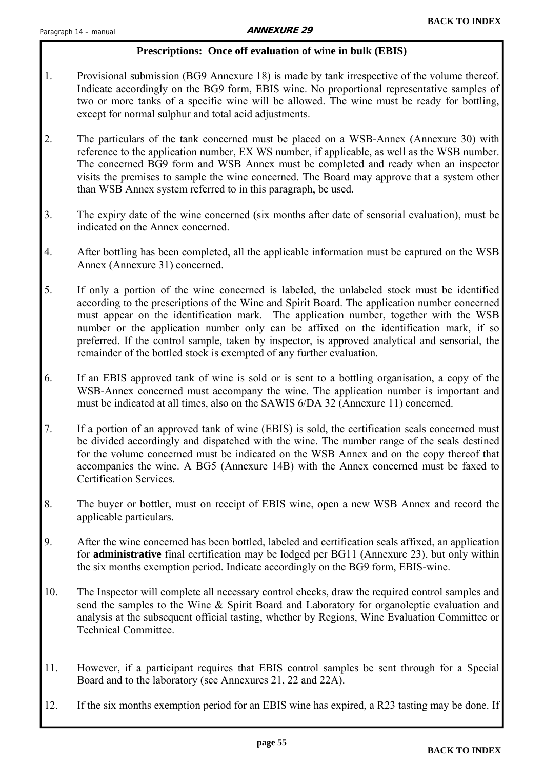#### **Prescriptions: Once off evaluation of wine in bulk (EBIS)**

- <span id="page-54-0"></span>1. Provisional submission (BG9 Annexure 18) is made by tank irrespective of the volume thereof. Indicate accordingly on the BG9 form, EBIS wine. No proportional representative samples of two or more tanks of a specific wine will be allowed. The wine must be ready for bottling, except for normal sulphur and total acid adjustments.
- 2. The particulars of the tank concerned must be placed on a WSB-Annex (Annexure 30) with reference to the application number, EX WS number, if applicable, as well as the WSB number. The concerned BG9 form and WSB Annex must be completed and ready when an inspector visits the premises to sample the wine concerned. The Board may approve that a system other than WSB Annex system referred to in this paragraph, be used.
- 3. The expiry date of the wine concerned (six months after date of sensorial evaluation), must be indicated on the Annex concerned.
- 4. After bottling has been completed, all the applicable information must be captured on the WSB Annex (Annexure 31) concerned.
- 5. If only a portion of the wine concerned is labeled, the unlabeled stock must be identified according to the prescriptions of the Wine and Spirit Board. The application number concerned must appear on the identification mark. The application number, together with the WSB number or the application number only can be affixed on the identification mark, if so preferred. If the control sample, taken by inspector, is approved analytical and sensorial, the remainder of the bottled stock is exempted of any further evaluation.
- 6. If an EBIS approved tank of wine is sold or is sent to a bottling organisation, a copy of the WSB-Annex concerned must accompany the wine. The application number is important and must be indicated at all times, also on the SAWIS 6/DA 32 (Annexure 11) concerned.
- 7. If a portion of an approved tank of wine (EBIS) is sold, the certification seals concerned must be divided accordingly and dispatched with the wine. The number range of the seals destined for the volume concerned must be indicated on the WSB Annex and on the copy thereof that accompanies the wine. A BG5 (Annexure 14B) with the Annex concerned must be faxed to Certification Services.
- 8. The buyer or bottler, must on receipt of EBIS wine, open a new WSB Annex and record the applicable particulars.
- 9. After the wine concerned has been bottled, labeled and certification seals affixed, an application for **administrative** final certification may be lodged per BG11 (Annexure 23), but only within the six months exemption period. Indicate accordingly on the BG9 form, EBIS-wine.
- 10. The Inspector will complete all necessary control checks, draw the required control samples and send the samples to the Wine & Spirit Board and Laboratory for organoleptic evaluation and analysis at the subsequent official tasting, whether by Regions, Wine Evaluation Committee or Technical Committee.
- 11. However, if a participant requires that EBIS control samples be sent through for a Special Board and to the laboratory (see Annexures 21, 22 and 22A).
- 12. If the six months exemption period for an EBIS wine has expired, a R23 tasting may be done. If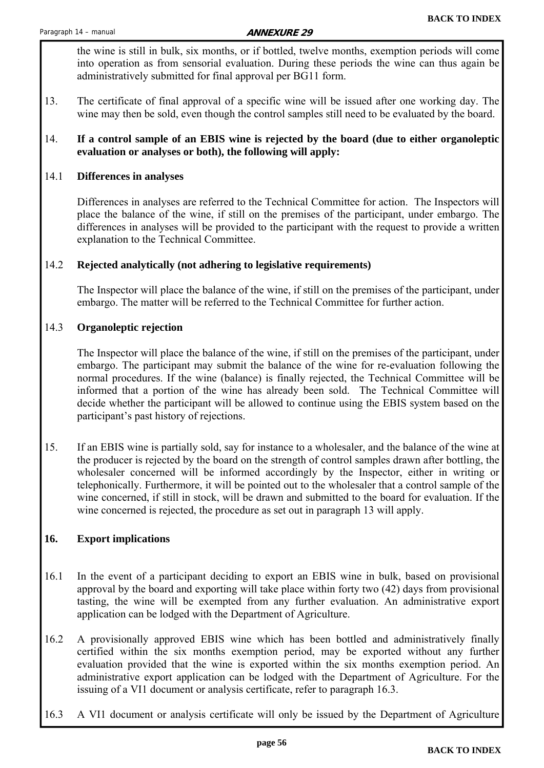the wine is still in bulk, six months, or if bottled, twelve months, exemption periods will come into operation as from sensorial evaluation. During these periods the wine can thus again be administratively submitted for final approval per BG11 form.

13. The certificate of final approval of a specific wine will be issued after one working day. The wine may then be sold, even though the control samples still need to be evaluated by the board.

#### 14. **If a control sample of an EBIS wine is rejected by the board (due to either organoleptic evaluation or analyses or both), the following will apply:**

#### 14.1 **Differences in analyses**

 Differences in analyses are referred to the Technical Committee for action. The Inspectors will place the balance of the wine, if still on the premises of the participant, under embargo. The differences in analyses will be provided to the participant with the request to provide a written explanation to the Technical Committee.

#### 14.2 **Rejected analytically (not adhering to legislative requirements)**

 The Inspector will place the balance of the wine, if still on the premises of the participant, under embargo. The matter will be referred to the Technical Committee for further action.

#### 14.3 **Organoleptic rejection**

 The Inspector will place the balance of the wine, if still on the premises of the participant, under embargo. The participant may submit the balance of the wine for re-evaluation following the normal procedures. If the wine (balance) is finally rejected, the Technical Committee will be informed that a portion of the wine has already been sold. The Technical Committee will decide whether the participant will be allowed to continue using the EBIS system based on the participant's past history of rejections.

15. If an EBIS wine is partially sold, say for instance to a wholesaler, and the balance of the wine at the producer is rejected by the board on the strength of control samples drawn after bottling, the wholesaler concerned will be informed accordingly by the Inspector, either in writing or telephonically. Furthermore, it will be pointed out to the wholesaler that a control sample of the wine concerned, if still in stock, will be drawn and submitted to the board for evaluation. If the wine concerned is rejected, the procedure as set out in paragraph 13 will apply.

#### **16. Export implications**

- 16.1 In the event of a participant deciding to export an EBIS wine in bulk, based on provisional approval by the board and exporting will take place within forty two (42) days from provisional tasting, the wine will be exempted from any further evaluation. An administrative export application can be lodged with the Department of Agriculture.
- 16.2 A provisionally approved EBIS wine which has been bottled and administratively finally certified within the six months exemption period, may be exported without any further evaluation provided that the wine is exported within the six months exemption period. An administrative export application can be lodged with the Department of Agriculture. For the issuing of a VI1 document or analysis certificate, refer to paragraph 16.3.
- 16.3 A VI1 document or analysis certificate will only be issued by the Department of Agriculture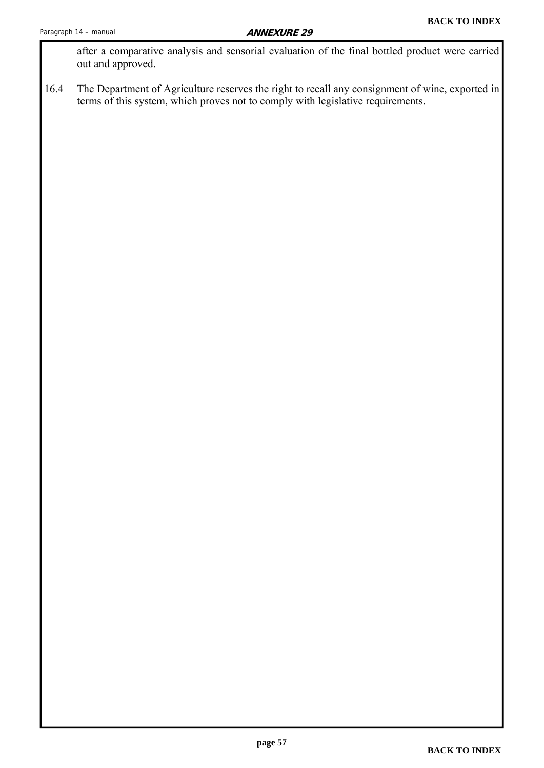after a comparative analysis and sensorial evaluation of the final bottled product were carried out and approved.

16.4 The Department of Agriculture reserves the right to recall any consignment of wine, exported in terms of this system, which proves not to comply with legislative requirements.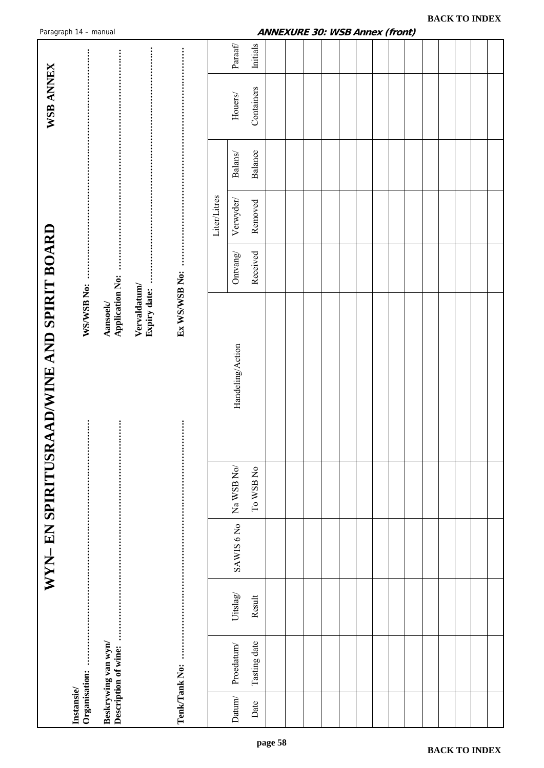<span id="page-57-0"></span>

|                                            | Paragraph 14 - manual             |                                             |                              |               |              |                                                                    |              | ANNEXURE 30: WSB Annex (front) |  |  |  |  |  |  |  |
|--------------------------------------------|-----------------------------------|---------------------------------------------|------------------------------|---------------|--------------|--------------------------------------------------------------------|--------------|--------------------------------|--|--|--|--|--|--|--|
|                                            |                                   |                                             |                              |               |              | $\ensuremath{\mathit{Para}}\xspace\ensuremath{\mathit{f}}\xspace/$ | Initials     |                                |  |  |  |  |  |  |  |
| WSB ANNEX                                  |                                   |                                             |                              |               |              | $\rm{Houses}$                                                      | Containers   |                                |  |  |  |  |  |  |  |
|                                            |                                   |                                             |                              |               |              | Balans/                                                            | Balance      |                                |  |  |  |  |  |  |  |
|                                            |                                   |                                             |                              |               | Liter/Litres | Verwyder/                                                          | Removed      |                                |  |  |  |  |  |  |  |
|                                            |                                   |                                             |                              |               |              | Ontvang/                                                           | Received     |                                |  |  |  |  |  |  |  |
|                                            | WS/WSB No:                        | Aansoek/<br>Application No:                 | Vervaldatum/<br>Expiry date: | Ex WS/WSB No: |              |                                                                    |              |                                |  |  |  |  |  |  |  |
|                                            |                                   |                                             |                              |               |              | Handeling/Action                                                   |              |                                |  |  |  |  |  |  |  |
|                                            | $\vdots$                          |                                             |                              |               |              |                                                                    |              |                                |  |  |  |  |  |  |  |
|                                            |                                   |                                             |                              |               |              | $\rm Na$ WSB $\rm No/$                                             | To WSB No    |                                |  |  |  |  |  |  |  |
| WYN- EN SPIRITUSRAAD/WINE AND SPIRIT BOARD |                                   |                                             |                              |               |              | SAWIS 6 No                                                         |              |                                |  |  |  |  |  |  |  |
|                                            |                                   |                                             |                              |               |              | Uitslag                                                            | Result       |                                |  |  |  |  |  |  |  |
|                                            |                                   | Beskrywing van wyn/<br>Description of wine: |                              |               |              | Proedatum/                                                         | Tasting date |                                |  |  |  |  |  |  |  |
|                                            | Organisation:<br><b>Instansie</b> |                                             |                              | Tenk/Tank No: |              | Datum/                                                             | Date         |                                |  |  |  |  |  |  |  |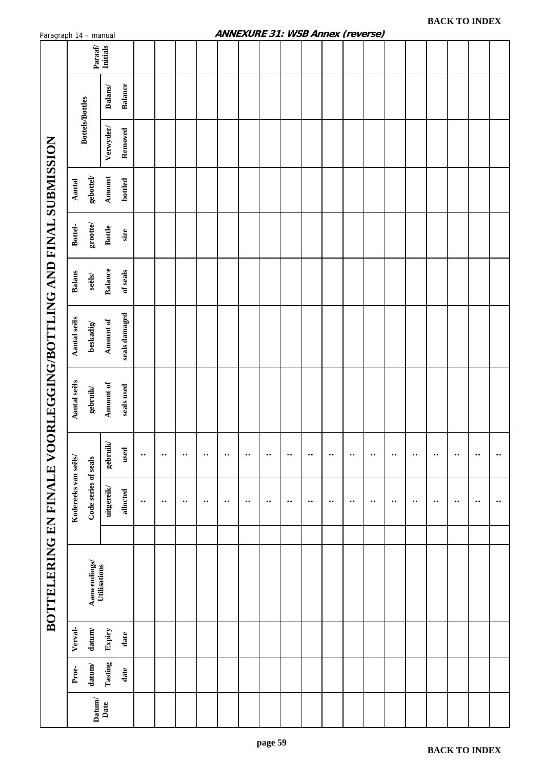<span id="page-58-0"></span>

| Paragraph 14 – manual                   |                        |                              |                 |                |                      |              |                  |                  | AIVIVEAURE 31. VISD AIIIIEX (IEVEISE) |              |                  |              |                  |              |                  |                  |          |                  |              |                  |             |                  |
|-----------------------------------------|------------------------|------------------------------|-----------------|----------------|----------------------|--------------|------------------|------------------|---------------------------------------|--------------|------------------|--------------|------------------|--------------|------------------|------------------|----------|------------------|--------------|------------------|-------------|------------------|
|                                         |                        | Paraaf/<br>Initials          |                 |                |                      |              |                  |                  |                                       |              |                  |              |                  |              |                  |                  |          |                  |              |                  |             |                  |
|                                         |                        |                              | <b>Balans</b>   | <b>Balance</b> |                      |              |                  |                  |                                       |              |                  |              |                  |              |                  |                  |          |                  |              |                  |             |                  |
|                                         | <b>Bottels/Bottles</b> |                              | Verwyder/       | Removed        |                      |              |                  |                  |                                       |              |                  |              |                  |              |                  |                  |          |                  |              |                  |             |                  |
|                                         | Aantal                 | ${\bf gebot}$                | <b>Amount</b>   | bottled        |                      |              |                  |                  |                                       |              |                  |              |                  |              |                  |                  |          |                  |              |                  |             |                  |
|                                         | Bottel-                | $\mathbf{groote}$            | <b>Bottle</b>   | size           |                      |              |                  |                  |                                       |              |                  |              |                  |              |                  |                  |          |                  |              |                  |             |                  |
|                                         | <b>Balans</b>          | $\mathbf{seils}$             | <b>Balance</b>  | of seals       |                      |              |                  |                  |                                       |              |                  |              |                  |              |                  |                  |          |                  |              |                  |             |                  |
|                                         | Aantal seëls           | beskadig $/$                 | Amount of       | seals damaged  |                      |              |                  |                  |                                       |              |                  |              |                  |              |                  |                  |          |                  |              |                  |             |                  |
| ORLEGGING/BOTTLING AND FINAL SUBMISSION | Aantal seëls           | ${\bf gebruik}$              | Amount of       | seals used     |                      |              |                  |                  |                                       |              |                  |              |                  |              |                  |                  |          |                  |              |                  |             |                  |
|                                         |                        |                              | ${\bf gebruik}$ | used           | $\ddot{\phantom{a}}$ | $\cdot\cdot$ | $\bullet\bullet$ | $\bullet\bullet$ | $\cdot\cdot$                          | $\cdot\cdot$ | $\bullet\bullet$ | $\cdot\cdot$ | $\bullet\bullet$ | $\cdot\cdot$ | $\ddotsc$        | $\bullet\bullet$ | $\cdots$ | $\ddotsc$        | $\cdot\cdot$ | $\cdots$         | $\bullet$ . | $\bullet\bullet$ |
|                                         | Kodereeks van seëls/   | Code series of seals         | uitgereik       | allocted       | $\cdot\cdot$         | $\cdot\cdot$ | $\bullet\bullet$ | $\bullet\bullet$ | $\cdot\cdot$                          | $\cdot\cdot$ | $\bullet\bullet$ | $\cdot\cdot$ | $\bullet\bullet$ | $\cdot\cdot$ | $\bullet\bullet$ | $\cdot\cdot$     | $\cdots$ | $\bullet\bullet$ | $\cdot\cdot$ | $\bullet\bullet$ | $\bullet$ . | $\bullet\bullet$ |
|                                         |                        |                              |                 |                |                      |              |                  |                  |                                       |              |                  |              |                  |              |                  |                  |          |                  |              |                  |             |                  |
| BOTTELERING EN FINALE VO                |                        | Aanwendings/<br>Utilisations |                 |                |                      |              |                  |                  |                                       |              |                  |              |                  |              |                  |                  |          |                  |              |                  |             |                  |
|                                         | Verval-                | $d$ atum/                    | Expiry          | date           |                      |              |                  |                  |                                       |              |                  |              |                  |              |                  |                  |          |                  |              |                  |             |                  |
|                                         | Proe-                  | $\mathbf{datum}$             | Tasting         | date           |                      |              |                  |                  |                                       |              |                  |              |                  |              |                  |                  |          |                  |              |                  |             |                  |
|                                         |                        | Datum/<br>Date               |                 |                |                      |              |                  |                  |                                       |              |                  |              |                  |              |                  |                  |          |                  |              |                  |             |                  |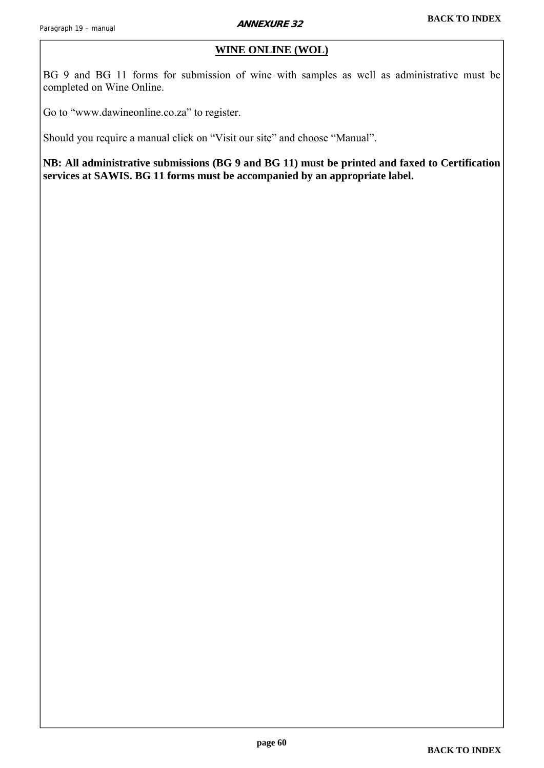#### **WINE ONLINE (WOL)**

<span id="page-59-0"></span>BG 9 and BG 11 forms for submission of wine with samples as well as administrative must be completed on Wine Online.

Go to "www.dawineonline.co.za" to register.

Should you require a manual click on "Visit our site" and choose "Manual".

**NB: All administrative submissions (BG 9 and BG 11) must be printed and faxed to Certification services at SAWIS. BG 11 forms must be accompanied by an appropriate label.**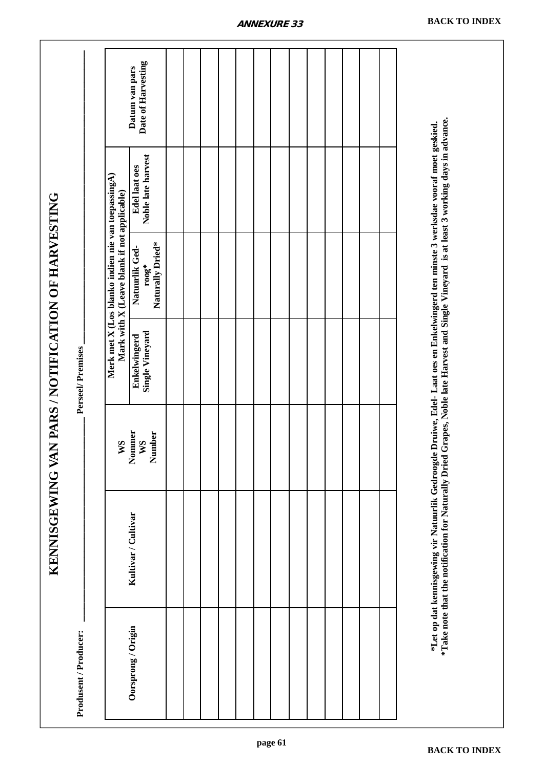<span id="page-60-0"></span>

|                                                    |                       |                                                                                                   | Date of Harvesting<br>Datum van pars           |  |  |  |  |  |  |  |                                                                                                                                                                                                                                                                                  |  |
|----------------------------------------------------|-----------------------|---------------------------------------------------------------------------------------------------|------------------------------------------------|--|--|--|--|--|--|--|----------------------------------------------------------------------------------------------------------------------------------------------------------------------------------------------------------------------------------------------------------------------------------|--|
|                                                    |                       |                                                                                                   | Noble late harvest<br><b>Edel laat oes</b>     |  |  |  |  |  |  |  |                                                                                                                                                                                                                                                                                  |  |
|                                                    |                       | Merk met X (Los blanko indien nie van toepassingA)<br>Mark with X (Leave blank if not applicable) | Naturally Dried*<br>Natuurlik Ged-<br>$r$ 00g* |  |  |  |  |  |  |  |                                                                                                                                                                                                                                                                                  |  |
|                                                    | Perseel/Premises      |                                                                                                   | Single Vineyard<br>Enkelwingerd                |  |  |  |  |  |  |  |                                                                                                                                                                                                                                                                                  |  |
|                                                    |                       | WS                                                                                                | Nommer<br>Number<br>WS                         |  |  |  |  |  |  |  |                                                                                                                                                                                                                                                                                  |  |
| KENNISGEWING VAN PARS / NOTIFICATION OF HARVESTING |                       |                                                                                                   | Kultivar / Cultivar                            |  |  |  |  |  |  |  | *Take note that the notification for Naturally Dried Grapes, Noble late Harvest and Single Vineyard is at least 3 working days in advance.<br>*Let op dat kennisgewing vir Natuurlik Gedroogde Druiwe, Edel- Laat oes en Enkelwingerd ten minste 3 werksdae vooraf moet geskied. |  |
|                                                    | Produsent / Producer: |                                                                                                   | Oorsprong / Origin                             |  |  |  |  |  |  |  |                                                                                                                                                                                                                                                                                  |  |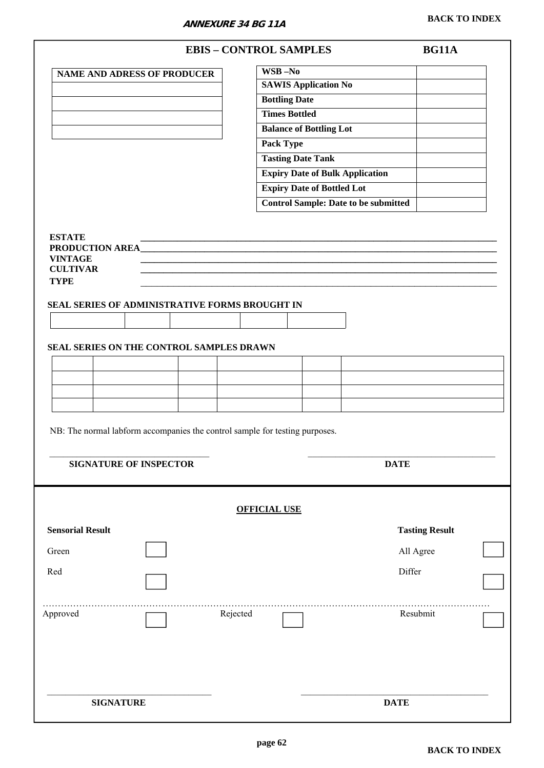**ANNEXURE 34 BG 11A**

<span id="page-61-0"></span>

|                                                                                      |                                                                             |          | <b>EBIS - CONTROL SAMPLES</b>     |                                             | <b>BG11A</b>          |  |
|--------------------------------------------------------------------------------------|-----------------------------------------------------------------------------|----------|-----------------------------------|---------------------------------------------|-----------------------|--|
|                                                                                      | <b>NAME AND ADRESS OF PRODUCER</b>                                          |          | $\overline{\text{WSB}-\text{No}}$ |                                             |                       |  |
|                                                                                      |                                                                             |          | <b>SAWIS Application No</b>       |                                             |                       |  |
|                                                                                      |                                                                             |          | <b>Bottling Date</b>              |                                             |                       |  |
|                                                                                      |                                                                             |          | <b>Times Bottled</b>              |                                             |                       |  |
|                                                                                      |                                                                             |          | <b>Balance of Bottling Lot</b>    |                                             |                       |  |
|                                                                                      |                                                                             |          | Pack Type                         |                                             |                       |  |
|                                                                                      |                                                                             |          | <b>Tasting Date Tank</b>          |                                             |                       |  |
|                                                                                      |                                                                             |          |                                   | <b>Expiry Date of Bulk Application</b>      |                       |  |
|                                                                                      |                                                                             |          | <b>Expiry Date of Bottled Lot</b> |                                             |                       |  |
|                                                                                      |                                                                             |          |                                   | <b>Control Sample: Date to be submitted</b> |                       |  |
|                                                                                      |                                                                             |          |                                   |                                             |                       |  |
| <b>ESTATE</b><br>PRODUCTION AREA<br><b>VINTAGE</b><br><b>CULTIVAR</b><br><b>TYPE</b> |                                                                             |          |                                   |                                             |                       |  |
|                                                                                      | SEAL SERIES OF ADMINISTRATIVE FORMS BROUGHT IN                              |          |                                   |                                             |                       |  |
|                                                                                      |                                                                             |          |                                   |                                             |                       |  |
|                                                                                      |                                                                             |          |                                   |                                             |                       |  |
|                                                                                      | SEAL SERIES ON THE CONTROL SAMPLES DRAWN                                    |          |                                   |                                             |                       |  |
|                                                                                      |                                                                             |          |                                   |                                             |                       |  |
|                                                                                      |                                                                             |          |                                   |                                             |                       |  |
|                                                                                      |                                                                             |          |                                   |                                             |                       |  |
|                                                                                      |                                                                             |          |                                   |                                             |                       |  |
|                                                                                      | NB: The normal labform accompanies the control sample for testing purposes. |          |                                   |                                             |                       |  |
|                                                                                      | <b>SIGNATURE OF INSPECTOR</b>                                               |          |                                   | <b>DATE</b>                                 |                       |  |
|                                                                                      |                                                                             |          | <b>OFFICIAL USE</b>               |                                             |                       |  |
| <b>Sensorial Result</b>                                                              |                                                                             |          |                                   |                                             | <b>Tasting Result</b> |  |
| Green                                                                                |                                                                             |          |                                   | All Agree                                   |                       |  |
| Red                                                                                  |                                                                             |          |                                   | Differ                                      |                       |  |
|                                                                                      |                                                                             |          |                                   |                                             |                       |  |
| Approved                                                                             |                                                                             | Rejected |                                   |                                             | Resubmit              |  |
| <b>SIGNATURE</b>                                                                     |                                                                             |          |                                   | <b>DATE</b>                                 |                       |  |
|                                                                                      |                                                                             |          |                                   |                                             |                       |  |